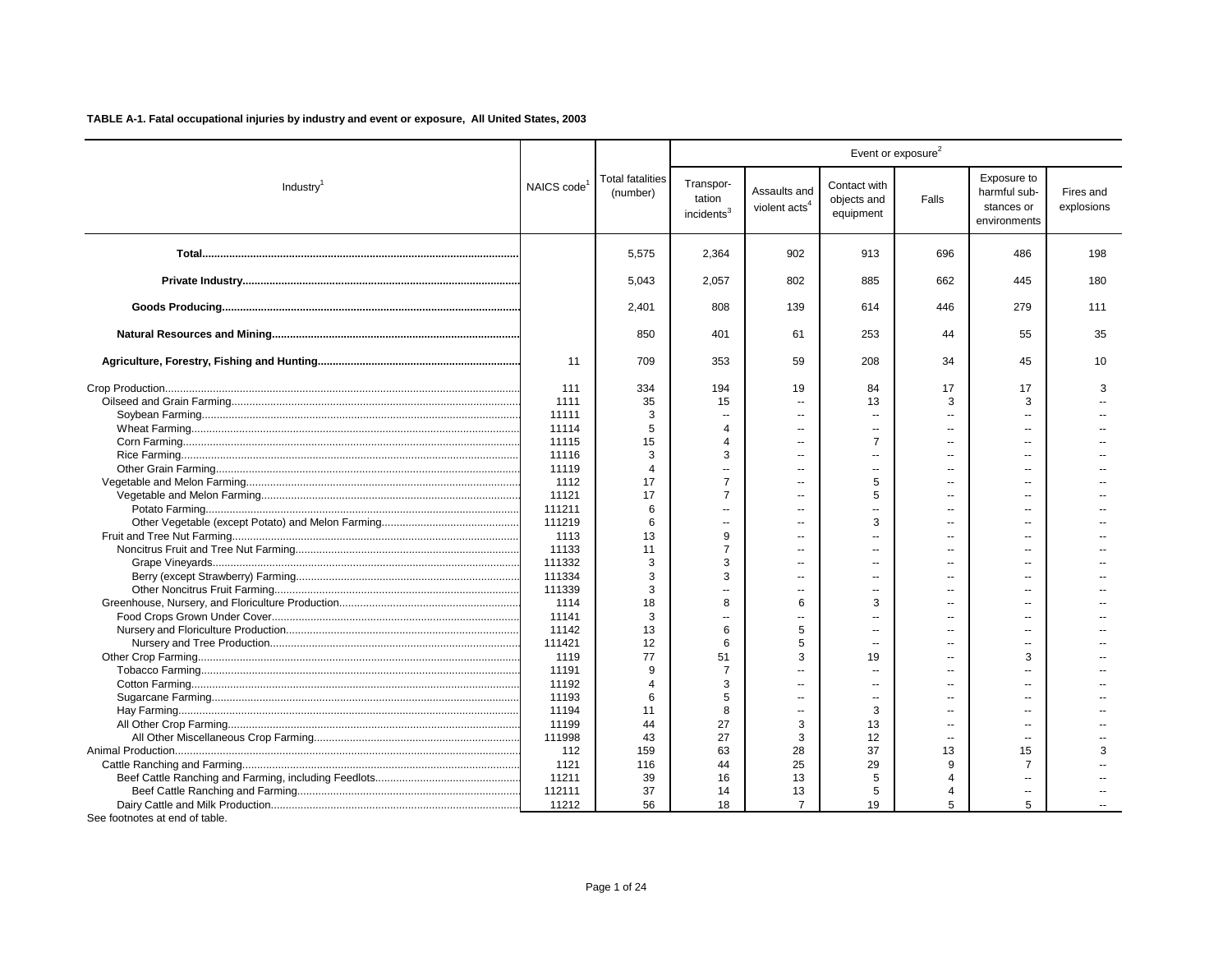|                       |                         |                                     |                                               |                                           |                                          | Event or exposure <sup>2</sup> |                                                           |                         |
|-----------------------|-------------------------|-------------------------------------|-----------------------------------------------|-------------------------------------------|------------------------------------------|--------------------------------|-----------------------------------------------------------|-------------------------|
| Industry <sup>1</sup> | NAICS code <sup>1</sup> | <b>Total fatalities</b><br>(number) | Transpor-<br>tation<br>incidents <sup>3</sup> | Assaults and<br>violent acts <sup>4</sup> | Contact with<br>objects and<br>equipment | Falls                          | Exposure to<br>harmful sub-<br>stances or<br>environments | Fires and<br>explosions |
|                       |                         | 5,575                               | 2,364                                         | 902                                       | 913                                      | 696                            | 486                                                       | 198                     |
|                       |                         | 5.043                               | 2.057                                         | 802                                       | 885                                      | 662                            | 445                                                       | 180                     |
|                       |                         | 2,401                               | 808                                           | 139                                       | 614                                      | 446                            | 279                                                       | 111                     |
|                       |                         | 850                                 | 401                                           | 61                                        | 253                                      | 44                             | 55                                                        | 35                      |
|                       | 11                      | 709                                 | 353                                           | 59                                        | 208                                      | 34                             | 45                                                        | 10                      |
|                       | 111                     | 334                                 | 194                                           | 19                                        | 84                                       | 17                             | 17                                                        | 3                       |
|                       | 1111                    | 35                                  | 15                                            | $\overline{a}$                            | 13                                       | 3                              | 3                                                         |                         |
|                       | 11111                   | 3                                   | $\overline{a}$                                | $\sim$                                    | $\sim$                                   | $\sim$                         | $\sim$                                                    |                         |
|                       | 11114                   | 5                                   | 4                                             | $\sim$                                    | $\overline{a}$                           |                                |                                                           |                         |
|                       | 11115                   | 15                                  |                                               | $\overline{a}$                            | $\overline{7}$                           | $\overline{\phantom{a}}$       | $\overline{a}$                                            |                         |
|                       | 11116                   | 3                                   | 3                                             | $\overline{a}$                            | $\overline{a}$                           | $\overline{\phantom{a}}$       |                                                           |                         |
|                       | 11119                   | $\overline{4}$                      |                                               |                                           | $\overline{a}$                           |                                |                                                           |                         |
|                       | 1112                    | 17                                  | $\overline{7}$                                |                                           | 5                                        |                                |                                                           |                         |
|                       | 11121                   | 17                                  | $\overline{7}$                                | $\overline{a}$                            | 5                                        |                                |                                                           |                         |
|                       | 111211                  | 6                                   |                                               | Ξ.                                        | --                                       |                                |                                                           |                         |
|                       | 111219                  | 6                                   | $\overline{a}$                                | $\overline{a}$                            | 3                                        | $\sim$                         | $\sim$                                                    |                         |
|                       | 1113                    | 13                                  | 9                                             | $\overline{a}$                            | $\overline{a}$                           |                                | --                                                        |                         |
|                       | 11133                   | 11                                  | $\overline{7}$                                | $\overline{a}$                            | $\overline{a}$                           | $\overline{a}$                 | $\sim$ $\sim$                                             |                         |
|                       | 111332                  | 3                                   | 3                                             | $\overline{a}$                            | $\sim$                                   | $\overline{\phantom{a}}$       | $\overline{a}$                                            |                         |
|                       | 111334                  | 3                                   | 3                                             | $\sim$                                    | $\sim$                                   | $-$                            | $\overline{a}$                                            |                         |
|                       | 111339                  | 3                                   | $\overline{a}$                                |                                           | $\sim$                                   | $\overline{a}$                 | $\sim$ $\sim$                                             |                         |
|                       | 1114                    | 18                                  | 8                                             | 6                                         | 3                                        | $\overline{a}$                 | $\sim$ $\sim$                                             |                         |
|                       | 11141                   | 3                                   | $\overline{a}$                                | $\overline{a}$                            | $\sim$                                   | $\overline{a}$                 | $\sim$ $\sim$                                             |                         |
|                       | 11142                   | 13                                  | 6                                             | 5                                         | $\overline{a}$                           |                                | $\overline{\phantom{a}}$                                  |                         |
|                       | 111421                  | 12                                  | 6                                             | 5                                         | $\overline{a}$                           |                                |                                                           |                         |
|                       | 1119                    | 77                                  | 51                                            | 3                                         | 19                                       |                                | 3                                                         |                         |
|                       | 11191                   | 9                                   | $\overline{7}$                                |                                           | ۵.                                       |                                |                                                           |                         |
|                       | 11192                   | $\overline{4}$                      | 3                                             | Ξ.                                        | $\overline{a}$                           | $-$                            | $\mathbf{u}$                                              |                         |
|                       | 11193                   | 6                                   | 5                                             | ä.                                        | ۵.                                       |                                |                                                           |                         |
|                       | 11194                   | 11                                  | 8                                             | --                                        | 3                                        | $-$                            | $\overline{\phantom{a}}$                                  |                         |
|                       | 11199                   | 44                                  | 27                                            | 3                                         | 13                                       | $\overline{a}$                 | $\sim$                                                    |                         |
|                       | 111998                  | 43                                  | 27                                            | 3                                         | 12                                       | $\overline{\phantom{a}}$       | $\overline{\phantom{a}}$                                  |                         |
|                       | 112                     | 159                                 | 63                                            | 28                                        | 37                                       | 13                             | 15                                                        |                         |
|                       | 1121                    | 116                                 | 44                                            | 25                                        | 29                                       | 9                              | 7                                                         |                         |
|                       | 11211                   | 39                                  | 16                                            | 13                                        | 5                                        | 4                              | $\sim$                                                    |                         |
|                       | 112111                  | 37                                  | 14                                            | 13                                        | 5                                        | 4                              | $\overline{\phantom{a}}$                                  |                         |
|                       | 11212                   | 56                                  | 18                                            | $\overline{7}$                            | 19                                       | 5                              | 5                                                         |                         |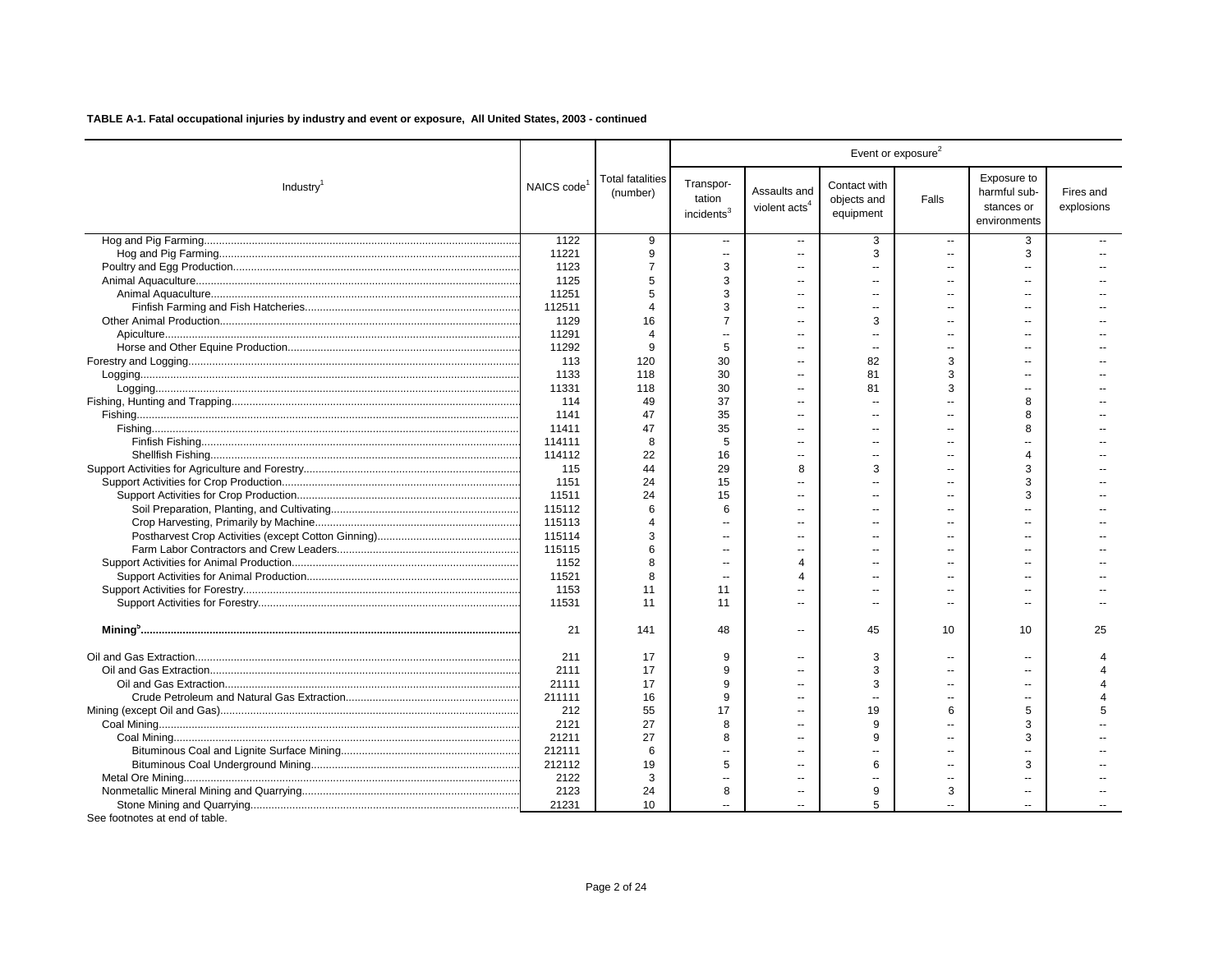| Exposure to<br><b>Total fatalities</b><br>Transpor-<br>Contact with<br>NAICS code<br>Industry <sup>1</sup><br>Assaults and<br>harmful sub-<br>Fires and<br>(number)<br>tation<br>objects and<br>Falls<br>violent acts <sup>4</sup><br>explosions<br>stances or<br>incidents <sup>3</sup><br>equipment<br>environments<br>1122<br>9<br>3<br>3<br>$\overline{\phantom{a}}$<br>$\overline{\phantom{a}}$<br>$\overline{\phantom{a}}$<br>11221<br>9<br>3<br>3<br>$\overline{\phantom{a}}$<br>$\sim$<br>--<br>3<br>1123<br>7<br>$\overline{a}$<br>$\overline{a}$<br>1125<br>3<br>5<br>11251<br>3<br>5<br>٠.<br>112511<br>3<br>Δ<br>a.<br>$\overline{a}$<br>$\sim$<br>$\sim$<br>1129<br>16<br>$\overline{7}$<br>3<br>$\overline{a}$<br>$\overline{a}$<br>$\overline{a}$<br>11291<br>$\Delta$<br>Ξ.<br>11292<br>5<br>9<br>$\overline{a}$<br>$\sim$<br>$\overline{a}$<br>$\overline{a}$<br>113<br>120<br>30<br>82<br>3<br>$\overline{a}$<br>1133<br>118<br>30<br>81<br>3<br>--<br>$\overline{a}$<br>11331<br>30<br>118<br>81<br>3<br>--<br>$\sim$<br>49<br>37<br>114<br>8<br>--<br>1141<br>47<br>35<br>8<br>$\sim$<br>11411<br>47<br>35<br>8<br>$\overline{a}$<br>$-$<br>5<br>114111<br>8<br>$\overline{a}$<br>$\overline{a}$<br>22<br>114112<br>16<br>--<br>44<br>29<br>8<br>3<br>3<br>115<br>1151<br>24<br>15<br>3<br>11511<br>24<br>15<br>З<br>$\overline{a}$<br>115112<br>6<br>6<br>--<br>115113<br>Δ<br>$\sim$<br>$\overline{a}$<br>115114<br>3<br>$\overline{\phantom{a}}$<br>--<br>115115<br>6<br>$\overline{a}$<br>--<br>$-$<br>1152<br>8<br>$\overline{\mathbf{4}}$<br>$\sim$<br>11521<br>8<br>Δ<br>$\sim$<br>$-$<br>$\sim$<br>1153<br>11<br>11<br>$\overline{a}$<br>11531<br>11<br>11<br>٠.<br>$\overline{a}$<br>$\overline{a}$<br>$\overline{a}$<br>21<br>48<br>141<br>45<br>10<br>10<br>25<br>$\overline{a}$<br>211<br>17<br>9<br>3<br>$\overline{a}$<br>$\overline{a}$<br>2111<br>17<br>9<br>3<br>9<br>21111<br>17<br>3<br>٠.<br>$\overline{a}$<br>--<br>16<br>9<br>211111<br>55<br>17<br>19<br>212<br>6<br>5<br>5<br>٠.<br>27<br>2121<br>8<br>9<br>3<br>a.<br>$\sim$<br>27<br>21211<br>8<br>9<br>3<br>$\overline{a}$<br>$\sim$<br>212111<br>6<br>$\overline{a}$<br>--<br>212112<br>5<br>19<br>6<br>3<br>--<br>$\sim$<br>2122<br>3<br>$\overline{a}$<br>--<br>$\overline{a}$<br>2123<br>24<br>8<br>9<br>3<br>$\overline{a}$<br>--<br>10<br>5<br>21231 |  |  |  | Event or exposure <sup>2</sup> |  |
|-----------------------------------------------------------------------------------------------------------------------------------------------------------------------------------------------------------------------------------------------------------------------------------------------------------------------------------------------------------------------------------------------------------------------------------------------------------------------------------------------------------------------------------------------------------------------------------------------------------------------------------------------------------------------------------------------------------------------------------------------------------------------------------------------------------------------------------------------------------------------------------------------------------------------------------------------------------------------------------------------------------------------------------------------------------------------------------------------------------------------------------------------------------------------------------------------------------------------------------------------------------------------------------------------------------------------------------------------------------------------------------------------------------------------------------------------------------------------------------------------------------------------------------------------------------------------------------------------------------------------------------------------------------------------------------------------------------------------------------------------------------------------------------------------------------------------------------------------------------------------------------------------------------------------------------------------------------------------------------------------------------------------------------------------------------------------------------------------------------------------------------------------------------------------------------------------------------------------------------------------------------------------------------------------------------------------------------------------------------|--|--|--|--------------------------------|--|
|                                                                                                                                                                                                                                                                                                                                                                                                                                                                                                                                                                                                                                                                                                                                                                                                                                                                                                                                                                                                                                                                                                                                                                                                                                                                                                                                                                                                                                                                                                                                                                                                                                                                                                                                                                                                                                                                                                                                                                                                                                                                                                                                                                                                                                                                                                                                                           |  |  |  |                                |  |
|                                                                                                                                                                                                                                                                                                                                                                                                                                                                                                                                                                                                                                                                                                                                                                                                                                                                                                                                                                                                                                                                                                                                                                                                                                                                                                                                                                                                                                                                                                                                                                                                                                                                                                                                                                                                                                                                                                                                                                                                                                                                                                                                                                                                                                                                                                                                                           |  |  |  |                                |  |
|                                                                                                                                                                                                                                                                                                                                                                                                                                                                                                                                                                                                                                                                                                                                                                                                                                                                                                                                                                                                                                                                                                                                                                                                                                                                                                                                                                                                                                                                                                                                                                                                                                                                                                                                                                                                                                                                                                                                                                                                                                                                                                                                                                                                                                                                                                                                                           |  |  |  |                                |  |
|                                                                                                                                                                                                                                                                                                                                                                                                                                                                                                                                                                                                                                                                                                                                                                                                                                                                                                                                                                                                                                                                                                                                                                                                                                                                                                                                                                                                                                                                                                                                                                                                                                                                                                                                                                                                                                                                                                                                                                                                                                                                                                                                                                                                                                                                                                                                                           |  |  |  |                                |  |
|                                                                                                                                                                                                                                                                                                                                                                                                                                                                                                                                                                                                                                                                                                                                                                                                                                                                                                                                                                                                                                                                                                                                                                                                                                                                                                                                                                                                                                                                                                                                                                                                                                                                                                                                                                                                                                                                                                                                                                                                                                                                                                                                                                                                                                                                                                                                                           |  |  |  |                                |  |
|                                                                                                                                                                                                                                                                                                                                                                                                                                                                                                                                                                                                                                                                                                                                                                                                                                                                                                                                                                                                                                                                                                                                                                                                                                                                                                                                                                                                                                                                                                                                                                                                                                                                                                                                                                                                                                                                                                                                                                                                                                                                                                                                                                                                                                                                                                                                                           |  |  |  |                                |  |
|                                                                                                                                                                                                                                                                                                                                                                                                                                                                                                                                                                                                                                                                                                                                                                                                                                                                                                                                                                                                                                                                                                                                                                                                                                                                                                                                                                                                                                                                                                                                                                                                                                                                                                                                                                                                                                                                                                                                                                                                                                                                                                                                                                                                                                                                                                                                                           |  |  |  |                                |  |
|                                                                                                                                                                                                                                                                                                                                                                                                                                                                                                                                                                                                                                                                                                                                                                                                                                                                                                                                                                                                                                                                                                                                                                                                                                                                                                                                                                                                                                                                                                                                                                                                                                                                                                                                                                                                                                                                                                                                                                                                                                                                                                                                                                                                                                                                                                                                                           |  |  |  |                                |  |
|                                                                                                                                                                                                                                                                                                                                                                                                                                                                                                                                                                                                                                                                                                                                                                                                                                                                                                                                                                                                                                                                                                                                                                                                                                                                                                                                                                                                                                                                                                                                                                                                                                                                                                                                                                                                                                                                                                                                                                                                                                                                                                                                                                                                                                                                                                                                                           |  |  |  |                                |  |
|                                                                                                                                                                                                                                                                                                                                                                                                                                                                                                                                                                                                                                                                                                                                                                                                                                                                                                                                                                                                                                                                                                                                                                                                                                                                                                                                                                                                                                                                                                                                                                                                                                                                                                                                                                                                                                                                                                                                                                                                                                                                                                                                                                                                                                                                                                                                                           |  |  |  |                                |  |
|                                                                                                                                                                                                                                                                                                                                                                                                                                                                                                                                                                                                                                                                                                                                                                                                                                                                                                                                                                                                                                                                                                                                                                                                                                                                                                                                                                                                                                                                                                                                                                                                                                                                                                                                                                                                                                                                                                                                                                                                                                                                                                                                                                                                                                                                                                                                                           |  |  |  |                                |  |
|                                                                                                                                                                                                                                                                                                                                                                                                                                                                                                                                                                                                                                                                                                                                                                                                                                                                                                                                                                                                                                                                                                                                                                                                                                                                                                                                                                                                                                                                                                                                                                                                                                                                                                                                                                                                                                                                                                                                                                                                                                                                                                                                                                                                                                                                                                                                                           |  |  |  |                                |  |
|                                                                                                                                                                                                                                                                                                                                                                                                                                                                                                                                                                                                                                                                                                                                                                                                                                                                                                                                                                                                                                                                                                                                                                                                                                                                                                                                                                                                                                                                                                                                                                                                                                                                                                                                                                                                                                                                                                                                                                                                                                                                                                                                                                                                                                                                                                                                                           |  |  |  |                                |  |
|                                                                                                                                                                                                                                                                                                                                                                                                                                                                                                                                                                                                                                                                                                                                                                                                                                                                                                                                                                                                                                                                                                                                                                                                                                                                                                                                                                                                                                                                                                                                                                                                                                                                                                                                                                                                                                                                                                                                                                                                                                                                                                                                                                                                                                                                                                                                                           |  |  |  |                                |  |
|                                                                                                                                                                                                                                                                                                                                                                                                                                                                                                                                                                                                                                                                                                                                                                                                                                                                                                                                                                                                                                                                                                                                                                                                                                                                                                                                                                                                                                                                                                                                                                                                                                                                                                                                                                                                                                                                                                                                                                                                                                                                                                                                                                                                                                                                                                                                                           |  |  |  |                                |  |
|                                                                                                                                                                                                                                                                                                                                                                                                                                                                                                                                                                                                                                                                                                                                                                                                                                                                                                                                                                                                                                                                                                                                                                                                                                                                                                                                                                                                                                                                                                                                                                                                                                                                                                                                                                                                                                                                                                                                                                                                                                                                                                                                                                                                                                                                                                                                                           |  |  |  |                                |  |
|                                                                                                                                                                                                                                                                                                                                                                                                                                                                                                                                                                                                                                                                                                                                                                                                                                                                                                                                                                                                                                                                                                                                                                                                                                                                                                                                                                                                                                                                                                                                                                                                                                                                                                                                                                                                                                                                                                                                                                                                                                                                                                                                                                                                                                                                                                                                                           |  |  |  |                                |  |
|                                                                                                                                                                                                                                                                                                                                                                                                                                                                                                                                                                                                                                                                                                                                                                                                                                                                                                                                                                                                                                                                                                                                                                                                                                                                                                                                                                                                                                                                                                                                                                                                                                                                                                                                                                                                                                                                                                                                                                                                                                                                                                                                                                                                                                                                                                                                                           |  |  |  |                                |  |
|                                                                                                                                                                                                                                                                                                                                                                                                                                                                                                                                                                                                                                                                                                                                                                                                                                                                                                                                                                                                                                                                                                                                                                                                                                                                                                                                                                                                                                                                                                                                                                                                                                                                                                                                                                                                                                                                                                                                                                                                                                                                                                                                                                                                                                                                                                                                                           |  |  |  |                                |  |
|                                                                                                                                                                                                                                                                                                                                                                                                                                                                                                                                                                                                                                                                                                                                                                                                                                                                                                                                                                                                                                                                                                                                                                                                                                                                                                                                                                                                                                                                                                                                                                                                                                                                                                                                                                                                                                                                                                                                                                                                                                                                                                                                                                                                                                                                                                                                                           |  |  |  |                                |  |
|                                                                                                                                                                                                                                                                                                                                                                                                                                                                                                                                                                                                                                                                                                                                                                                                                                                                                                                                                                                                                                                                                                                                                                                                                                                                                                                                                                                                                                                                                                                                                                                                                                                                                                                                                                                                                                                                                                                                                                                                                                                                                                                                                                                                                                                                                                                                                           |  |  |  |                                |  |
|                                                                                                                                                                                                                                                                                                                                                                                                                                                                                                                                                                                                                                                                                                                                                                                                                                                                                                                                                                                                                                                                                                                                                                                                                                                                                                                                                                                                                                                                                                                                                                                                                                                                                                                                                                                                                                                                                                                                                                                                                                                                                                                                                                                                                                                                                                                                                           |  |  |  |                                |  |
|                                                                                                                                                                                                                                                                                                                                                                                                                                                                                                                                                                                                                                                                                                                                                                                                                                                                                                                                                                                                                                                                                                                                                                                                                                                                                                                                                                                                                                                                                                                                                                                                                                                                                                                                                                                                                                                                                                                                                                                                                                                                                                                                                                                                                                                                                                                                                           |  |  |  |                                |  |
|                                                                                                                                                                                                                                                                                                                                                                                                                                                                                                                                                                                                                                                                                                                                                                                                                                                                                                                                                                                                                                                                                                                                                                                                                                                                                                                                                                                                                                                                                                                                                                                                                                                                                                                                                                                                                                                                                                                                                                                                                                                                                                                                                                                                                                                                                                                                                           |  |  |  |                                |  |
|                                                                                                                                                                                                                                                                                                                                                                                                                                                                                                                                                                                                                                                                                                                                                                                                                                                                                                                                                                                                                                                                                                                                                                                                                                                                                                                                                                                                                                                                                                                                                                                                                                                                                                                                                                                                                                                                                                                                                                                                                                                                                                                                                                                                                                                                                                                                                           |  |  |  |                                |  |
|                                                                                                                                                                                                                                                                                                                                                                                                                                                                                                                                                                                                                                                                                                                                                                                                                                                                                                                                                                                                                                                                                                                                                                                                                                                                                                                                                                                                                                                                                                                                                                                                                                                                                                                                                                                                                                                                                                                                                                                                                                                                                                                                                                                                                                                                                                                                                           |  |  |  |                                |  |
|                                                                                                                                                                                                                                                                                                                                                                                                                                                                                                                                                                                                                                                                                                                                                                                                                                                                                                                                                                                                                                                                                                                                                                                                                                                                                                                                                                                                                                                                                                                                                                                                                                                                                                                                                                                                                                                                                                                                                                                                                                                                                                                                                                                                                                                                                                                                                           |  |  |  |                                |  |
|                                                                                                                                                                                                                                                                                                                                                                                                                                                                                                                                                                                                                                                                                                                                                                                                                                                                                                                                                                                                                                                                                                                                                                                                                                                                                                                                                                                                                                                                                                                                                                                                                                                                                                                                                                                                                                                                                                                                                                                                                                                                                                                                                                                                                                                                                                                                                           |  |  |  |                                |  |
|                                                                                                                                                                                                                                                                                                                                                                                                                                                                                                                                                                                                                                                                                                                                                                                                                                                                                                                                                                                                                                                                                                                                                                                                                                                                                                                                                                                                                                                                                                                                                                                                                                                                                                                                                                                                                                                                                                                                                                                                                                                                                                                                                                                                                                                                                                                                                           |  |  |  |                                |  |
|                                                                                                                                                                                                                                                                                                                                                                                                                                                                                                                                                                                                                                                                                                                                                                                                                                                                                                                                                                                                                                                                                                                                                                                                                                                                                                                                                                                                                                                                                                                                                                                                                                                                                                                                                                                                                                                                                                                                                                                                                                                                                                                                                                                                                                                                                                                                                           |  |  |  |                                |  |
|                                                                                                                                                                                                                                                                                                                                                                                                                                                                                                                                                                                                                                                                                                                                                                                                                                                                                                                                                                                                                                                                                                                                                                                                                                                                                                                                                                                                                                                                                                                                                                                                                                                                                                                                                                                                                                                                                                                                                                                                                                                                                                                                                                                                                                                                                                                                                           |  |  |  |                                |  |
|                                                                                                                                                                                                                                                                                                                                                                                                                                                                                                                                                                                                                                                                                                                                                                                                                                                                                                                                                                                                                                                                                                                                                                                                                                                                                                                                                                                                                                                                                                                                                                                                                                                                                                                                                                                                                                                                                                                                                                                                                                                                                                                                                                                                                                                                                                                                                           |  |  |  |                                |  |
|                                                                                                                                                                                                                                                                                                                                                                                                                                                                                                                                                                                                                                                                                                                                                                                                                                                                                                                                                                                                                                                                                                                                                                                                                                                                                                                                                                                                                                                                                                                                                                                                                                                                                                                                                                                                                                                                                                                                                                                                                                                                                                                                                                                                                                                                                                                                                           |  |  |  |                                |  |
|                                                                                                                                                                                                                                                                                                                                                                                                                                                                                                                                                                                                                                                                                                                                                                                                                                                                                                                                                                                                                                                                                                                                                                                                                                                                                                                                                                                                                                                                                                                                                                                                                                                                                                                                                                                                                                                                                                                                                                                                                                                                                                                                                                                                                                                                                                                                                           |  |  |  |                                |  |
|                                                                                                                                                                                                                                                                                                                                                                                                                                                                                                                                                                                                                                                                                                                                                                                                                                                                                                                                                                                                                                                                                                                                                                                                                                                                                                                                                                                                                                                                                                                                                                                                                                                                                                                                                                                                                                                                                                                                                                                                                                                                                                                                                                                                                                                                                                                                                           |  |  |  |                                |  |
|                                                                                                                                                                                                                                                                                                                                                                                                                                                                                                                                                                                                                                                                                                                                                                                                                                                                                                                                                                                                                                                                                                                                                                                                                                                                                                                                                                                                                                                                                                                                                                                                                                                                                                                                                                                                                                                                                                                                                                                                                                                                                                                                                                                                                                                                                                                                                           |  |  |  |                                |  |
|                                                                                                                                                                                                                                                                                                                                                                                                                                                                                                                                                                                                                                                                                                                                                                                                                                                                                                                                                                                                                                                                                                                                                                                                                                                                                                                                                                                                                                                                                                                                                                                                                                                                                                                                                                                                                                                                                                                                                                                                                                                                                                                                                                                                                                                                                                                                                           |  |  |  |                                |  |
|                                                                                                                                                                                                                                                                                                                                                                                                                                                                                                                                                                                                                                                                                                                                                                                                                                                                                                                                                                                                                                                                                                                                                                                                                                                                                                                                                                                                                                                                                                                                                                                                                                                                                                                                                                                                                                                                                                                                                                                                                                                                                                                                                                                                                                                                                                                                                           |  |  |  |                                |  |
|                                                                                                                                                                                                                                                                                                                                                                                                                                                                                                                                                                                                                                                                                                                                                                                                                                                                                                                                                                                                                                                                                                                                                                                                                                                                                                                                                                                                                                                                                                                                                                                                                                                                                                                                                                                                                                                                                                                                                                                                                                                                                                                                                                                                                                                                                                                                                           |  |  |  |                                |  |
|                                                                                                                                                                                                                                                                                                                                                                                                                                                                                                                                                                                                                                                                                                                                                                                                                                                                                                                                                                                                                                                                                                                                                                                                                                                                                                                                                                                                                                                                                                                                                                                                                                                                                                                                                                                                                                                                                                                                                                                                                                                                                                                                                                                                                                                                                                                                                           |  |  |  |                                |  |
|                                                                                                                                                                                                                                                                                                                                                                                                                                                                                                                                                                                                                                                                                                                                                                                                                                                                                                                                                                                                                                                                                                                                                                                                                                                                                                                                                                                                                                                                                                                                                                                                                                                                                                                                                                                                                                                                                                                                                                                                                                                                                                                                                                                                                                                                                                                                                           |  |  |  |                                |  |
|                                                                                                                                                                                                                                                                                                                                                                                                                                                                                                                                                                                                                                                                                                                                                                                                                                                                                                                                                                                                                                                                                                                                                                                                                                                                                                                                                                                                                                                                                                                                                                                                                                                                                                                                                                                                                                                                                                                                                                                                                                                                                                                                                                                                                                                                                                                                                           |  |  |  |                                |  |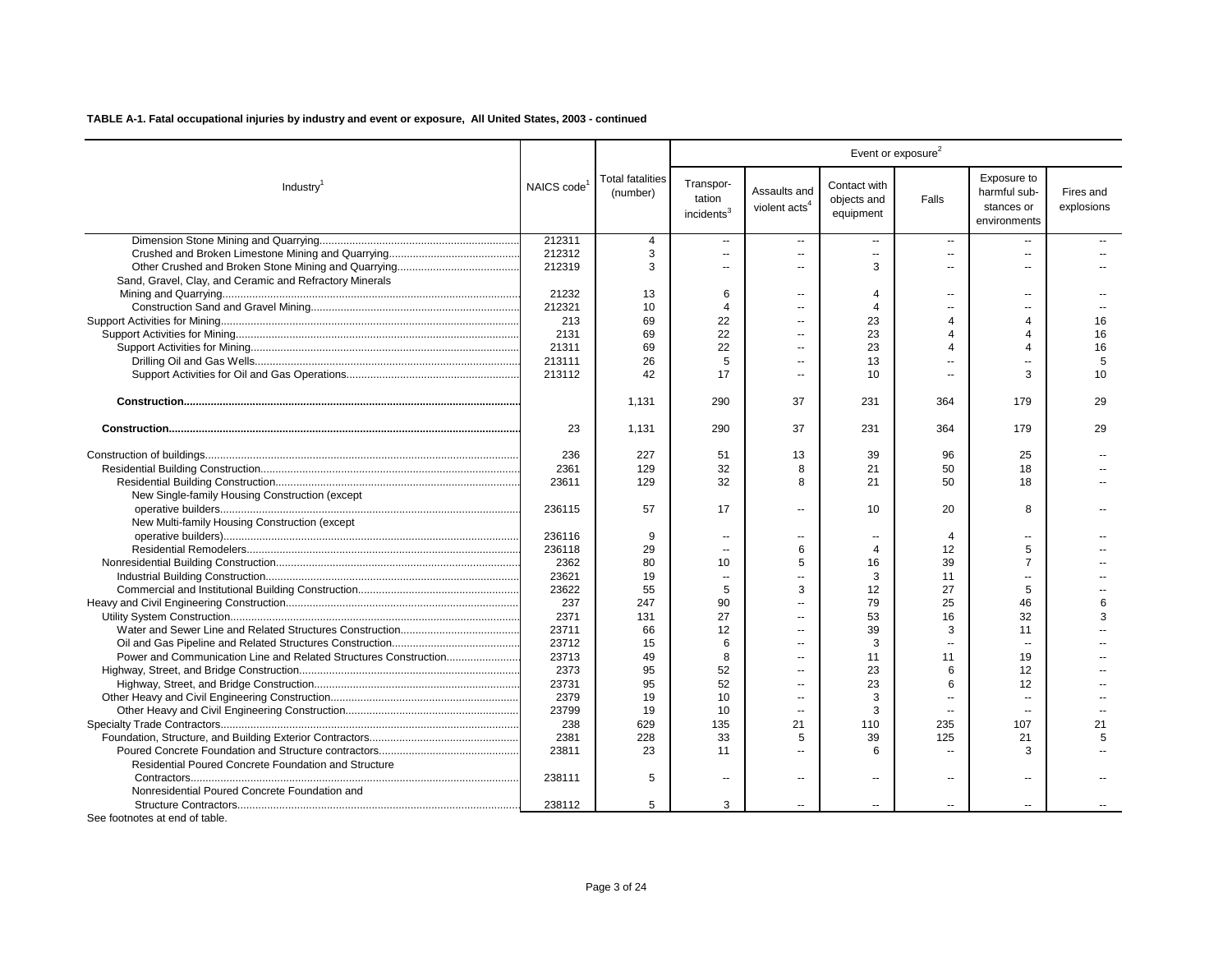|                                                                  |                         |                                     |                                               |                                           |                                          | Event or exposure <sup>2</sup> |                                                           |                         |
|------------------------------------------------------------------|-------------------------|-------------------------------------|-----------------------------------------------|-------------------------------------------|------------------------------------------|--------------------------------|-----------------------------------------------------------|-------------------------|
| Industry <sup>1</sup>                                            | NAICS code <sup>1</sup> | <b>Total fatalities</b><br>(number) | Transpor-<br>tation<br>incidents <sup>3</sup> | Assaults and<br>violent acts <sup>4</sup> | Contact with<br>objects and<br>equipment | Falls                          | Exposure to<br>harmful sub-<br>stances or<br>environments | Fires and<br>explosions |
|                                                                  | 212311                  | 4                                   | $\sim$                                        | $\overline{\phantom{a}}$                  | $\overline{\phantom{a}}$                 | $\sim$                         |                                                           |                         |
|                                                                  | 212312                  | 3                                   | $\overline{\phantom{a}}$                      | ш,                                        | ÷.                                       | $\overline{\phantom{a}}$       | $\overline{\phantom{a}}$                                  |                         |
|                                                                  | 212319                  | 3                                   | $\overline{\phantom{a}}$                      | --                                        | 3                                        | $\overline{\phantom{a}}$       | $\sim$                                                    |                         |
| Sand, Gravel, Clay, and Ceramic and Refractory Minerals          |                         |                                     |                                               |                                           |                                          |                                |                                                           |                         |
|                                                                  | 21232                   | 13                                  | 6                                             | $\mathbf{u}$                              | $\overline{4}$                           | $\sim$                         | $\sim$                                                    |                         |
|                                                                  | 212321                  | 10                                  | $\overline{4}$                                | $\overline{a}$                            | 4                                        | $\sim$                         | $\sim$                                                    |                         |
|                                                                  | 213                     | 69                                  | 22                                            | --                                        | 23                                       | $\overline{4}$                 | 4                                                         | 16                      |
|                                                                  | 2131                    | 69                                  | 22                                            |                                           | 23                                       | 4                              | $\Delta$                                                  | 16                      |
|                                                                  | 21311                   | 69                                  | 22                                            | --                                        | 23                                       | 4                              | $\Delta$                                                  | 16                      |
|                                                                  | 213111                  | 26                                  | 5                                             | $\overline{a}$                            | 13                                       | $\sim$                         |                                                           | 5                       |
|                                                                  | 213112                  | 42                                  | 17                                            | --                                        | 10                                       | $\sim$                         | 3                                                         | 10                      |
|                                                                  |                         | 1,131                               | 290                                           | 37                                        | 231                                      | 364                            | 179                                                       | 29                      |
|                                                                  | 23                      | 1,131                               | 290                                           | 37                                        | 231                                      | 364                            | 179                                                       | 29                      |
|                                                                  | 236                     | 227                                 | 51                                            | 13                                        | 39                                       | 96                             | 25                                                        |                         |
|                                                                  | 2361                    | 129                                 | 32                                            | 8                                         | 21                                       | 50                             | 18                                                        |                         |
|                                                                  | 23611                   | 129                                 | 32                                            | 8                                         | 21                                       | 50                             | 18                                                        |                         |
| New Single-family Housing Construction (except                   |                         |                                     |                                               |                                           |                                          |                                |                                                           |                         |
|                                                                  | 236115                  | 57                                  | 17                                            | $\overline{\phantom{a}}$                  | 10                                       | 20                             | 8                                                         |                         |
| New Multi-family Housing Construction (except                    |                         |                                     |                                               |                                           |                                          |                                |                                                           |                         |
|                                                                  | 236116                  | 9                                   | $\overline{\phantom{a}}$                      | --                                        |                                          | 4                              | $\overline{a}$                                            |                         |
|                                                                  | 236118                  | 29                                  | $\sim$                                        | 6                                         | $\overline{4}$                           | 12                             | 5                                                         |                         |
|                                                                  | 2362                    | 80                                  | 10                                            | 5                                         | 16                                       | 39                             | $\overline{7}$                                            |                         |
|                                                                  | 23621                   | 19                                  | $\overline{\phantom{a}}$                      | $\overline{a}$                            | 3                                        | 11                             | $\sim$                                                    |                         |
|                                                                  | 23622                   | 55                                  | 5                                             | 3                                         | 12                                       | 27                             | 5                                                         |                         |
|                                                                  | 237                     | 247                                 | 90                                            | $\overline{a}$                            | 79                                       | 25                             | 46                                                        | 6                       |
|                                                                  | 2371                    | 131                                 | 27                                            | $\overline{a}$                            | 53                                       | 16                             | 32                                                        | 3                       |
|                                                                  | 23711                   | 66                                  | $12 \overline{ }$                             | $\overline{a}$                            | 39                                       | 3                              | 11                                                        |                         |
|                                                                  | 23712                   | 15                                  | 6                                             | $\overline{a}$                            | 3                                        | $\sim$                         |                                                           |                         |
| Power and Communication Line and Related Structures Construction | 23713                   | 49                                  | 8                                             | $\overline{a}$                            | 11                                       | 11                             | 19                                                        |                         |
|                                                                  | 2373                    | 95                                  | 52                                            | $\overline{a}$                            | 23                                       | 6                              | 12                                                        |                         |
|                                                                  | 23731                   | 95                                  | 52                                            | $\overline{a}$                            | 23                                       | 6                              | 12                                                        |                         |
|                                                                  | 2379                    | 19                                  | 10                                            | $\overline{a}$                            | 3                                        | $\sim$                         | $\sim$                                                    |                         |
|                                                                  | 23799                   | 19                                  | 10                                            | $\sim$                                    | 3                                        | $\overline{\phantom{a}}$       | $\sim$                                                    |                         |
|                                                                  | 238                     | 629                                 | 135                                           | 21                                        | 110                                      | 235                            | 107                                                       | 21                      |
|                                                                  | 2381                    | 228                                 | 33                                            | 5                                         | 39                                       | 125                            | 21                                                        | 5                       |
|                                                                  | 23811                   | 23                                  | 11                                            |                                           | 6                                        | $\sim$                         | 3                                                         |                         |
| Residential Poured Concrete Foundation and Structure             |                         |                                     |                                               |                                           |                                          |                                |                                                           |                         |
|                                                                  | 238111                  | 5                                   | $\overline{\phantom{a}}$                      | --                                        |                                          | $\overline{\phantom{a}}$       | $\sim$                                                    |                         |
| Nonresidential Poured Concrete Foundation and                    |                         |                                     |                                               |                                           |                                          |                                |                                                           |                         |
|                                                                  | 238112                  | 5                                   | 3                                             |                                           | $\overline{a}$                           | $\sim$                         | $\overline{a}$                                            |                         |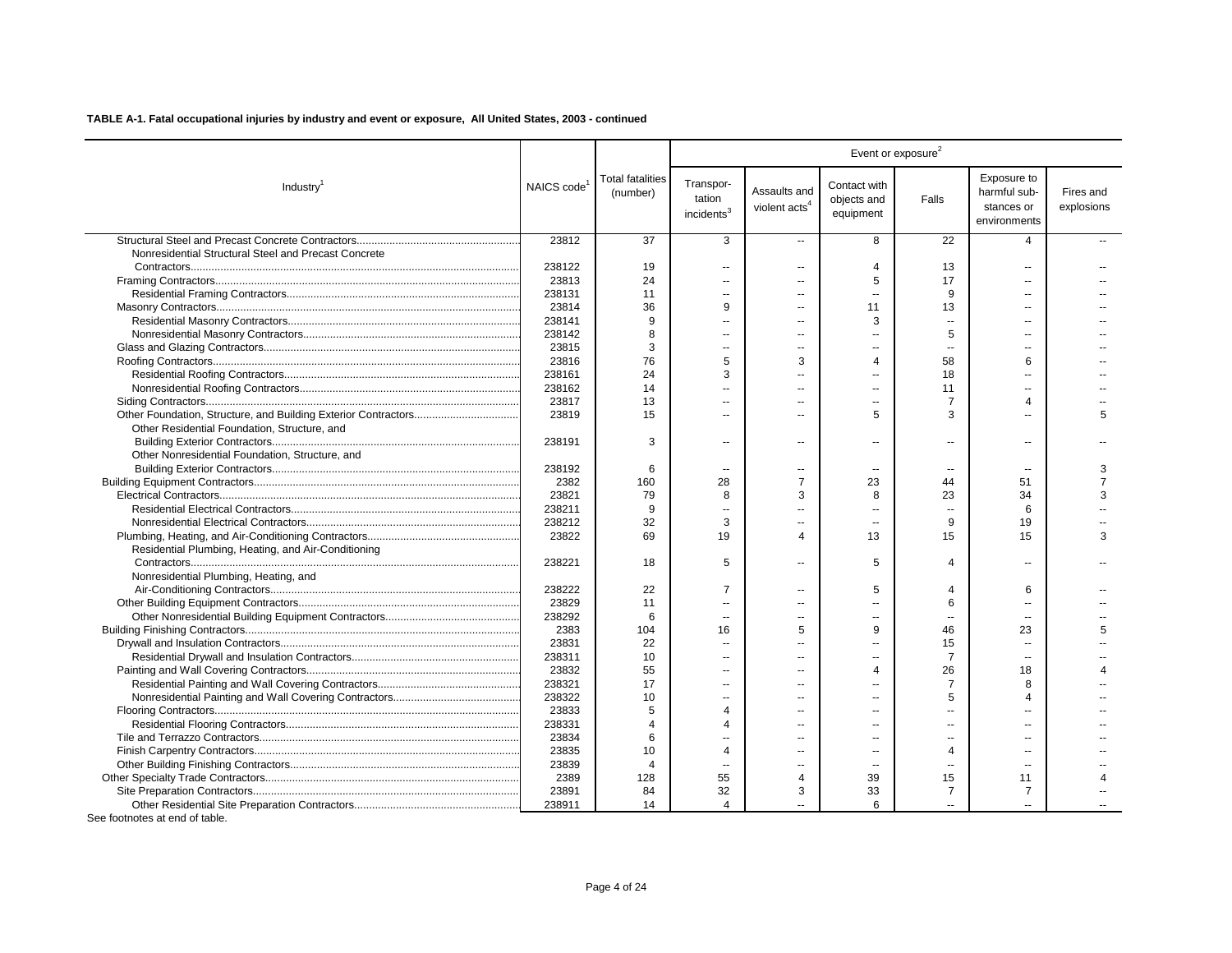|                                                      |                         |                                     |                                               |                                           |                                          | Event or exposure <sup>2</sup> |                                                           |                         |
|------------------------------------------------------|-------------------------|-------------------------------------|-----------------------------------------------|-------------------------------------------|------------------------------------------|--------------------------------|-----------------------------------------------------------|-------------------------|
| Industry <sup>1</sup>                                | NAICS code <sup>1</sup> | <b>Total fatalities</b><br>(number) | Transpor-<br>tation<br>incidents <sup>3</sup> | Assaults and<br>violent acts <sup>4</sup> | Contact with<br>objects and<br>equipment | Falls                          | Exposure to<br>harmful sub-<br>stances or<br>environments | Fires and<br>explosions |
|                                                      | 23812                   | 37                                  | 3                                             | $\overline{\phantom{a}}$                  | 8                                        | 22                             | 4                                                         |                         |
| Nonresidential Structural Steel and Precast Concrete |                         |                                     |                                               |                                           |                                          |                                |                                                           |                         |
|                                                      | 238122                  | 19                                  | $\sim$                                        | $\overline{a}$                            | $\overline{4}$                           | 13                             |                                                           |                         |
|                                                      | 23813                   | 24                                  | $\sim$                                        | ۰.                                        | 5                                        | 17                             |                                                           |                         |
|                                                      | 238131                  | 11                                  | $\sim$                                        | ۰.                                        | $\overline{\phantom{a}}$                 | 9                              | $\overline{a}$                                            |                         |
|                                                      | 23814                   | 36                                  | 9                                             | $\overline{a}$                            | 11                                       | 13                             |                                                           |                         |
|                                                      | 238141                  | 9                                   | $\sim$                                        | $\overline{a}$                            | 3                                        | $\sim$                         | $\sim$                                                    |                         |
|                                                      | 238142                  | 8                                   | Ξ.                                            | $\overline{a}$                            | $\overline{a}$                           | 5                              |                                                           |                         |
|                                                      | 23815                   | 3                                   | $\overline{\phantom{a}}$                      | --                                        | $\overline{\phantom{a}}$                 | $\overline{\phantom{a}}$       |                                                           |                         |
|                                                      | 23816                   | 76                                  | 5                                             | 3                                         | 4                                        | 58                             | 6                                                         |                         |
|                                                      | 238161                  | 24                                  | 3                                             | $\overline{a}$                            | ш.                                       | 18                             |                                                           |                         |
|                                                      | 238162                  | 14                                  | $\sim$                                        | $\overline{a}$                            | $\overline{a}$                           | 11                             |                                                           |                         |
|                                                      | 23817                   | 13                                  | $\sim$                                        | $\overline{a}$                            | $\sim$                                   | $\overline{7}$                 | $\overline{4}$                                            |                         |
|                                                      | 23819                   | 15                                  | $\sim$                                        | $\overline{a}$                            | 5                                        | 3                              |                                                           | 5                       |
| Other Residential Foundation, Structure, and         |                         |                                     |                                               |                                           |                                          |                                |                                                           |                         |
|                                                      | 238191                  | 3                                   | $\sim$                                        | $\overline{a}$                            | $\overline{\phantom{a}}$                 | $\overline{a}$                 | $\sim$ $\sim$                                             |                         |
| Other Nonresidential Foundation, Structure, and      |                         |                                     |                                               |                                           |                                          |                                |                                                           |                         |
|                                                      | 238192                  | 6                                   | $\overline{\phantom{a}}$                      | --                                        | --                                       | $\overline{\phantom{a}}$       |                                                           | 3                       |
|                                                      | 2382                    | 160                                 | 28                                            | $\overline{7}$                            | 23                                       | 44                             | 51                                                        |                         |
|                                                      | 23821                   | 79                                  | 8                                             | 3                                         | 8                                        | 23                             | 34                                                        | З                       |
|                                                      | 238211                  | 9                                   | н.                                            | ۰.                                        |                                          | $\overline{\phantom{a}}$       | 6                                                         |                         |
|                                                      | 238212                  | 32                                  | 3                                             | ۰.                                        | $\overline{a}$                           | 9                              | 19                                                        |                         |
|                                                      | 23822                   | 69                                  | 19                                            | $\Delta$                                  | 13                                       | 15                             | 15                                                        | 3                       |
| Residential Plumbing, Heating, and Air-Conditioning  | 238221                  | 18                                  | 5                                             | $\overline{a}$                            | 5                                        | $\overline{4}$                 |                                                           |                         |
| Nonresidential Plumbing, Heating, and                |                         |                                     |                                               |                                           |                                          |                                |                                                           |                         |
|                                                      | 238222                  | 22                                  | $\overline{7}$                                | $\overline{a}$                            | 5                                        | 4                              | 6                                                         |                         |
|                                                      | 23829                   | 11                                  | $\sim$                                        | $\overline{a}$                            | $\sim$                                   | 6                              | $\overline{a}$                                            |                         |
|                                                      | 238292                  | 6                                   | $\sim$                                        | $\overline{a}$                            | $\overline{a}$                           | $\overline{\phantom{a}}$       |                                                           |                         |
|                                                      | 2383                    | 104                                 | 16                                            | 5                                         | 9                                        | 46                             | 23                                                        | 5                       |
|                                                      | 23831                   | 22                                  | $\overline{\phantom{a}}$                      |                                           |                                          | 15                             |                                                           |                         |
|                                                      | 238311                  | 10                                  | $\overline{\phantom{a}}$                      | $\overline{a}$                            |                                          | $\overline{7}$                 |                                                           |                         |
|                                                      | 23832                   | 55                                  | $\overline{\phantom{a}}$                      | $\overline{a}$                            | 4                                        | 26                             | 18                                                        |                         |
|                                                      | 238321                  | 17                                  | Ξ.                                            |                                           |                                          | $\overline{7}$                 | 8                                                         |                         |
|                                                      | 238322                  | 10                                  | Ξ.                                            |                                           |                                          | 5                              | Δ                                                         |                         |
|                                                      | 23833                   | 5                                   | $\overline{4}$                                | $\overline{a}$                            | $\overline{a}$                           | $\overline{a}$                 |                                                           |                         |
|                                                      | 238331                  | $\Delta$                            | $\overline{4}$                                | $\overline{a}$                            |                                          | $\overline{a}$                 |                                                           |                         |
|                                                      | 23834                   | 6                                   | $\sim$                                        | $\overline{a}$                            | ш.                                       | $\overline{a}$                 | $\sim$                                                    |                         |
|                                                      | 23835                   | 10                                  | $\overline{4}$                                | $\overline{a}$                            | --                                       | 4                              |                                                           |                         |
|                                                      | 23839                   | $\overline{4}$                      | $\sim$                                        | $\overline{a}$                            | $\sim$                                   | $\sim$                         | $\sim$ $\sim$                                             |                         |
|                                                      | 2389                    | 128                                 | 55                                            | 4                                         | 39                                       | 15                             | 11                                                        |                         |
|                                                      | 23891                   | 84                                  | 32                                            | 3                                         | 33                                       | 7                              | 7                                                         |                         |
|                                                      | 238911                  | 14                                  | $\overline{4}$                                |                                           | 6                                        |                                |                                                           |                         |
|                                                      |                         |                                     |                                               |                                           |                                          |                                |                                                           |                         |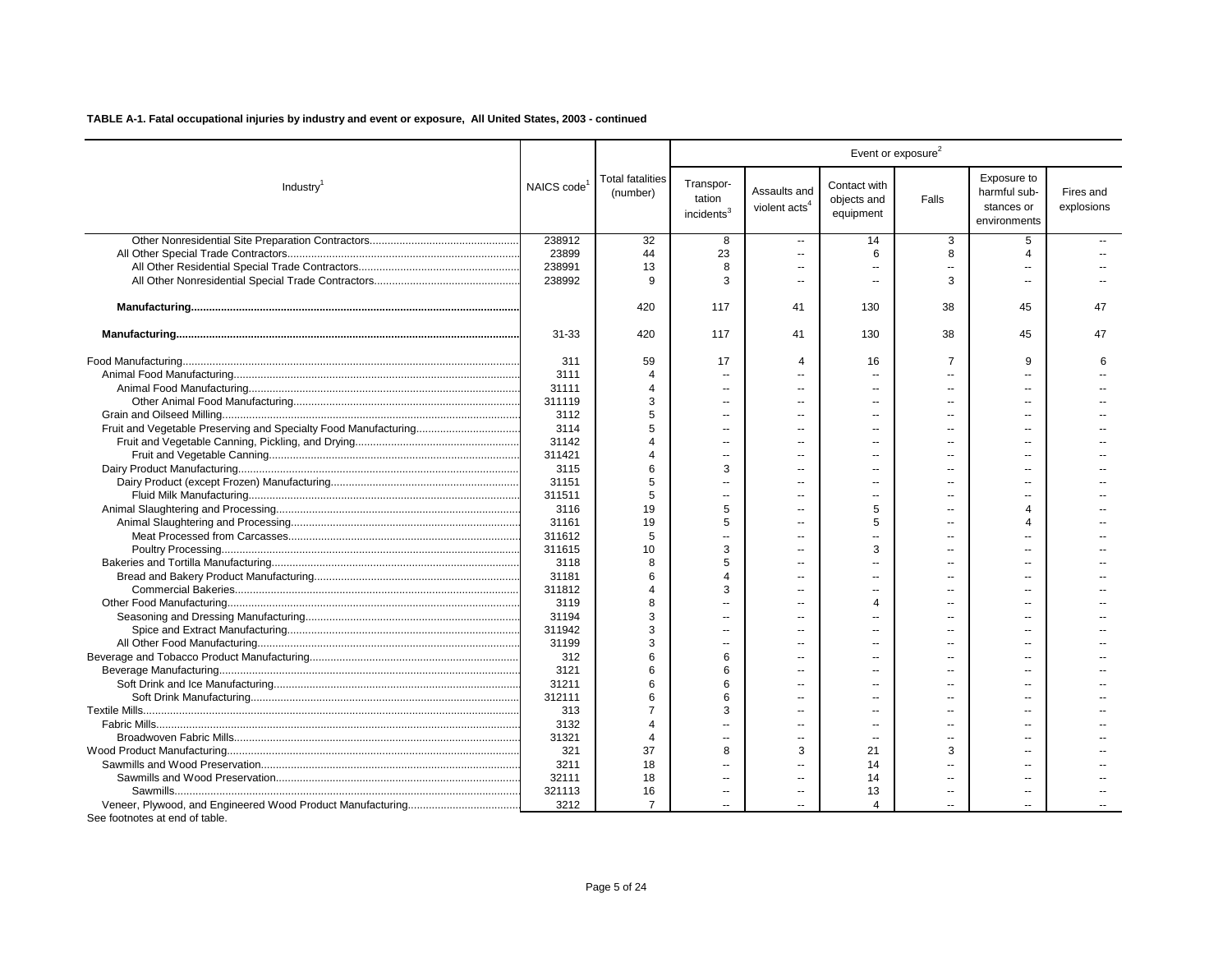| Exposure to<br><b>Total fatalities</b><br>Transpor-<br>Contact with<br>NAICS code<br>Industry <sup>1</sup><br>Assaults and<br>harmful sub-<br>Fires and<br>(number)<br>tation<br>objects and<br>Falls<br>violent acts <sup>4</sup><br>stances or<br>explosions<br>incidents <sup>3</sup><br>equipment<br>environments<br>238912<br>32<br>5<br>8<br>14<br>3<br>$\overline{a}$<br>23899<br>23<br>44<br>6<br>8<br>$\overline{4}$<br>$\sim$<br>238991<br>13<br>8<br>$\overline{\phantom{a}}$<br>$\overline{\phantom{a}}$<br>238992<br>9<br>3<br>3<br>$\overline{a}$<br>$\overline{a}$<br>420<br>130<br>117<br>41<br>38<br>45<br>47<br>$31 - 33$<br>420<br>117<br>130<br>38<br>45<br>47<br>41<br>311<br>59<br>17<br>16<br>$\overline{7}$<br>9<br>$\overline{4}$<br>6<br>3111<br>$\Delta$<br>$\overline{a}$<br>$\overline{a}$<br>$\sim$<br>$\sim$<br>31111<br>$\overline{4}$<br>$\sim$<br>$\overline{a}$<br>$\sim$<br>3<br>311119<br>$\overline{a}$<br>$\overline{a}$<br>3112<br>5<br>$\sim$<br>$\sim$<br>5<br>3114<br>ш.<br>$-$<br>$\sim$<br>$-$<br>31142<br>4<br>311421<br>Δ<br>$\overline{a}$<br>$\overline{a}$<br>$\overline{a}$<br>$\sim$<br>6<br>3115<br>3<br>31151<br>5<br>$\overline{a}$<br>$\overline{a}$<br>5<br>311511<br>19<br>5<br>3116<br>5<br>4<br>31161<br>19<br>5<br>5<br>Δ<br>$\overline{a}$<br>311612<br>5<br>$\overline{a}$<br>$\overline{a}$<br>311615<br>10<br>3<br>3<br>$\overline{a}$<br>3118<br>8<br>5<br>$\sim$<br>$\overline{a}$<br>$\sim$<br>31181<br>6<br>Δ<br>ш.<br>$\sim$<br>311812<br>$\Delta$<br>3<br>$\overline{a}$<br>3119<br>8<br>4<br>$\overline{a}$<br>31194<br>3<br>3<br>311942<br>$\sim$<br>$\sim$<br>$\sim$<br>$\sim$<br>31199<br>3<br>6<br>312<br>6<br>$\sim$<br>$\overline{a}$<br>$\overline{a}$<br>$\sim$<br>3121<br>6<br>6<br>$\sim$<br>31211<br>6<br>6<br>$\overline{a}$<br>$\overline{a}$<br>$\overline{a}$<br>312111<br>6<br>6<br>$\overline{a}$<br>313<br>3<br>$\overline{a}$<br>$\overline{a}$<br>$\sim$<br>3132<br>$\Delta$<br>$\overline{a}$<br>$\overline{a}$<br>31321<br>$\overline{4}$<br>$\overline{a}$<br>$\overline{a}$<br>$\sim$<br>$\overline{a}$<br>$\overline{\phantom{a}}$<br>37<br>321<br>8<br>3<br>21<br>3<br>18<br>3211<br>14<br>$\sim$<br>32111<br>18<br>14<br>÷-<br>321113<br>16<br>13<br>$\sim$<br>$\overline{a}$<br>$\overline{\phantom{a}}$<br>$\overline{\phantom{a}}$<br>3212<br>$\overline{7}$<br>4 |  |  |  | Event or exposure <sup>2</sup> |  |
|-------------------------------------------------------------------------------------------------------------------------------------------------------------------------------------------------------------------------------------------------------------------------------------------------------------------------------------------------------------------------------------------------------------------------------------------------------------------------------------------------------------------------------------------------------------------------------------------------------------------------------------------------------------------------------------------------------------------------------------------------------------------------------------------------------------------------------------------------------------------------------------------------------------------------------------------------------------------------------------------------------------------------------------------------------------------------------------------------------------------------------------------------------------------------------------------------------------------------------------------------------------------------------------------------------------------------------------------------------------------------------------------------------------------------------------------------------------------------------------------------------------------------------------------------------------------------------------------------------------------------------------------------------------------------------------------------------------------------------------------------------------------------------------------------------------------------------------------------------------------------------------------------------------------------------------------------------------------------------------------------------------------------------------------------------------------------------------------------------------------------------------------------------------------------------------------------------------------------------------------------------------------------------------------------------------------------------------------------------------------------|--|--|--|--------------------------------|--|
|                                                                                                                                                                                                                                                                                                                                                                                                                                                                                                                                                                                                                                                                                                                                                                                                                                                                                                                                                                                                                                                                                                                                                                                                                                                                                                                                                                                                                                                                                                                                                                                                                                                                                                                                                                                                                                                                                                                                                                                                                                                                                                                                                                                                                                                                                                                                                                         |  |  |  |                                |  |
|                                                                                                                                                                                                                                                                                                                                                                                                                                                                                                                                                                                                                                                                                                                                                                                                                                                                                                                                                                                                                                                                                                                                                                                                                                                                                                                                                                                                                                                                                                                                                                                                                                                                                                                                                                                                                                                                                                                                                                                                                                                                                                                                                                                                                                                                                                                                                                         |  |  |  |                                |  |
|                                                                                                                                                                                                                                                                                                                                                                                                                                                                                                                                                                                                                                                                                                                                                                                                                                                                                                                                                                                                                                                                                                                                                                                                                                                                                                                                                                                                                                                                                                                                                                                                                                                                                                                                                                                                                                                                                                                                                                                                                                                                                                                                                                                                                                                                                                                                                                         |  |  |  |                                |  |
|                                                                                                                                                                                                                                                                                                                                                                                                                                                                                                                                                                                                                                                                                                                                                                                                                                                                                                                                                                                                                                                                                                                                                                                                                                                                                                                                                                                                                                                                                                                                                                                                                                                                                                                                                                                                                                                                                                                                                                                                                                                                                                                                                                                                                                                                                                                                                                         |  |  |  |                                |  |
|                                                                                                                                                                                                                                                                                                                                                                                                                                                                                                                                                                                                                                                                                                                                                                                                                                                                                                                                                                                                                                                                                                                                                                                                                                                                                                                                                                                                                                                                                                                                                                                                                                                                                                                                                                                                                                                                                                                                                                                                                                                                                                                                                                                                                                                                                                                                                                         |  |  |  |                                |  |
|                                                                                                                                                                                                                                                                                                                                                                                                                                                                                                                                                                                                                                                                                                                                                                                                                                                                                                                                                                                                                                                                                                                                                                                                                                                                                                                                                                                                                                                                                                                                                                                                                                                                                                                                                                                                                                                                                                                                                                                                                                                                                                                                                                                                                                                                                                                                                                         |  |  |  |                                |  |
|                                                                                                                                                                                                                                                                                                                                                                                                                                                                                                                                                                                                                                                                                                                                                                                                                                                                                                                                                                                                                                                                                                                                                                                                                                                                                                                                                                                                                                                                                                                                                                                                                                                                                                                                                                                                                                                                                                                                                                                                                                                                                                                                                                                                                                                                                                                                                                         |  |  |  |                                |  |
|                                                                                                                                                                                                                                                                                                                                                                                                                                                                                                                                                                                                                                                                                                                                                                                                                                                                                                                                                                                                                                                                                                                                                                                                                                                                                                                                                                                                                                                                                                                                                                                                                                                                                                                                                                                                                                                                                                                                                                                                                                                                                                                                                                                                                                                                                                                                                                         |  |  |  |                                |  |
|                                                                                                                                                                                                                                                                                                                                                                                                                                                                                                                                                                                                                                                                                                                                                                                                                                                                                                                                                                                                                                                                                                                                                                                                                                                                                                                                                                                                                                                                                                                                                                                                                                                                                                                                                                                                                                                                                                                                                                                                                                                                                                                                                                                                                                                                                                                                                                         |  |  |  |                                |  |
|                                                                                                                                                                                                                                                                                                                                                                                                                                                                                                                                                                                                                                                                                                                                                                                                                                                                                                                                                                                                                                                                                                                                                                                                                                                                                                                                                                                                                                                                                                                                                                                                                                                                                                                                                                                                                                                                                                                                                                                                                                                                                                                                                                                                                                                                                                                                                                         |  |  |  |                                |  |
|                                                                                                                                                                                                                                                                                                                                                                                                                                                                                                                                                                                                                                                                                                                                                                                                                                                                                                                                                                                                                                                                                                                                                                                                                                                                                                                                                                                                                                                                                                                                                                                                                                                                                                                                                                                                                                                                                                                                                                                                                                                                                                                                                                                                                                                                                                                                                                         |  |  |  |                                |  |
|                                                                                                                                                                                                                                                                                                                                                                                                                                                                                                                                                                                                                                                                                                                                                                                                                                                                                                                                                                                                                                                                                                                                                                                                                                                                                                                                                                                                                                                                                                                                                                                                                                                                                                                                                                                                                                                                                                                                                                                                                                                                                                                                                                                                                                                                                                                                                                         |  |  |  |                                |  |
|                                                                                                                                                                                                                                                                                                                                                                                                                                                                                                                                                                                                                                                                                                                                                                                                                                                                                                                                                                                                                                                                                                                                                                                                                                                                                                                                                                                                                                                                                                                                                                                                                                                                                                                                                                                                                                                                                                                                                                                                                                                                                                                                                                                                                                                                                                                                                                         |  |  |  |                                |  |
|                                                                                                                                                                                                                                                                                                                                                                                                                                                                                                                                                                                                                                                                                                                                                                                                                                                                                                                                                                                                                                                                                                                                                                                                                                                                                                                                                                                                                                                                                                                                                                                                                                                                                                                                                                                                                                                                                                                                                                                                                                                                                                                                                                                                                                                                                                                                                                         |  |  |  |                                |  |
|                                                                                                                                                                                                                                                                                                                                                                                                                                                                                                                                                                                                                                                                                                                                                                                                                                                                                                                                                                                                                                                                                                                                                                                                                                                                                                                                                                                                                                                                                                                                                                                                                                                                                                                                                                                                                                                                                                                                                                                                                                                                                                                                                                                                                                                                                                                                                                         |  |  |  |                                |  |
|                                                                                                                                                                                                                                                                                                                                                                                                                                                                                                                                                                                                                                                                                                                                                                                                                                                                                                                                                                                                                                                                                                                                                                                                                                                                                                                                                                                                                                                                                                                                                                                                                                                                                                                                                                                                                                                                                                                                                                                                                                                                                                                                                                                                                                                                                                                                                                         |  |  |  |                                |  |
|                                                                                                                                                                                                                                                                                                                                                                                                                                                                                                                                                                                                                                                                                                                                                                                                                                                                                                                                                                                                                                                                                                                                                                                                                                                                                                                                                                                                                                                                                                                                                                                                                                                                                                                                                                                                                                                                                                                                                                                                                                                                                                                                                                                                                                                                                                                                                                         |  |  |  |                                |  |
|                                                                                                                                                                                                                                                                                                                                                                                                                                                                                                                                                                                                                                                                                                                                                                                                                                                                                                                                                                                                                                                                                                                                                                                                                                                                                                                                                                                                                                                                                                                                                                                                                                                                                                                                                                                                                                                                                                                                                                                                                                                                                                                                                                                                                                                                                                                                                                         |  |  |  |                                |  |
|                                                                                                                                                                                                                                                                                                                                                                                                                                                                                                                                                                                                                                                                                                                                                                                                                                                                                                                                                                                                                                                                                                                                                                                                                                                                                                                                                                                                                                                                                                                                                                                                                                                                                                                                                                                                                                                                                                                                                                                                                                                                                                                                                                                                                                                                                                                                                                         |  |  |  |                                |  |
|                                                                                                                                                                                                                                                                                                                                                                                                                                                                                                                                                                                                                                                                                                                                                                                                                                                                                                                                                                                                                                                                                                                                                                                                                                                                                                                                                                                                                                                                                                                                                                                                                                                                                                                                                                                                                                                                                                                                                                                                                                                                                                                                                                                                                                                                                                                                                                         |  |  |  |                                |  |
|                                                                                                                                                                                                                                                                                                                                                                                                                                                                                                                                                                                                                                                                                                                                                                                                                                                                                                                                                                                                                                                                                                                                                                                                                                                                                                                                                                                                                                                                                                                                                                                                                                                                                                                                                                                                                                                                                                                                                                                                                                                                                                                                                                                                                                                                                                                                                                         |  |  |  |                                |  |
|                                                                                                                                                                                                                                                                                                                                                                                                                                                                                                                                                                                                                                                                                                                                                                                                                                                                                                                                                                                                                                                                                                                                                                                                                                                                                                                                                                                                                                                                                                                                                                                                                                                                                                                                                                                                                                                                                                                                                                                                                                                                                                                                                                                                                                                                                                                                                                         |  |  |  |                                |  |
|                                                                                                                                                                                                                                                                                                                                                                                                                                                                                                                                                                                                                                                                                                                                                                                                                                                                                                                                                                                                                                                                                                                                                                                                                                                                                                                                                                                                                                                                                                                                                                                                                                                                                                                                                                                                                                                                                                                                                                                                                                                                                                                                                                                                                                                                                                                                                                         |  |  |  |                                |  |
|                                                                                                                                                                                                                                                                                                                                                                                                                                                                                                                                                                                                                                                                                                                                                                                                                                                                                                                                                                                                                                                                                                                                                                                                                                                                                                                                                                                                                                                                                                                                                                                                                                                                                                                                                                                                                                                                                                                                                                                                                                                                                                                                                                                                                                                                                                                                                                         |  |  |  |                                |  |
|                                                                                                                                                                                                                                                                                                                                                                                                                                                                                                                                                                                                                                                                                                                                                                                                                                                                                                                                                                                                                                                                                                                                                                                                                                                                                                                                                                                                                                                                                                                                                                                                                                                                                                                                                                                                                                                                                                                                                                                                                                                                                                                                                                                                                                                                                                                                                                         |  |  |  |                                |  |
|                                                                                                                                                                                                                                                                                                                                                                                                                                                                                                                                                                                                                                                                                                                                                                                                                                                                                                                                                                                                                                                                                                                                                                                                                                                                                                                                                                                                                                                                                                                                                                                                                                                                                                                                                                                                                                                                                                                                                                                                                                                                                                                                                                                                                                                                                                                                                                         |  |  |  |                                |  |
|                                                                                                                                                                                                                                                                                                                                                                                                                                                                                                                                                                                                                                                                                                                                                                                                                                                                                                                                                                                                                                                                                                                                                                                                                                                                                                                                                                                                                                                                                                                                                                                                                                                                                                                                                                                                                                                                                                                                                                                                                                                                                                                                                                                                                                                                                                                                                                         |  |  |  |                                |  |
|                                                                                                                                                                                                                                                                                                                                                                                                                                                                                                                                                                                                                                                                                                                                                                                                                                                                                                                                                                                                                                                                                                                                                                                                                                                                                                                                                                                                                                                                                                                                                                                                                                                                                                                                                                                                                                                                                                                                                                                                                                                                                                                                                                                                                                                                                                                                                                         |  |  |  |                                |  |
|                                                                                                                                                                                                                                                                                                                                                                                                                                                                                                                                                                                                                                                                                                                                                                                                                                                                                                                                                                                                                                                                                                                                                                                                                                                                                                                                                                                                                                                                                                                                                                                                                                                                                                                                                                                                                                                                                                                                                                                                                                                                                                                                                                                                                                                                                                                                                                         |  |  |  |                                |  |
|                                                                                                                                                                                                                                                                                                                                                                                                                                                                                                                                                                                                                                                                                                                                                                                                                                                                                                                                                                                                                                                                                                                                                                                                                                                                                                                                                                                                                                                                                                                                                                                                                                                                                                                                                                                                                                                                                                                                                                                                                                                                                                                                                                                                                                                                                                                                                                         |  |  |  |                                |  |
|                                                                                                                                                                                                                                                                                                                                                                                                                                                                                                                                                                                                                                                                                                                                                                                                                                                                                                                                                                                                                                                                                                                                                                                                                                                                                                                                                                                                                                                                                                                                                                                                                                                                                                                                                                                                                                                                                                                                                                                                                                                                                                                                                                                                                                                                                                                                                                         |  |  |  |                                |  |
|                                                                                                                                                                                                                                                                                                                                                                                                                                                                                                                                                                                                                                                                                                                                                                                                                                                                                                                                                                                                                                                                                                                                                                                                                                                                                                                                                                                                                                                                                                                                                                                                                                                                                                                                                                                                                                                                                                                                                                                                                                                                                                                                                                                                                                                                                                                                                                         |  |  |  |                                |  |
|                                                                                                                                                                                                                                                                                                                                                                                                                                                                                                                                                                                                                                                                                                                                                                                                                                                                                                                                                                                                                                                                                                                                                                                                                                                                                                                                                                                                                                                                                                                                                                                                                                                                                                                                                                                                                                                                                                                                                                                                                                                                                                                                                                                                                                                                                                                                                                         |  |  |  |                                |  |
|                                                                                                                                                                                                                                                                                                                                                                                                                                                                                                                                                                                                                                                                                                                                                                                                                                                                                                                                                                                                                                                                                                                                                                                                                                                                                                                                                                                                                                                                                                                                                                                                                                                                                                                                                                                                                                                                                                                                                                                                                                                                                                                                                                                                                                                                                                                                                                         |  |  |  |                                |  |
|                                                                                                                                                                                                                                                                                                                                                                                                                                                                                                                                                                                                                                                                                                                                                                                                                                                                                                                                                                                                                                                                                                                                                                                                                                                                                                                                                                                                                                                                                                                                                                                                                                                                                                                                                                                                                                                                                                                                                                                                                                                                                                                                                                                                                                                                                                                                                                         |  |  |  |                                |  |
|                                                                                                                                                                                                                                                                                                                                                                                                                                                                                                                                                                                                                                                                                                                                                                                                                                                                                                                                                                                                                                                                                                                                                                                                                                                                                                                                                                                                                                                                                                                                                                                                                                                                                                                                                                                                                                                                                                                                                                                                                                                                                                                                                                                                                                                                                                                                                                         |  |  |  |                                |  |
|                                                                                                                                                                                                                                                                                                                                                                                                                                                                                                                                                                                                                                                                                                                                                                                                                                                                                                                                                                                                                                                                                                                                                                                                                                                                                                                                                                                                                                                                                                                                                                                                                                                                                                                                                                                                                                                                                                                                                                                                                                                                                                                                                                                                                                                                                                                                                                         |  |  |  |                                |  |
|                                                                                                                                                                                                                                                                                                                                                                                                                                                                                                                                                                                                                                                                                                                                                                                                                                                                                                                                                                                                                                                                                                                                                                                                                                                                                                                                                                                                                                                                                                                                                                                                                                                                                                                                                                                                                                                                                                                                                                                                                                                                                                                                                                                                                                                                                                                                                                         |  |  |  |                                |  |
|                                                                                                                                                                                                                                                                                                                                                                                                                                                                                                                                                                                                                                                                                                                                                                                                                                                                                                                                                                                                                                                                                                                                                                                                                                                                                                                                                                                                                                                                                                                                                                                                                                                                                                                                                                                                                                                                                                                                                                                                                                                                                                                                                                                                                                                                                                                                                                         |  |  |  |                                |  |
|                                                                                                                                                                                                                                                                                                                                                                                                                                                                                                                                                                                                                                                                                                                                                                                                                                                                                                                                                                                                                                                                                                                                                                                                                                                                                                                                                                                                                                                                                                                                                                                                                                                                                                                                                                                                                                                                                                                                                                                                                                                                                                                                                                                                                                                                                                                                                                         |  |  |  |                                |  |
|                                                                                                                                                                                                                                                                                                                                                                                                                                                                                                                                                                                                                                                                                                                                                                                                                                                                                                                                                                                                                                                                                                                                                                                                                                                                                                                                                                                                                                                                                                                                                                                                                                                                                                                                                                                                                                                                                                                                                                                                                                                                                                                                                                                                                                                                                                                                                                         |  |  |  |                                |  |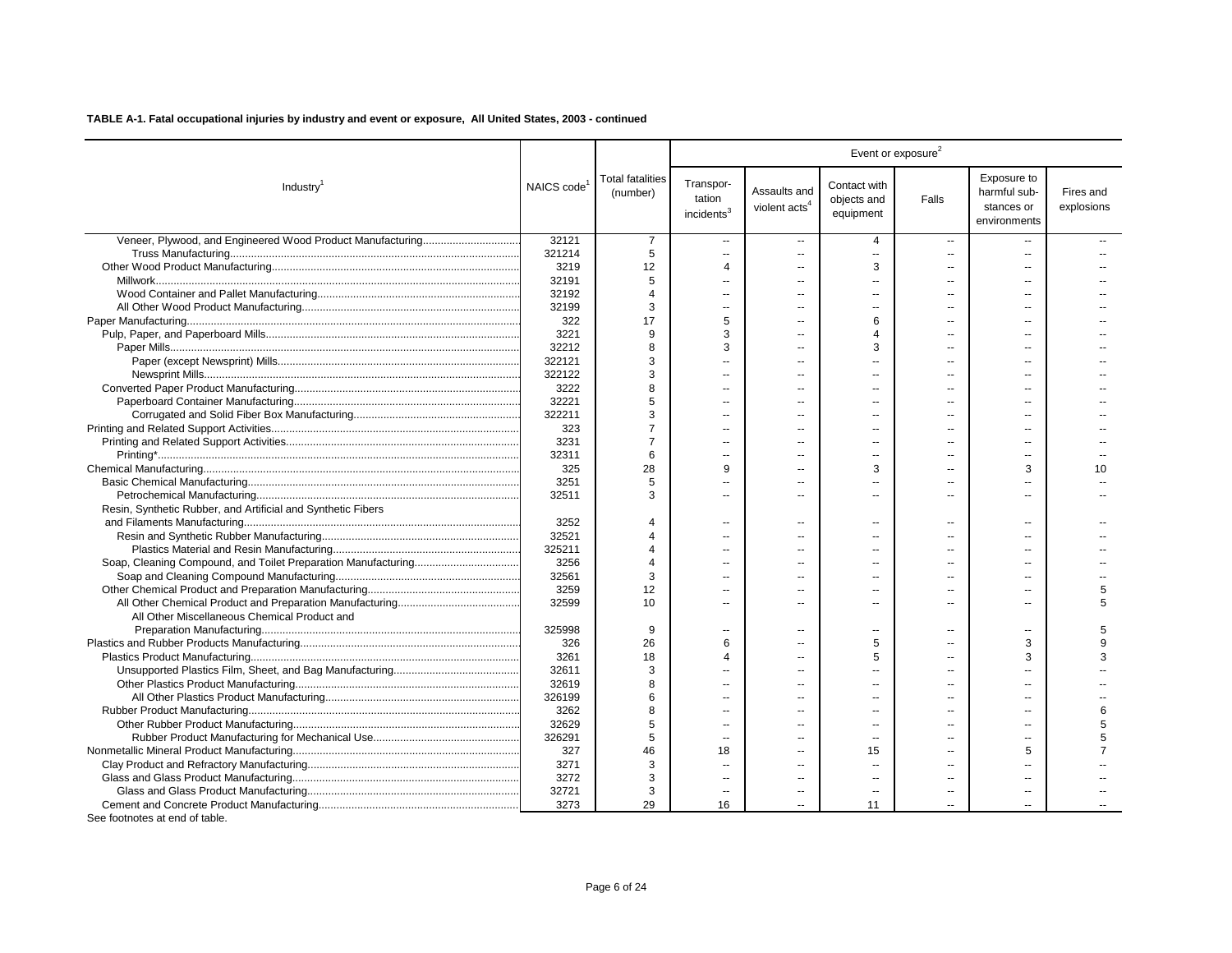|                                                              |                         |                                     |                                               |                                           |                                          | Event or exposure <sup>2</sup> |                                                           |                         |
|--------------------------------------------------------------|-------------------------|-------------------------------------|-----------------------------------------------|-------------------------------------------|------------------------------------------|--------------------------------|-----------------------------------------------------------|-------------------------|
| Industry <sup>1</sup>                                        | NAICS code <sup>1</sup> | <b>Total fatalities</b><br>(number) | Transpor-<br>tation<br>incidents <sup>3</sup> | Assaults and<br>violent acts <sup>4</sup> | Contact with<br>objects and<br>equipment | Falls                          | Exposure to<br>harmful sub-<br>stances or<br>environments | Fires and<br>explosions |
|                                                              | 32121                   | 7                                   | $\overline{\phantom{a}}$                      | --                                        | 4                                        | $\overline{\phantom{a}}$       |                                                           |                         |
|                                                              | 321214                  | 5                                   | $\sim$                                        | $\overline{a}$                            | $\sim$                                   | $\overline{a}$                 | $\sim$                                                    |                         |
|                                                              | 3219                    | 12                                  | $\overline{4}$                                | $\overline{a}$                            | 3                                        | $\sim$                         |                                                           |                         |
|                                                              | 32191                   | 5                                   | $\overline{a}$                                | $\overline{a}$                            |                                          |                                |                                                           |                         |
|                                                              | 32192                   | $\overline{4}$                      | $\overline{\phantom{a}}$                      |                                           |                                          |                                |                                                           |                         |
|                                                              | 32199                   | 3                                   | $\sim$                                        | --                                        |                                          |                                |                                                           |                         |
|                                                              | 322                     | 17                                  | 5                                             | --                                        | 6                                        | $\overline{a}$                 |                                                           |                         |
|                                                              | 3221                    | 9                                   | 3                                             | --                                        |                                          |                                |                                                           |                         |
|                                                              | 32212                   | 8                                   | 3                                             | --                                        | 3                                        | $\overline{a}$                 |                                                           |                         |
|                                                              | 322121                  | 3                                   |                                               | --                                        |                                          |                                |                                                           |                         |
|                                                              | 322122                  | 3                                   | $\sim$                                        | --                                        |                                          | $\overline{a}$                 |                                                           |                         |
|                                                              | 3222                    | 8                                   | $\overline{a}$                                | $\overline{a}$                            |                                          |                                |                                                           |                         |
|                                                              | 32221                   | 5                                   | $\overline{\phantom{a}}$                      |                                           |                                          |                                |                                                           |                         |
|                                                              | 322211                  | 3                                   | $\overline{\phantom{a}}$                      | ٠.                                        |                                          |                                |                                                           |                         |
|                                                              | 323                     |                                     | $\overline{a}$                                |                                           |                                          |                                |                                                           |                         |
|                                                              | 3231                    | 7                                   | $\overline{a}$                                | --                                        |                                          | $\overline{a}$                 | $\sim$                                                    |                         |
|                                                              | 32311                   | 6                                   | $\sim$                                        | a.                                        |                                          |                                | $\sim$                                                    |                         |
|                                                              | 325                     | 28                                  | 9                                             | --                                        | 3                                        |                                | 3                                                         | 10                      |
|                                                              | 3251                    | 5                                   | $\overline{a}$                                | --                                        |                                          |                                |                                                           |                         |
|                                                              | 32511                   | 3                                   | $\overline{\phantom{a}}$                      |                                           |                                          |                                |                                                           |                         |
| Resin, Synthetic Rubber, and Artificial and Synthetic Fibers |                         |                                     |                                               |                                           |                                          |                                |                                                           |                         |
|                                                              | 3252                    | $\overline{4}$                      | $\overline{\phantom{a}}$                      | $\overline{\phantom{a}}$                  |                                          | $\overline{a}$                 | $\sim$                                                    |                         |
|                                                              | 32521                   | $\Delta$                            | $\sim$                                        | $\sim$                                    |                                          |                                |                                                           |                         |
|                                                              | 325211                  | $\Delta$                            | $\overline{a}$                                |                                           |                                          |                                |                                                           |                         |
|                                                              | 3256                    |                                     | $\sim$                                        | $\overline{a}$                            |                                          |                                | $\sim$                                                    |                         |
|                                                              | 32561                   | 3                                   |                                               |                                           |                                          |                                |                                                           |                         |
|                                                              | 3259                    | 12                                  | $\sim$                                        |                                           |                                          |                                |                                                           | 5                       |
|                                                              | 32599                   | 10                                  | $\overline{a}$                                | a.                                        | $\sim$                                   | $\sim$                         | $\sim$                                                    | 5                       |
| All Other Miscellaneous Chemical Product and                 |                         |                                     |                                               |                                           |                                          |                                |                                                           |                         |
|                                                              | 325998                  | 9                                   | $\overline{\phantom{a}}$                      | $\overline{a}$                            |                                          | $\sim$                         |                                                           |                         |
|                                                              | 326                     | 26                                  | 6                                             | $\overline{a}$                            | 5                                        | $\sim$                         | 3                                                         | 9                       |
|                                                              | 3261                    | 18                                  | $\Delta$                                      |                                           | 5                                        |                                | 3                                                         | 3                       |
|                                                              | 32611                   | 3                                   | $\sim$                                        | $\overline{a}$                            |                                          |                                |                                                           |                         |
|                                                              | 32619                   | я                                   | $\ddotsc$                                     | --                                        |                                          |                                |                                                           |                         |
|                                                              | 326199                  | 6                                   | $\overline{\phantom{a}}$                      |                                           |                                          |                                |                                                           |                         |
|                                                              | 3262                    | 8                                   | $\ddotsc$                                     | --                                        |                                          |                                |                                                           | 6                       |
|                                                              | 32629                   | 5                                   | $\sim$                                        | --                                        |                                          |                                | $\sim$                                                    | 5                       |
|                                                              | 326291                  | 5                                   | $\overline{a}$                                | --                                        | $\overline{\phantom{a}}$                 |                                |                                                           |                         |
|                                                              | 327                     | 46                                  | 18                                            |                                           | 15                                       |                                | 5                                                         | $\overline{7}$          |
|                                                              | 3271                    | 3                                   | $\overline{\phantom{a}}$                      | $\overline{a}$                            |                                          |                                | $\sim$                                                    |                         |
|                                                              | 3272                    | 3                                   | $\overline{a}$                                |                                           |                                          |                                |                                                           |                         |
|                                                              | 32721                   | 3                                   | $\overline{\phantom{a}}$                      | $\overline{a}$                            | $\overline{\phantom{a}}$                 | $\overline{\phantom{a}}$       | $\overline{a}$                                            |                         |
|                                                              | 3273                    | 29                                  | 16                                            |                                           | 11                                       |                                | $\sim$                                                    |                         |
| See footnotes at end of table.                               |                         |                                     |                                               |                                           |                                          |                                |                                                           |                         |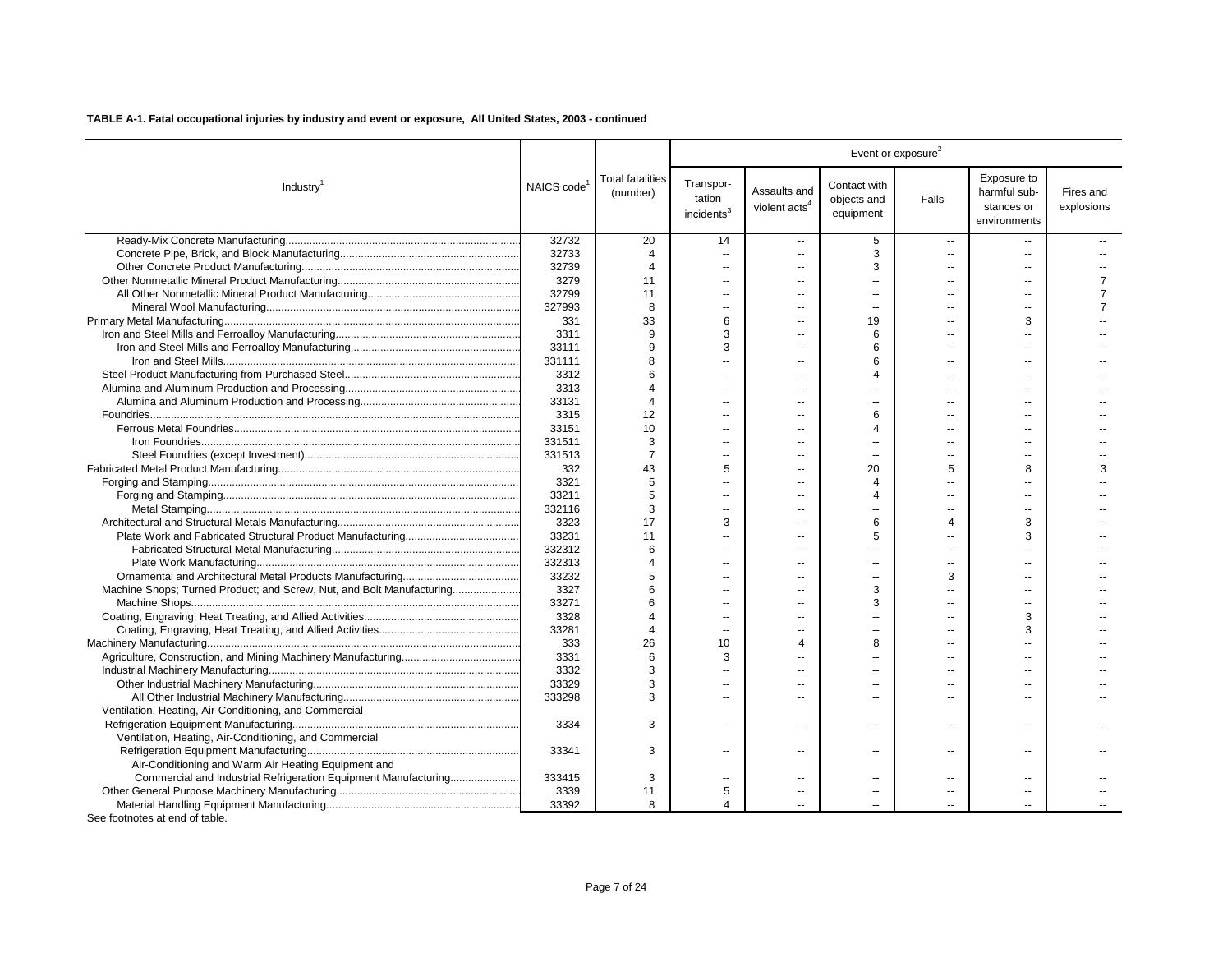|                                                                       |            |                                     |                                               |                                           |                                          | Event or exposure <sup>2</sup> |                                                           |                         |
|-----------------------------------------------------------------------|------------|-------------------------------------|-----------------------------------------------|-------------------------------------------|------------------------------------------|--------------------------------|-----------------------------------------------------------|-------------------------|
| Industry <sup>1</sup>                                                 | NAICS code | <b>Total fatalities</b><br>(number) | Transpor-<br>tation<br>incidents <sup>3</sup> | Assaults and<br>violent acts <sup>4</sup> | Contact with<br>objects and<br>equipment | Falls                          | Exposure to<br>harmful sub-<br>stances or<br>environments | Fires and<br>explosions |
|                                                                       | 32732      | 20                                  | 14                                            | $\overline{\phantom{a}}$                  | 5                                        | $\overline{\phantom{a}}$       |                                                           |                         |
|                                                                       | 32733      | $\overline{4}$                      | $\sim$                                        | $\overline{a}$                            | 3                                        | $\sim$                         | $\sim$                                                    |                         |
|                                                                       | 32739      | $\overline{4}$                      | $\sim$                                        | $\sim$                                    | 3                                        | $\sim$                         | $\sim$                                                    |                         |
|                                                                       | 3279       | 11                                  | $\overline{a}$                                | $\overline{a}$                            |                                          | $\sim$                         | $\overline{a}$                                            | $\overline{7}$          |
|                                                                       | 32799      | 11                                  | $\overline{\phantom{a}}$                      |                                           |                                          | $\sim$                         |                                                           | $\overline{7}$          |
|                                                                       | 327993     | 8                                   | $\overline{a}$                                | $\sim$                                    |                                          | $\sim$                         | $\sim$                                                    | $\overline{7}$          |
|                                                                       | 331        | 33                                  | 6                                             | $\overline{a}$                            | 19                                       | $\sim$                         | 3                                                         |                         |
|                                                                       | 3311       | 9                                   | 3                                             | $\overline{a}$                            | 6                                        | $\overline{\phantom{a}}$       | $\sim$                                                    |                         |
|                                                                       | 33111      | 9                                   | 3                                             | $\sim$                                    | 6                                        | $\sim$                         | х.                                                        |                         |
|                                                                       | 331111     | 8                                   | $\overline{a}$                                | $\overline{a}$                            | 6                                        | $\sim$                         | $\sim$                                                    |                         |
|                                                                       | 3312       | 6                                   | $\sim$                                        | $\overline{a}$                            |                                          | $\sim$                         | $\overline{a}$                                            |                         |
|                                                                       | 3313       | Δ                                   | $\overline{a}$                                | $\overline{a}$                            |                                          | $\sim$                         | $\sim$                                                    |                         |
|                                                                       | 33131      | $\Delta$                            | $\overline{a}$                                |                                           |                                          | $\overline{a}$                 |                                                           |                         |
|                                                                       | 3315       | 12                                  | $\overline{\phantom{a}}$                      | $\overline{a}$                            | 6                                        | $\sim$                         | $\overline{a}$                                            |                         |
|                                                                       | 33151      | 10                                  | $\overline{a}$                                |                                           | $\Delta$                                 | $\sim$                         | $\sim$                                                    |                         |
|                                                                       | 331511     | 3                                   | $\overline{a}$                                | $\overline{a}$                            |                                          | $\overline{\phantom{a}}$       | $\overline{a}$                                            |                         |
|                                                                       | 331513     | $\overline{7}$                      | $\overline{a}$                                | $\sim$                                    | $\overline{a}$                           | $\overline{a}$                 | $\sim$ $\sim$                                             |                         |
|                                                                       | 332        | 43                                  | 5                                             | $\sim$                                    | 20                                       | 5                              | 8                                                         | 3                       |
|                                                                       | 3321       | 5                                   |                                               | $\overline{a}$                            | Δ                                        | $\sim$                         |                                                           |                         |
|                                                                       | 33211      | 5                                   | $\overline{\phantom{a}}$                      |                                           |                                          | ä.                             |                                                           |                         |
|                                                                       | 332116     | 3                                   | $\overline{a}$                                | $\overline{a}$                            |                                          | $\overline{\phantom{a}}$       | $\overline{a}$                                            |                         |
|                                                                       | 3323       | 17                                  | 3                                             | $\sim$                                    | 6                                        | $\overline{4}$                 | 3                                                         |                         |
|                                                                       | 33231      | 11                                  | $\overline{a}$                                | $\overline{a}$                            | 5                                        | $\sim$                         | 3                                                         |                         |
|                                                                       | 332312     | 6                                   | $\sim$                                        |                                           |                                          | $\overline{a}$                 |                                                           |                         |
|                                                                       | 332313     | Δ                                   | $\sim$                                        | $\overline{a}$                            |                                          | $\overline{a}$                 | $\sim$                                                    |                         |
|                                                                       | 33232      | 5                                   |                                               |                                           |                                          | 3                              |                                                           |                         |
| Machine Shops; Turned Product; and Screw, Nut, and Bolt Manufacturing | 3327       | 6                                   |                                               |                                           | 3                                        | ä.                             |                                                           |                         |
|                                                                       | 33271      | 6                                   | $\overline{a}$                                | $\sim$                                    | 3                                        | $\overline{a}$                 | $\sim$                                                    |                         |
|                                                                       | 3328       | Δ                                   | $\sim$                                        | $\overline{a}$                            |                                          | $\sim$                         | 3                                                         |                         |
|                                                                       | 33281      | $\Delta$                            | $\overline{a}$                                |                                           |                                          | $\sim$                         | 3                                                         |                         |
|                                                                       | 333        | 26                                  | 10                                            | 4                                         | 8                                        | $\sim$                         |                                                           |                         |
|                                                                       | 3331       | 6                                   | 3                                             |                                           |                                          | $\sim$                         |                                                           |                         |
|                                                                       | 3332       | 3                                   | $\overline{a}$                                |                                           |                                          | $\sim$                         |                                                           |                         |
|                                                                       | 33329      | 3                                   |                                               |                                           |                                          | $\overline{\phantom{a}}$       |                                                           |                         |
|                                                                       | 333298     | 3                                   | $\sim$                                        |                                           |                                          | $\sim$                         |                                                           |                         |
| Ventilation, Heating, Air-Conditioning, and Commercial                |            |                                     |                                               |                                           |                                          |                                |                                                           |                         |
|                                                                       | 3334       | 3                                   | $\sim$                                        | $\overline{a}$                            |                                          | $\sim$                         | $\sim$                                                    |                         |
| Ventilation, Heating, Air-Conditioning, and Commercial                |            |                                     |                                               |                                           |                                          |                                |                                                           |                         |
|                                                                       | 33341      | 3                                   | $\overline{a}$                                | $\overline{\phantom{a}}$                  |                                          | $\overline{\phantom{a}}$       | $\overline{\phantom{a}}$                                  |                         |
| Air-Conditioning and Warm Air Heating Equipment and                   |            |                                     |                                               |                                           |                                          |                                |                                                           |                         |
| Commercial and Industrial Refrigeration Equipment Manufacturing       | 333415     | 3                                   | $\sim$                                        |                                           |                                          | $\overline{a}$                 |                                                           |                         |
|                                                                       | 3339       | 11                                  | 5                                             | $\overline{\phantom{a}}$                  | $\overline{a}$                           | $\overline{\phantom{a}}$       | $\overline{\phantom{a}}$                                  |                         |
|                                                                       | 33392      | 8                                   | $\overline{4}$                                |                                           |                                          | $\sim$                         | $\sim$                                                    |                         |
| See footnotes at end of table.                                        |            |                                     |                                               |                                           |                                          |                                |                                                           |                         |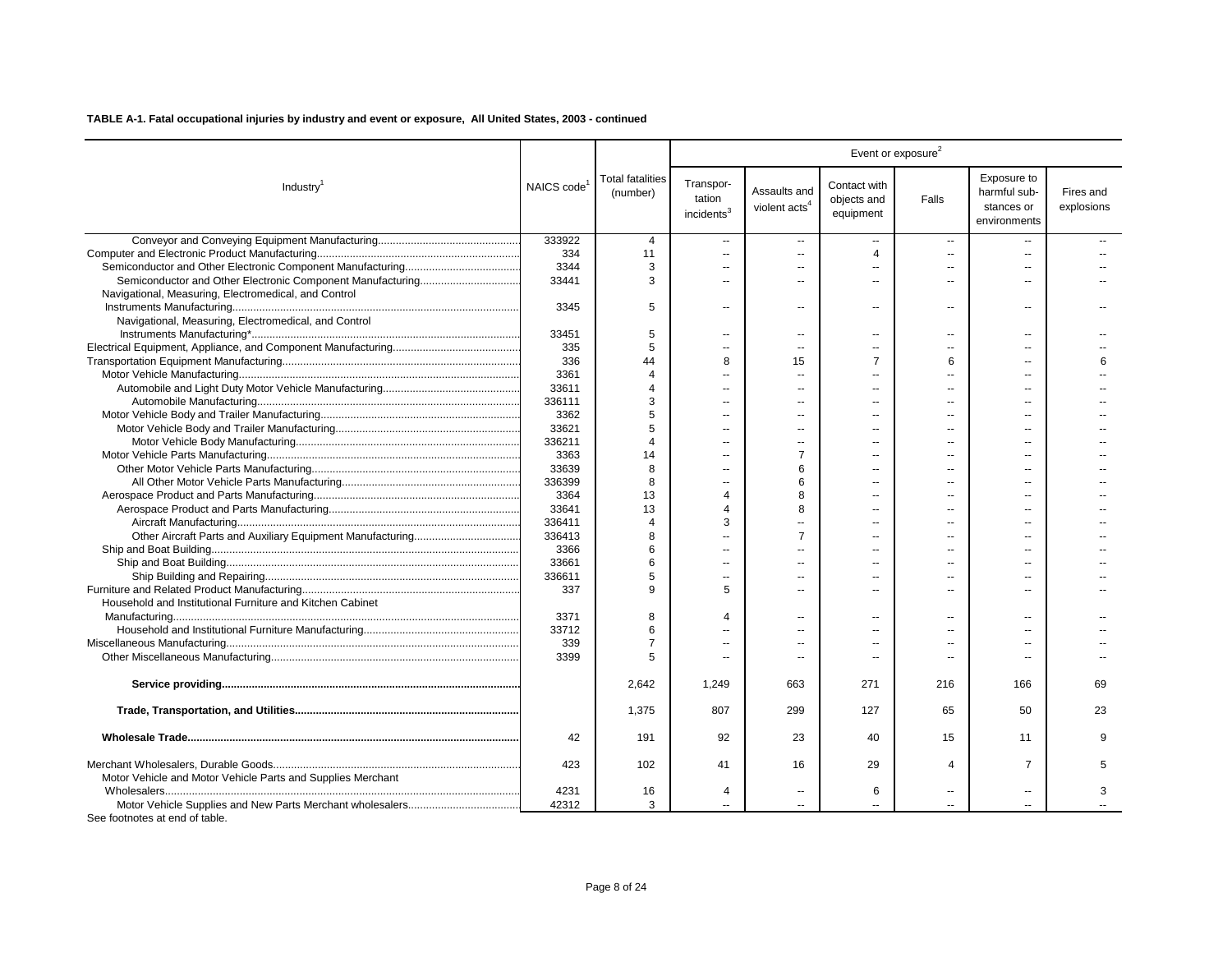|                                                             |            |                                     |                                               |                                           |                                          | Event or exposure <sup>2</sup> |                                                           |                         |
|-------------------------------------------------------------|------------|-------------------------------------|-----------------------------------------------|-------------------------------------------|------------------------------------------|--------------------------------|-----------------------------------------------------------|-------------------------|
| Industry <sup>1</sup>                                       | NAICS code | <b>Total fatalities</b><br>(number) | Transpor-<br>tation<br>incidents <sup>3</sup> | Assaults and<br>violent acts <sup>4</sup> | Contact with<br>objects and<br>equipment | Falls                          | Exposure to<br>harmful sub-<br>stances or<br>environments | Fires and<br>explosions |
|                                                             | 333922     | $\overline{4}$                      | $\overline{\phantom{a}}$                      | $\overline{a}$                            | ш.                                       | $\overline{\phantom{a}}$       | $\sim$                                                    |                         |
|                                                             | 334        | 11                                  | $\overline{\phantom{a}}$                      | $\overline{a}$                            | 4                                        | $\overline{a}$                 | $\overline{a}$                                            |                         |
|                                                             | 3344       | 3                                   | --                                            | $\overline{\phantom{a}}$                  | $\overline{\phantom{a}}$                 |                                |                                                           |                         |
|                                                             | 33441      | 3                                   | $\overline{a}$                                | $\overline{a}$                            | $\sim$                                   | $\overline{a}$                 | $\sim$                                                    |                         |
| Navigational, Measuring, Electromedical, and Control        |            |                                     |                                               |                                           |                                          |                                |                                                           |                         |
|                                                             | 3345       | 5                                   | --                                            | $\overline{\phantom{a}}$                  | $\overline{a}$                           | --                             | $\overline{\phantom{a}}$                                  |                         |
| Navigational, Measuring, Electromedical, and Control        |            |                                     |                                               |                                           |                                          |                                |                                                           |                         |
|                                                             | 33451      | 5                                   | $\overline{a}$                                | $\overline{a}$                            | $\overline{a}$                           | $\overline{\phantom{a}}$       | $\overline{a}$                                            |                         |
|                                                             | 335        | 5                                   | $\overline{a}$                                | $\sim$                                    | $\overline{a}$                           | $\overline{a}$                 | $-$                                                       |                         |
|                                                             | 336        | 44                                  | 8                                             | 15                                        | $\overline{7}$                           | 6                              |                                                           |                         |
|                                                             | 3361       | $\boldsymbol{\Delta}$               | $\sim$                                        | $\sim$                                    | $\sim$                                   | $\overline{a}$                 | $\sim$                                                    |                         |
|                                                             | 33611      | 4                                   |                                               | $\sim$                                    | $\sim$                                   |                                |                                                           |                         |
|                                                             | 336111     | 3                                   | $\overline{a}$                                | $\overline{a}$                            | $\overline{a}$                           | $\overline{a}$                 |                                                           |                         |
|                                                             | 3362       | 5                                   |                                               |                                           |                                          |                                |                                                           |                         |
|                                                             | 33621      | 5                                   | --                                            | $\sim$                                    |                                          |                                |                                                           |                         |
|                                                             | 336211     | $\overline{4}$                      |                                               |                                           |                                          |                                |                                                           |                         |
|                                                             | 3363       | 14                                  |                                               | $\overline{7}$                            |                                          |                                |                                                           |                         |
|                                                             | 33639      | 8                                   |                                               | 6                                         |                                          |                                |                                                           |                         |
|                                                             | 336399     | 8                                   | $\overline{a}$                                | 6                                         | $\overline{a}$                           | $\overline{a}$                 |                                                           |                         |
|                                                             | 3364       | 13                                  | 4                                             | 8                                         | $\overline{a}$                           |                                |                                                           |                         |
|                                                             | 33641      | 13                                  | 4                                             | 8                                         | $\overline{a}$                           |                                |                                                           |                         |
|                                                             | 336411     | $\boldsymbol{\Delta}$               | 3                                             | $\sim$                                    | $\overline{a}$                           | $\overline{a}$                 |                                                           |                         |
|                                                             | 336413     | 8                                   |                                               | $\overline{7}$                            | $\overline{a}$                           |                                |                                                           |                         |
|                                                             | 3366       | 6                                   |                                               | $\sim$                                    | $\sim$                                   | $\sim$                         |                                                           |                         |
|                                                             | 33661      | 6                                   | $\overline{a}$                                | $\sim$                                    | $-$                                      | $-$                            | $-$                                                       |                         |
|                                                             | 336611     | 5                                   | $\overline{\phantom{a}}$                      | $\overline{a}$                            | $\overline{\phantom{a}}$                 | $\overline{a}$                 | $\overline{a}$                                            |                         |
|                                                             | 337        | 9                                   | 5                                             | $\overline{a}$                            | $\overline{a}$                           | $\overline{a}$                 | $\overline{a}$                                            |                         |
| Household and Institutional Furniture and Kitchen Cabinet   |            |                                     |                                               |                                           |                                          |                                |                                                           |                         |
|                                                             | 3371       | 8                                   | 4                                             | $\overline{a}$                            | $\overline{a}$                           | --                             | $\overline{a}$                                            |                         |
|                                                             | 33712      | 6                                   |                                               | ÷.                                        | $\overline{a}$                           |                                |                                                           |                         |
|                                                             | 339        |                                     |                                               |                                           |                                          |                                |                                                           |                         |
|                                                             | 3399       | 5                                   | --                                            | $\overline{\phantom{a}}$                  | --                                       | --                             | $\overline{a}$                                            |                         |
|                                                             |            | 2,642                               | 1,249                                         | 663                                       | 271                                      | 216                            | 166                                                       | 69                      |
|                                                             |            | 1,375                               | 807                                           | 299                                       | 127                                      | 65                             | 50                                                        | 23                      |
|                                                             | 42         | 191                                 | 92                                            | 23                                        | 40                                       | 15                             | 11                                                        | q                       |
| Motor Vehicle and Motor Vehicle Parts and Supplies Merchant | 423        | 102                                 | 41                                            | 16                                        | 29                                       | $\overline{4}$                 | $\overline{7}$                                            | 5                       |
|                                                             | 4231       | 16                                  | 4                                             | $\overline{a}$                            | 6                                        | ц.                             | $\sim$                                                    | 3                       |
|                                                             | 42312      | 3                                   |                                               |                                           |                                          |                                |                                                           |                         |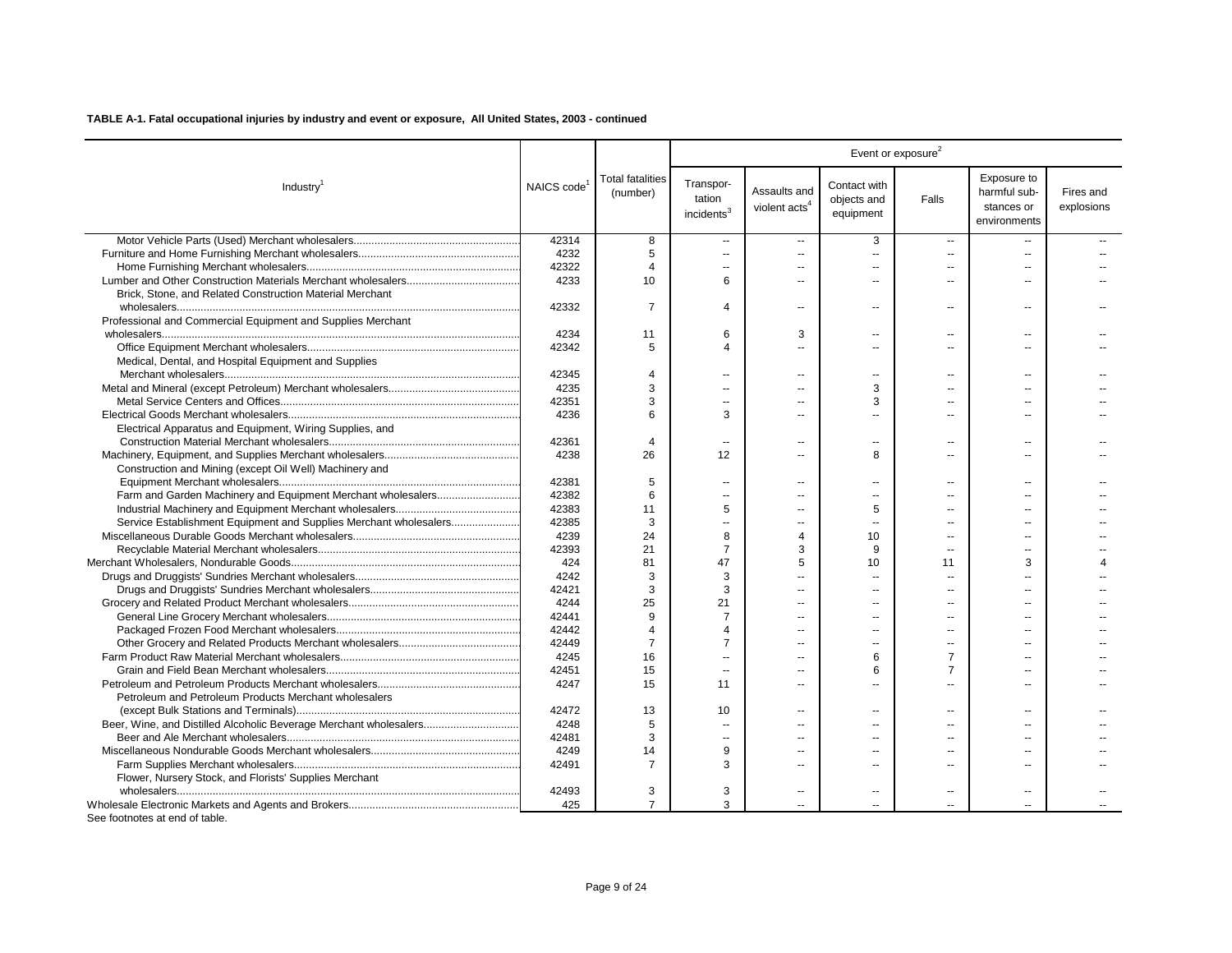|                                                                   |            |                                     |                                               |                                           |                                          | Event or exposure <sup>2</sup> |                                                           |                         |
|-------------------------------------------------------------------|------------|-------------------------------------|-----------------------------------------------|-------------------------------------------|------------------------------------------|--------------------------------|-----------------------------------------------------------|-------------------------|
| Industry <sup>1</sup>                                             | NAICS code | <b>Total fatalities</b><br>(number) | Transpor-<br>tation<br>incidents <sup>3</sup> | Assaults and<br>violent acts <sup>4</sup> | Contact with<br>objects and<br>equipment | Falls                          | Exposure to<br>harmful sub-<br>stances or<br>environments | Fires and<br>explosions |
|                                                                   | 42314      | 8                                   | $\sim$                                        | $\overline{\phantom{a}}$                  | 3                                        | $\sim$                         |                                                           |                         |
|                                                                   | 4232       | 5                                   | $\sim$                                        | $\overline{a}$                            | ÷.                                       | $\sim$                         | $\mathbf{u}$                                              |                         |
|                                                                   | 42322      | 4                                   | $\sim$                                        | $\overline{a}$                            | $\sim$                                   | $\overline{a}$                 | $\overline{a}$                                            |                         |
|                                                                   | 4233       | 10                                  | 6                                             | $\overline{\phantom{a}}$                  |                                          | $\overline{a}$                 | --                                                        |                         |
| Brick, Stone, and Related Construction Material Merchant          |            |                                     |                                               |                                           |                                          |                                |                                                           |                         |
|                                                                   | 42332      | $\overline{7}$                      | $\overline{4}$                                | $\overline{a}$                            | $-$                                      | $\sim$ $\sim$                  | $\sim$                                                    |                         |
| Professional and Commercial Equipment and Supplies Merchant       |            |                                     |                                               |                                           |                                          |                                |                                                           |                         |
|                                                                   | 4234       | 11                                  | 6                                             | 3                                         | $\sim$                                   | $\sim$ $\sim$                  | $\overline{a}$                                            |                         |
|                                                                   | 42342      | 5                                   | $\boldsymbol{\Delta}$                         | $\sim$                                    | $-$                                      | $-$                            | $\sim$                                                    |                         |
| Medical, Dental, and Hospital Equipment and Supplies              |            |                                     |                                               |                                           |                                          |                                |                                                           |                         |
|                                                                   | 42345      | 4                                   | $\sim$                                        | $\overline{a}$                            |                                          | $\overline{a}$                 |                                                           |                         |
|                                                                   | 4235       | 3                                   | $\overline{\phantom{a}}$                      | -−                                        | 3                                        |                                |                                                           |                         |
|                                                                   | 42351      | 3                                   | $\sim$                                        |                                           | 3                                        |                                |                                                           |                         |
|                                                                   | 4236       | ี                                   | 3                                             | --                                        |                                          |                                |                                                           |                         |
| Electrical Apparatus and Equipment, Wiring Supplies, and          |            |                                     |                                               |                                           |                                          |                                |                                                           |                         |
|                                                                   | 42361      | 4                                   | $\overline{\phantom{a}}$                      | $\overline{a}$                            |                                          | $\overline{a}$                 | $\sim$                                                    |                         |
|                                                                   | 4238       | 26                                  | 12                                            | $\overline{a}$                            | 8                                        | $\sim$                         | --                                                        |                         |
| Construction and Mining (except Oil Well) Machinery and           |            |                                     |                                               |                                           |                                          |                                |                                                           |                         |
|                                                                   | 42381      | 5                                   | $\overline{\phantom{a}}$                      | $\overline{a}$                            |                                          | $\overline{a}$                 |                                                           |                         |
|                                                                   | 42382      | 6                                   | $\overline{\phantom{a}}$                      | $\overline{a}$                            | $\overline{a}$                           | $\overline{a}$                 | --                                                        |                         |
|                                                                   | 42383      | 11                                  | 5                                             |                                           | 5                                        |                                |                                                           |                         |
| Service Establishment Equipment and Supplies Merchant wholesalers | 42385      | 3                                   | $\sim$                                        | $\overline{a}$                            | $\sim$                                   | $\overline{a}$                 | $\overline{a}$                                            |                         |
|                                                                   | 4239       | 24                                  | 8                                             | $\overline{4}$                            | 10                                       |                                |                                                           |                         |
|                                                                   | 42393      | 21                                  | $\overline{7}$                                | 3                                         | 9                                        | $\overline{a}$                 | $\overline{a}$                                            |                         |
|                                                                   | 424        | 81                                  | 47                                            | 5                                         | 10                                       | 11                             | 3                                                         |                         |
|                                                                   | 4242       | 3                                   | 3                                             | ٠.                                        |                                          | --                             |                                                           |                         |
|                                                                   | 42421      | 3                                   | 3                                             | a.                                        | $\sim$                                   | $\sim$                         | $\sim$                                                    |                         |
|                                                                   | 4244       | 25                                  | 21                                            | $\overline{a}$                            |                                          |                                | $-$                                                       |                         |
|                                                                   | 42441      | 9                                   | $\overline{7}$                                | --                                        |                                          |                                | --                                                        |                         |
|                                                                   | 42442      | $\overline{4}$                      | $\overline{4}$                                | $\sim$                                    | $\sim$                                   | $\sim$                         |                                                           |                         |
|                                                                   | 42449      | $\overline{7}$                      | $\overline{7}$                                | --                                        |                                          |                                |                                                           |                         |
|                                                                   | 4245       | 16                                  | $\sim$                                        | $\overline{a}$                            | 6                                        | 7                              |                                                           |                         |
|                                                                   | 42451      | 15                                  | $\sim$                                        | $\sim$                                    | 6                                        | $\overline{7}$                 | $\sim$                                                    |                         |
|                                                                   | 4247       | 15                                  | 11                                            | $\overline{a}$                            |                                          | $\overline{a}$                 | --                                                        |                         |
| Petroleum and Petroleum Products Merchant wholesalers             |            |                                     |                                               |                                           |                                          |                                |                                                           |                         |
|                                                                   | 42472      | 13                                  | 10                                            | $\overline{a}$                            |                                          |                                |                                                           |                         |
| Beer, Wine, and Distilled Alcoholic Beverage Merchant wholesalers | 4248       | 5                                   | $\sim$                                        |                                           |                                          |                                |                                                           |                         |
|                                                                   | 42481      | 3                                   | $\sim$                                        |                                           |                                          |                                |                                                           |                         |
|                                                                   | 4249       | 14                                  | 9                                             | --                                        |                                          |                                |                                                           |                         |
|                                                                   | 42491      | $\overline{7}$                      | 3                                             | $\overline{a}$                            |                                          | $\sim$                         | ш.                                                        |                         |
| Flower, Nursery Stock, and Florists' Supplies Merchant            |            |                                     |                                               |                                           |                                          |                                |                                                           |                         |
|                                                                   | 42493      | 3                                   | 3                                             | --                                        |                                          | $\overline{\phantom{a}}$       | --                                                        |                         |
|                                                                   | 425        | $\overline{7}$                      | 3                                             | $\overline{a}$                            |                                          | $\sim$                         | $\sim$                                                    |                         |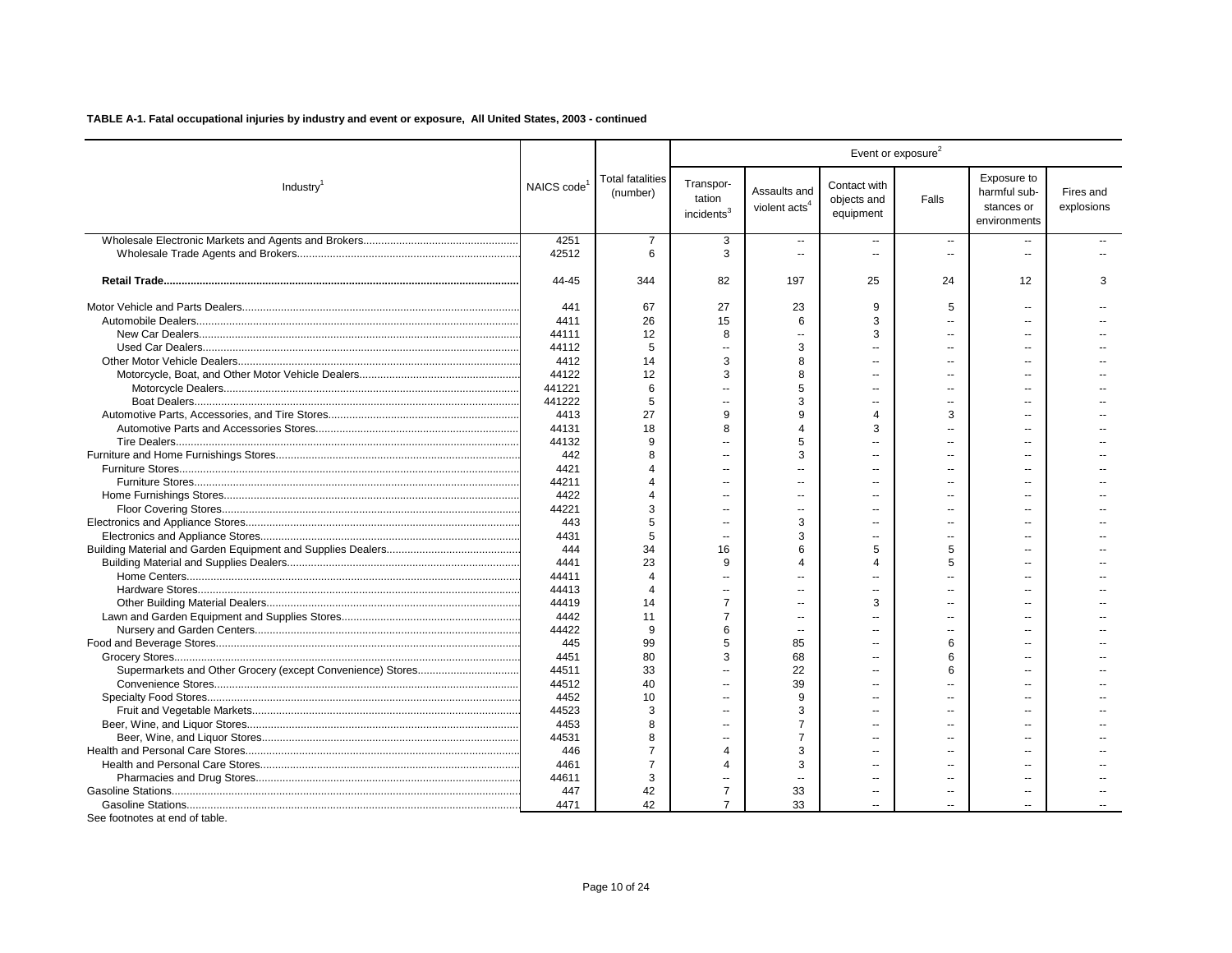| Exposure to<br><b>Total fatalities</b><br>Transpor-<br>Contact with<br>NAICS code <sup>1</sup><br>Industry <sup>1</sup><br>Assaults and<br>harmful sub-<br>(number)<br>tation<br>objects and<br>Falls<br>violent acts <sup>4</sup><br>stances or<br>incidents <sup>3</sup><br>equipment<br>environments<br>4251<br>3<br>7<br>$\overline{a}$<br>$\sim$<br>$\overline{\phantom{a}}$<br>$\overline{a}$ | Fires and<br>explosions<br>3 |
|-----------------------------------------------------------------------------------------------------------------------------------------------------------------------------------------------------------------------------------------------------------------------------------------------------------------------------------------------------------------------------------------------------|------------------------------|
|                                                                                                                                                                                                                                                                                                                                                                                                     |                              |
|                                                                                                                                                                                                                                                                                                                                                                                                     |                              |
| 42512<br>6<br>3<br>$\overline{a}$<br>$\sim$<br>$\sim$                                                                                                                                                                                                                                                                                                                                               |                              |
| 44-45<br>344<br>197<br>25<br>12<br>82<br>24                                                                                                                                                                                                                                                                                                                                                         |                              |
| 441<br>67<br>27<br>23<br>9<br>5<br>$\overline{a}$                                                                                                                                                                                                                                                                                                                                                   |                              |
| 4411<br>26<br>15<br>6<br>3<br>$\overline{a}$<br>$\sim$                                                                                                                                                                                                                                                                                                                                              |                              |
| 44111<br>12<br>3<br>8                                                                                                                                                                                                                                                                                                                                                                               |                              |
| 44112<br>5<br>3<br>$\sim$<br>$\sim$<br>$\overline{a}$<br>$\overline{a}$                                                                                                                                                                                                                                                                                                                             |                              |
| 4412<br>14<br>3<br>8<br>Ш.                                                                                                                                                                                                                                                                                                                                                                          |                              |
| 44122<br>12<br>8<br>3<br>$\sim$<br>$\sim$<br>$-$                                                                                                                                                                                                                                                                                                                                                    |                              |
| 5<br>441221<br>6<br>$\sim$                                                                                                                                                                                                                                                                                                                                                                          |                              |
| 3<br>441222<br>5<br>$\overline{a}$<br>$\sim$<br>$\overline{a}$                                                                                                                                                                                                                                                                                                                                      |                              |
| 27<br>9<br>9<br>4413<br>4<br>3                                                                                                                                                                                                                                                                                                                                                                      |                              |
| 3<br>18<br>$\overline{4}$<br>44131<br>8<br>$\overline{a}$                                                                                                                                                                                                                                                                                                                                           |                              |
| 5<br>44132<br>9<br>4                                                                                                                                                                                                                                                                                                                                                                                |                              |
| 3<br>8<br>$\overline{a}$                                                                                                                                                                                                                                                                                                                                                                            |                              |
| 442                                                                                                                                                                                                                                                                                                                                                                                                 |                              |
| 4421                                                                                                                                                                                                                                                                                                                                                                                                |                              |
| 44211                                                                                                                                                                                                                                                                                                                                                                                               |                              |
| 4422<br>÷.<br>--                                                                                                                                                                                                                                                                                                                                                                                    |                              |
| 44221<br>3<br>٠.<br>۵.                                                                                                                                                                                                                                                                                                                                                                              |                              |
| 3<br>443<br>5<br>$\overline{a}$<br>$\sim$<br>$\sim$                                                                                                                                                                                                                                                                                                                                                 |                              |
| 4431<br>5<br>3<br>$\overline{a}$<br>$\overline{a}$                                                                                                                                                                                                                                                                                                                                                  |                              |
| 444<br>34<br>16<br>6<br>5<br>5                                                                                                                                                                                                                                                                                                                                                                      |                              |
| 4441<br>23<br>9<br>$\boldsymbol{\Delta}$<br>4<br>5<br>$\sim$                                                                                                                                                                                                                                                                                                                                        |                              |
| 44411<br>$\boldsymbol{\varDelta}$<br>$\sim$                                                                                                                                                                                                                                                                                                                                                         |                              |
| 44413<br>$\overline{a}$<br>$\overline{a}$<br>$\overline{a}$                                                                                                                                                                                                                                                                                                                                         |                              |
| 3<br>44419<br>14<br>$\overline{7}$                                                                                                                                                                                                                                                                                                                                                                  |                              |
| 4442<br>$\overline{7}$<br>11<br>$\overline{a}$<br>$\overline{a}$<br>--                                                                                                                                                                                                                                                                                                                              |                              |
| 44422<br>9<br>6                                                                                                                                                                                                                                                                                                                                                                                     |                              |
| 445<br>99<br>85<br>5<br>6                                                                                                                                                                                                                                                                                                                                                                           |                              |
| 4451<br>80<br>68<br>3<br>6<br>Ш.                                                                                                                                                                                                                                                                                                                                                                    |                              |
| 33<br>44511<br>22<br>6<br>Ш.<br>$\overline{\phantom{a}}$<br>$\overline{a}$                                                                                                                                                                                                                                                                                                                          |                              |
| 40<br>44512<br>39<br>Ш.                                                                                                                                                                                                                                                                                                                                                                             |                              |
| 4452<br>10<br>9                                                                                                                                                                                                                                                                                                                                                                                     |                              |
| 44523<br>3<br>3<br>Ш.<br>$\overline{a}$                                                                                                                                                                                                                                                                                                                                                             |                              |
| 4453<br>8<br>$\overline{7}$<br>$\overline{a}$<br>$\sim$<br>$\sim$                                                                                                                                                                                                                                                                                                                                   |                              |
| 44531<br>$\overline{7}$<br>8<br>$\overline{a}$<br>$\overline{a}$<br>$\overline{a}$                                                                                                                                                                                                                                                                                                                  |                              |
| 446<br>3<br>7<br>$\overline{4}$<br>$\overline{a}$<br>$\sim$                                                                                                                                                                                                                                                                                                                                         |                              |
| 4461<br>$\overline{7}$<br>3<br>Δ<br>$\overline{a}$<br>$\sim$                                                                                                                                                                                                                                                                                                                                        |                              |
| 44611<br>3<br>$\overline{a}$                                                                                                                                                                                                                                                                                                                                                                        |                              |
| 42<br>$\overline{7}$<br>447<br>33<br>$\overline{a}$<br>$\overline{a}$<br>$\overline{\phantom{a}}$                                                                                                                                                                                                                                                                                                   |                              |
| 42<br>$\overline{7}$<br>33<br>4471                                                                                                                                                                                                                                                                                                                                                                  |                              |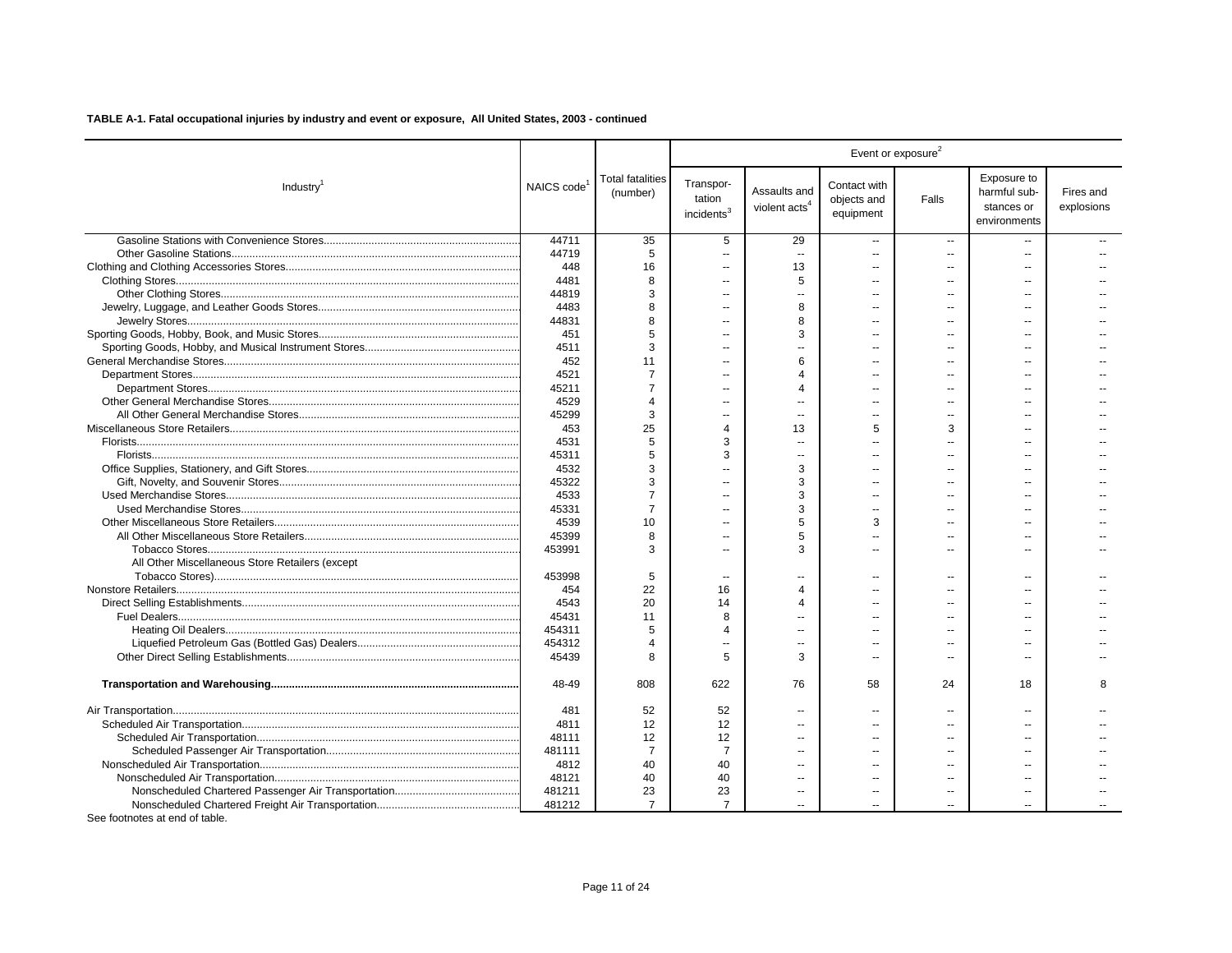|                                                 |                         |                              |                                               |                                           |                                          | Event or exposure <sup>2</sup> |                                                           |                         |
|-------------------------------------------------|-------------------------|------------------------------|-----------------------------------------------|-------------------------------------------|------------------------------------------|--------------------------------|-----------------------------------------------------------|-------------------------|
| Industry <sup>1</sup>                           | NAICS code <sup>1</sup> | Total fatalities<br>(number) | Transpor-<br>tation<br>incidents <sup>3</sup> | Assaults and<br>violent acts <sup>4</sup> | Contact with<br>objects and<br>equipment | Falls                          | Exposure to<br>harmful sub-<br>stances or<br>environments | Fires and<br>explosions |
|                                                 | 44711                   | 35                           | 5                                             | 29                                        | $\overline{a}$                           | $\sim$                         |                                                           |                         |
|                                                 | 44719                   | 5                            | $\overline{\phantom{a}}$                      | $\overline{a}$                            |                                          | $\sim$                         |                                                           |                         |
|                                                 | 448                     | 16                           | $\sim$                                        | 13                                        |                                          |                                |                                                           |                         |
|                                                 | 4481                    | 8                            | $\overline{a}$                                | 5                                         |                                          |                                |                                                           |                         |
|                                                 | 44819                   | 3                            | $\sim$                                        | $\overline{a}$                            |                                          | $\sim$                         | $\overline{a}$                                            |                         |
|                                                 | 4483                    | 8                            | Ξ.                                            | 8                                         |                                          |                                |                                                           |                         |
|                                                 | 44831                   | 8                            | $\sim$                                        | 8                                         |                                          | $\sim$                         | لمنتزل                                                    |                         |
|                                                 | 451                     | 5                            | $\overline{a}$                                | 3                                         |                                          |                                |                                                           |                         |
|                                                 | 4511                    | 3                            | $\overline{a}$                                |                                           |                                          | $\sim$                         |                                                           |                         |
|                                                 | 452                     | 11                           | Ξ.                                            | 6                                         |                                          |                                |                                                           |                         |
|                                                 | 4521                    | $\overline{7}$               | $\sim$                                        | 4                                         |                                          | $\sim$                         | $\sim$                                                    |                         |
|                                                 | 45211                   | $\overline{7}$               |                                               | 4                                         |                                          |                                |                                                           |                         |
|                                                 | 4529                    | $\overline{4}$               | $\sim$                                        | $\overline{a}$                            |                                          | $\sim$                         |                                                           |                         |
|                                                 | 45299                   | 3                            | $\sim$                                        | ш.                                        |                                          | $\sim$                         |                                                           |                         |
|                                                 | 453                     | 25                           | $\overline{4}$                                | 13                                        | 5                                        | 3                              |                                                           |                         |
|                                                 | 4531                    | 5                            | 3                                             | Ξ.                                        |                                          |                                |                                                           |                         |
|                                                 | 45311                   | 5                            | 3                                             | $\overline{a}$                            |                                          | $\overline{a}$                 |                                                           |                         |
|                                                 | 4532                    | 3                            |                                               | 3                                         |                                          |                                |                                                           |                         |
|                                                 | 45322                   | 3                            | Ξ.                                            | 3                                         |                                          |                                |                                                           |                         |
|                                                 | 4533                    | $\overline{7}$               |                                               | 3                                         |                                          |                                |                                                           |                         |
|                                                 | 45331                   | $\overline{7}$               | ٠.                                            | 3                                         |                                          |                                |                                                           |                         |
|                                                 | 4539                    | 10                           | $\sim$                                        | 5                                         | 3                                        | $\sim$                         | х.                                                        |                         |
|                                                 | 45399                   | 8                            | $\sim$                                        | 5                                         |                                          | $\overline{a}$                 |                                                           |                         |
|                                                 | 453991                  | 3                            | $\overline{a}$                                | 3                                         |                                          | $\sim$                         |                                                           |                         |
| All Other Miscellaneous Store Retailers (except |                         |                              |                                               |                                           |                                          |                                |                                                           |                         |
|                                                 | 453998                  | 5                            | $\overline{a}$                                | $\sim$                                    |                                          | $\sim$                         | $\sim$                                                    |                         |
|                                                 | 454                     | 22                           | 16                                            | 4                                         |                                          | $\overline{\phantom{a}}$       |                                                           |                         |
|                                                 | 4543                    | 20                           | 14                                            | 4                                         |                                          | $\sim$                         |                                                           |                         |
|                                                 | 45431                   | 11                           | 8                                             |                                           |                                          | $\sim$                         |                                                           |                         |
|                                                 | 454311                  | 5                            | $\overline{4}$                                | Ξ.                                        |                                          |                                |                                                           |                         |
|                                                 | 454312                  | 4                            |                                               |                                           |                                          |                                |                                                           |                         |
|                                                 | 45439                   | 8                            | 5                                             | 3                                         |                                          | $\overline{\phantom{a}}$       | $\sim$                                                    |                         |
|                                                 | 48-49                   | 808                          | 622                                           | 76                                        | 58                                       | 24                             | 18                                                        | 8                       |
|                                                 | 481                     | 52                           | 52                                            | $\overline{\phantom{a}}$                  |                                          | $\overline{\phantom{a}}$       |                                                           |                         |
|                                                 | 4811                    | 12                           | 12                                            | $\sim$                                    |                                          | $\sim$                         |                                                           |                         |
|                                                 | 48111                   | 12                           | 12                                            | $\overline{a}$                            |                                          | $\overline{a}$                 |                                                           |                         |
|                                                 | 481111                  | $\overline{7}$               | $\overline{7}$                                | --                                        |                                          | $\overline{a}$                 |                                                           |                         |
|                                                 | 4812                    | 40                           | 40                                            | $\overline{a}$                            |                                          | $\sim$                         |                                                           |                         |
|                                                 | 48121                   | 40                           | 40                                            | $\sim$                                    |                                          |                                |                                                           |                         |
|                                                 | 481211                  | 23                           | 23                                            | $\mathbf{u}$                              | $\sim$                                   | $\overline{\phantom{a}}$       | $\overline{a}$                                            |                         |
|                                                 | 481212                  | $\overline{7}$               | $\overline{7}$                                |                                           |                                          |                                |                                                           |                         |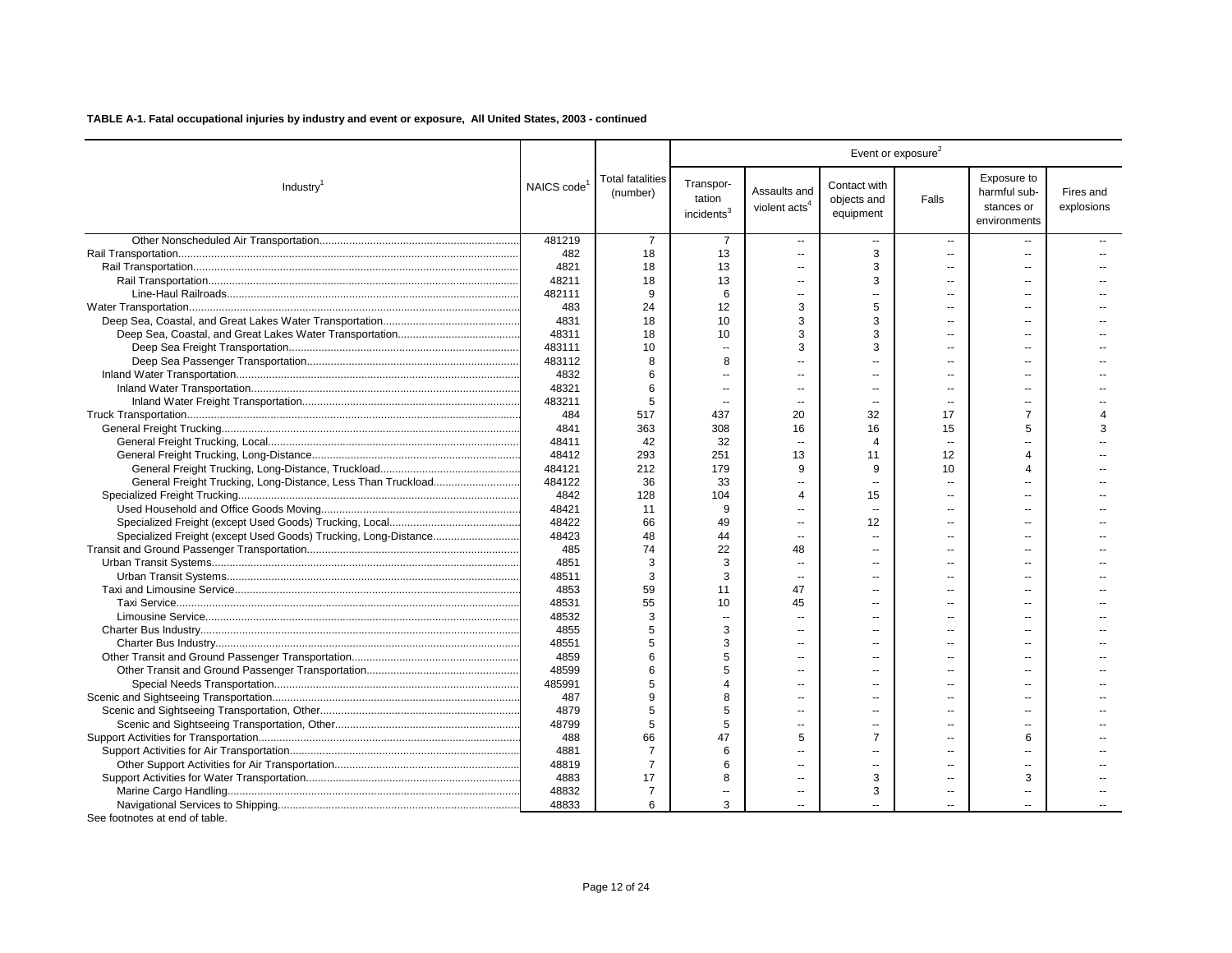|                                                              |                         |                                     |                                               |                                           |                                          | Event or exposure <sup>2</sup> |                                                           |                         |
|--------------------------------------------------------------|-------------------------|-------------------------------------|-----------------------------------------------|-------------------------------------------|------------------------------------------|--------------------------------|-----------------------------------------------------------|-------------------------|
| Industry <sup>1</sup>                                        | NAICS code <sup>1</sup> | <b>Total fatalities</b><br>(number) | Transpor-<br>tation<br>incidents <sup>3</sup> | Assaults and<br>violent acts <sup>4</sup> | Contact with<br>objects and<br>equipment | Falls                          | Exposure to<br>harmful sub-<br>stances or<br>environments | Fires and<br>explosions |
|                                                              | 481219                  | -7                                  | 7                                             | $\sim$                                    | $\sim$                                   | $\sim$                         |                                                           |                         |
|                                                              | 482                     | 18                                  | 13                                            | $\overline{a}$                            | 3                                        | $\sim$                         | --                                                        |                         |
|                                                              | 4821                    | 18                                  | 13                                            | $\overline{a}$                            | 3                                        | $\sim$                         | $\sim$                                                    |                         |
|                                                              | 48211                   | 18                                  | 13                                            |                                           | 3                                        | $\overline{a}$                 |                                                           |                         |
|                                                              | 482111                  | 9                                   | 6                                             | $\overline{a}$                            |                                          | $\sim$                         |                                                           |                         |
|                                                              | 483                     | 24                                  | 12                                            | 3                                         | 5                                        | $\overline{a}$                 |                                                           |                         |
|                                                              | 4831                    | 18                                  | 10                                            | 3                                         | 3                                        | $\sim$                         | $\sim$                                                    |                         |
|                                                              | 48311                   | 18                                  | 10                                            | 3                                         | 3                                        | $\sim$                         |                                                           |                         |
|                                                              | 483111                  | 10                                  | $\sim$                                        | 3                                         | 3                                        | $\overline{a}$                 |                                                           |                         |
|                                                              | 483112                  | 8                                   | 8                                             |                                           |                                          | $\sim$                         | $\overline{a}$                                            |                         |
|                                                              | 4832                    | 6                                   | $\sim$                                        | $\overline{a}$                            | ш.                                       | $\sim$                         | $\sim$                                                    |                         |
|                                                              | 48321                   | 6                                   | $\overline{\phantom{a}}$                      | $\overline{a}$                            |                                          | $\overline{a}$                 | $\sim$                                                    |                         |
|                                                              | 483211                  | 5                                   | $\sim$                                        | $\sim$                                    | $\overline{a}$                           | $\sim$                         | $\sim$ $\sim$                                             |                         |
|                                                              | 484                     | 517                                 | 437                                           | 20                                        | 32                                       | 17                             | $\overline{7}$                                            | $\Delta$                |
|                                                              | 4841                    | 363                                 | 308                                           | 16                                        | 16                                       | 15                             | 5                                                         | 3                       |
|                                                              | 48411                   | 42                                  | 32                                            | $\sim$                                    | $\overline{4}$                           | $\overline{\phantom{a}}$       | $\sim$                                                    |                         |
|                                                              | 48412                   | 293                                 | 251                                           | 13                                        | 11                                       | 12                             | Δ                                                         |                         |
|                                                              | 484121                  | 212                                 | 179                                           | 9                                         | 9                                        | 10                             | $\Delta$                                                  |                         |
| General Freight Trucking, Long-Distance, Less Than Truckload | 484122                  | 36                                  | 33                                            | Ξ.                                        |                                          | ä.                             |                                                           |                         |
|                                                              | 4842                    | 128                                 | 104                                           | 4                                         | 15                                       | $\sim$                         |                                                           |                         |
|                                                              | 48421                   | 11                                  | 9                                             |                                           |                                          | $\overline{\phantom{a}}$       |                                                           |                         |
|                                                              | 48422                   | 66                                  | 49                                            | $\overline{a}$                            | 12                                       | $\sim$                         | $\sim$                                                    |                         |
|                                                              | 48423                   | 48                                  | 44                                            | $\overline{a}$                            |                                          | $\overline{a}$                 | $\overline{a}$                                            |                         |
|                                                              | 485                     | 74                                  | 22                                            | 48                                        |                                          | $\sim$                         | $\sim$                                                    |                         |
|                                                              | 4851                    | 3                                   | 3                                             | ш.                                        |                                          | $\sim$                         | $\sim$                                                    |                         |
|                                                              | 48511                   | 3                                   | 3                                             | $\sim$                                    |                                          | $\sim$                         | $\sim$                                                    |                         |
|                                                              | 4853                    | 59                                  | 11                                            | 47                                        |                                          | $\overline{a}$                 | $\overline{a}$                                            |                         |
|                                                              | 48531                   | 55                                  | 10                                            | 45                                        | $\overline{a}$                           | $\sim$                         | $\sim$                                                    |                         |
|                                                              | 48532                   | 3                                   | $\sim$                                        |                                           |                                          | $\overline{a}$                 |                                                           |                         |
|                                                              | 4855                    | 5                                   | 3                                             | ۵.                                        |                                          | $\sim$                         |                                                           |                         |
|                                                              | 48551                   | 5                                   | 3                                             | $\overline{a}$                            |                                          | $\sim$                         | $\sim$                                                    |                         |
|                                                              | 4859                    | 6                                   | 5                                             | $\overline{a}$                            |                                          | $\sim$                         | $\sim$                                                    |                         |
|                                                              | 48599                   | 6                                   | 5                                             |                                           |                                          |                                |                                                           |                         |
|                                                              | 485991                  | 5                                   | $\overline{4}$                                | --                                        |                                          | $\overline{\phantom{a}}$       | $\overline{a}$                                            |                         |
|                                                              | 487                     | 9                                   | 8                                             | $\sim$                                    | ш.                                       | $\sim$                         | $\sim$                                                    |                         |
|                                                              | 4879                    | 5                                   | 5                                             | $\overline{a}$                            |                                          | $\sim$                         | $\sim$                                                    |                         |
|                                                              | 48799                   | 5                                   | 5                                             | $\overline{a}$                            |                                          | $\overline{\phantom{a}}$       | $\sim$                                                    |                         |
|                                                              | 488                     | 66                                  | 47                                            | 5                                         | $\overline{7}$                           | $\sim$                         | 6                                                         |                         |
|                                                              | 4881                    | $\overline{7}$                      | 6                                             |                                           |                                          | $\sim$                         |                                                           |                         |
|                                                              | 48819                   | $\overline{7}$                      | 6                                             | $\overline{\phantom{a}}$                  | $\overline{a}$                           | $\overline{a}$                 | $\overline{a}$                                            |                         |
|                                                              | 4883                    | 17                                  | 8                                             |                                           | 3                                        | $\sim$                         | 3                                                         |                         |
|                                                              | 48832                   | 7                                   | Ξ.                                            |                                           | 3                                        | $\overline{\phantom{a}}$       |                                                           |                         |
|                                                              | 48833                   | 6                                   | 3                                             |                                           |                                          | $\sim$                         |                                                           |                         |
|                                                              |                         |                                     |                                               |                                           |                                          |                                |                                                           |                         |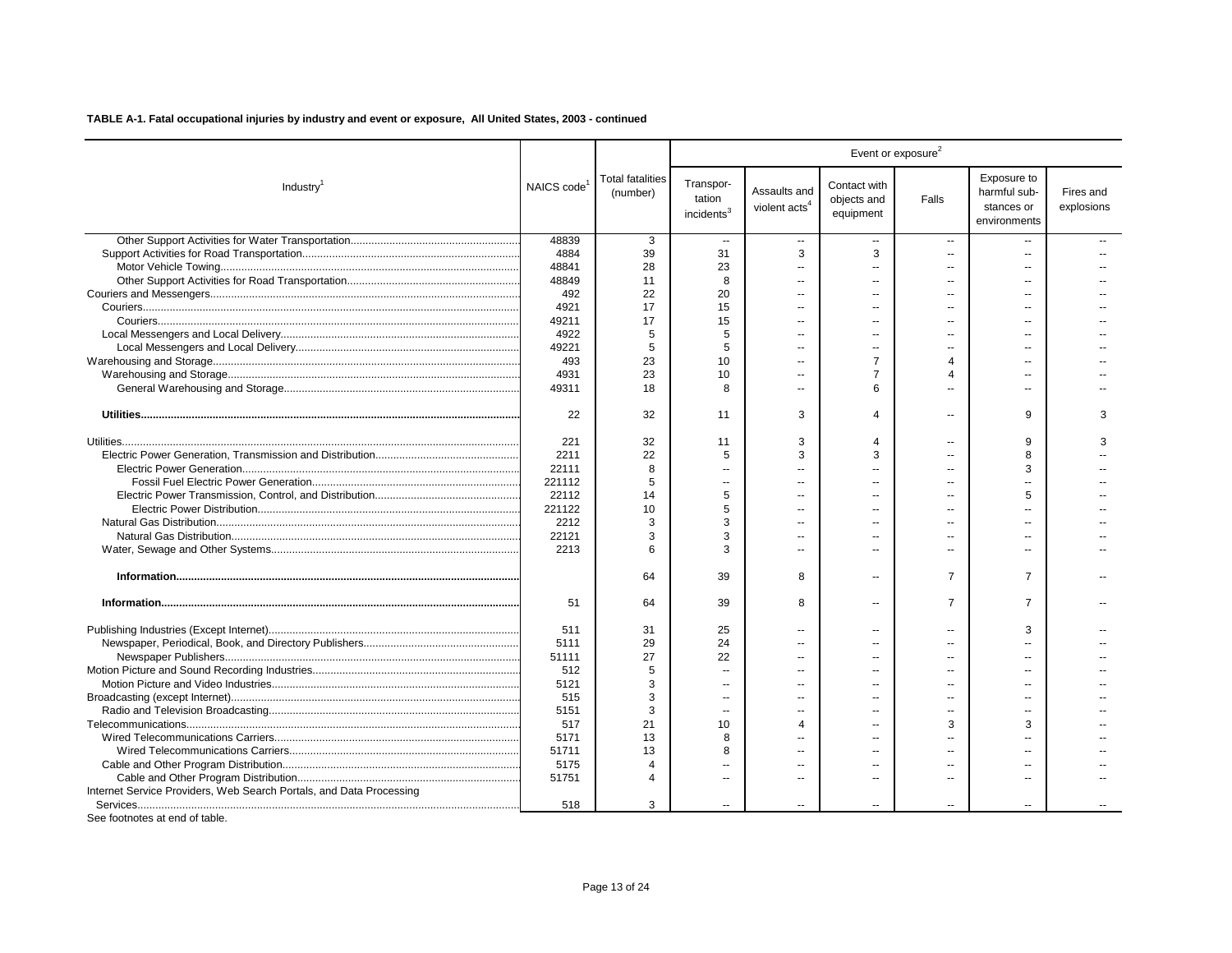|                                                                     |            |                                     |                                               |                                           |                                          | Event or exposure <sup>2</sup> |                                                           |                         |
|---------------------------------------------------------------------|------------|-------------------------------------|-----------------------------------------------|-------------------------------------------|------------------------------------------|--------------------------------|-----------------------------------------------------------|-------------------------|
| Industry <sup>1</sup>                                               | NAICS code | <b>Total fatalities</b><br>(number) | Transpor-<br>tation<br>incidents <sup>3</sup> | Assaults and<br>violent acts <sup>4</sup> | Contact with<br>objects and<br>equipment | Falls                          | Exposure to<br>harmful sub-<br>stances or<br>environments | Fires and<br>explosions |
|                                                                     | 48839      | 3                                   | $\overline{\phantom{a}}$                      | $\overline{a}$                            | $\overline{\phantom{a}}$                 | $\overline{\phantom{a}}$       |                                                           |                         |
|                                                                     | 4884       | 39                                  | 31                                            | 3                                         | 3                                        | $\overline{a}$                 | $\overline{a}$                                            |                         |
|                                                                     | 48841      | 28                                  | 23                                            | ٠.                                        |                                          |                                |                                                           |                         |
|                                                                     | 48849      | 11                                  | 8                                             |                                           |                                          |                                |                                                           |                         |
|                                                                     | 492        | 22                                  | 20                                            | ٠.                                        |                                          |                                |                                                           |                         |
|                                                                     | 4921       | 17                                  | 15                                            | a.                                        | $\sim$                                   | $\sim$                         | $\sim$                                                    |                         |
|                                                                     | 49211      | 17                                  | 15                                            | $\overline{a}$                            |                                          |                                | $\sim$                                                    |                         |
|                                                                     | 4922       | 5                                   | 5                                             |                                           |                                          |                                |                                                           |                         |
|                                                                     | 49221      | 5                                   | 5                                             | $\overline{a}$                            | $\overline{\phantom{a}}$                 | $\overline{a}$                 | $\overline{a}$                                            |                         |
|                                                                     | 493        | 23                                  | 10                                            |                                           | $\overline{7}$                           | 4                              |                                                           |                         |
|                                                                     | 4931       | 23                                  | 10                                            | --                                        | 7                                        | Δ                              | $\overline{a}$                                            |                         |
|                                                                     | 49311      | 18                                  | 8                                             | a.                                        | 6                                        |                                | $\sim$                                                    |                         |
|                                                                     | 22         | 32                                  | 11                                            | 3                                         | 4                                        | $\overline{a}$                 | 9                                                         | 3                       |
|                                                                     | 221        | 32                                  | 11                                            | 3                                         | $\overline{\mathbf{4}}$                  | $\overline{a}$                 | 9                                                         | 3                       |
|                                                                     | 2211       | 22                                  | 5                                             | 3                                         | 3                                        |                                | 8                                                         |                         |
|                                                                     | 22111      | 8                                   | Ξ.                                            |                                           |                                          |                                | 3                                                         |                         |
|                                                                     | 221112     | 5                                   | Ξ.                                            |                                           |                                          |                                |                                                           |                         |
|                                                                     | 22112      | 14                                  | 5                                             |                                           |                                          |                                | 5                                                         |                         |
|                                                                     | 221122     | 10                                  | 5                                             |                                           |                                          |                                |                                                           |                         |
|                                                                     | 2212       | 3                                   | 3                                             | a.                                        |                                          |                                |                                                           |                         |
|                                                                     | 22121      | 3                                   | 3                                             |                                           |                                          | $\overline{a}$                 |                                                           |                         |
|                                                                     | 2213       | 6                                   | 3                                             | --                                        |                                          | $\overline{a}$                 | $\overline{a}$                                            |                         |
|                                                                     |            | 64                                  | 39                                            | 8                                         | $-$                                      | 7                              | 7                                                         |                         |
|                                                                     | 51         | 64                                  | 39                                            | 8                                         | $\overline{a}$                           | $\overline{7}$                 | $\overline{7}$                                            |                         |
|                                                                     | 511        | 31                                  | 25                                            | $\overline{a}$                            |                                          | $\overline{a}$                 | 3                                                         |                         |
|                                                                     | 5111       | 29                                  | 24                                            |                                           |                                          |                                |                                                           |                         |
|                                                                     | 51111      | 27                                  | 22                                            | --                                        |                                          |                                |                                                           |                         |
|                                                                     | 512        | 5                                   | $\sim$                                        |                                           |                                          |                                |                                                           |                         |
|                                                                     | 5121       | 3                                   | $\sim$                                        | ٠.                                        |                                          |                                |                                                           |                         |
|                                                                     | 515        | 3                                   |                                               |                                           |                                          |                                |                                                           |                         |
|                                                                     | 5151       | 3                                   | $\overline{\phantom{a}}$                      | --                                        |                                          |                                |                                                           |                         |
|                                                                     | 517        | 21                                  | 10                                            | 4                                         | $\sim$                                   | 3                              | 3                                                         |                         |
|                                                                     | 5171       | 13                                  | 8                                             | --                                        |                                          | $\sim$                         |                                                           |                         |
|                                                                     | 51711      | 13                                  | 8                                             |                                           |                                          |                                |                                                           |                         |
|                                                                     | 5175       | Δ                                   | $\sim$                                        | --                                        |                                          | $\sim$                         | $\sim$                                                    |                         |
|                                                                     | 51751      |                                     | $\sim$                                        | --                                        |                                          |                                |                                                           |                         |
| Internet Service Providers. Web Search Portals, and Data Processing |            |                                     |                                               |                                           |                                          |                                |                                                           |                         |
|                                                                     | 518        | 3                                   |                                               |                                           |                                          |                                |                                                           |                         |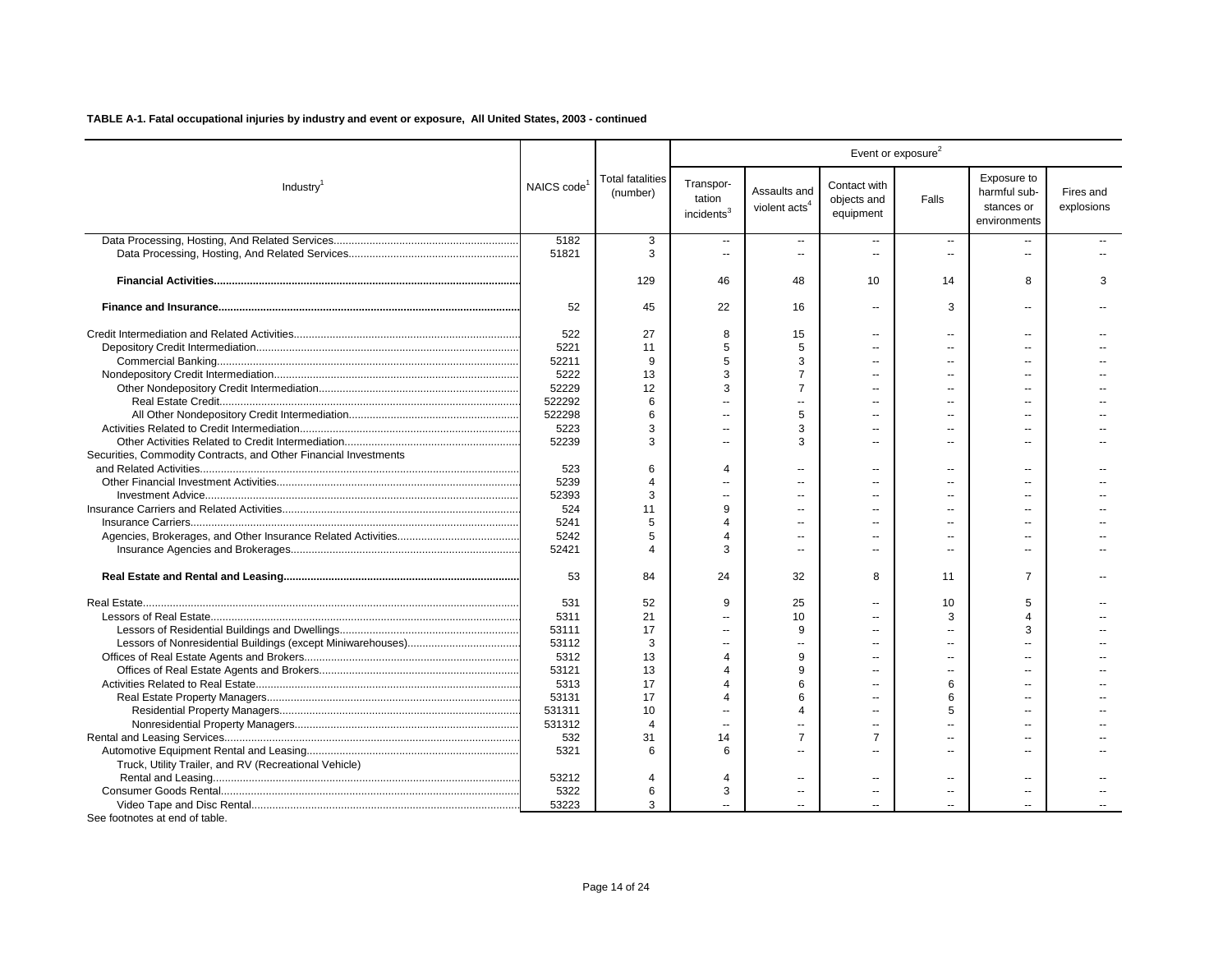|                                                                  |                         |                                     |                                               |                                           |                                          | Event or exposure <sup>2</sup> |                                                           |                         |
|------------------------------------------------------------------|-------------------------|-------------------------------------|-----------------------------------------------|-------------------------------------------|------------------------------------------|--------------------------------|-----------------------------------------------------------|-------------------------|
| Industry <sup>1</sup>                                            | NAICS code <sup>1</sup> | <b>Total fatalities</b><br>(number) | Transpor-<br>tation<br>incidents <sup>3</sup> | Assaults and<br>violent acts <sup>4</sup> | Contact with<br>objects and<br>equipment | Falls                          | Exposure to<br>harmful sub-<br>stances or<br>environments | Fires and<br>explosions |
|                                                                  | 5182                    | 3                                   | $\sim$                                        | $\overline{\phantom{a}}$                  | $\mathbf{u}$                             | $\sim$                         |                                                           |                         |
|                                                                  | 51821                   | 3                                   |                                               |                                           | $\overline{a}$                           |                                |                                                           |                         |
|                                                                  |                         | 129                                 | 46                                            | 48                                        | 10                                       | 14                             | 8                                                         | 3                       |
|                                                                  | 52                      | 45                                  | 22                                            | 16                                        | $\overline{a}$                           | 3                              |                                                           |                         |
|                                                                  | 522                     | 27                                  | 8                                             | 15                                        | $\sim$                                   | $\overline{a}$                 | $\overline{a}$                                            |                         |
|                                                                  | 5221                    | 11                                  | 5                                             | 5                                         | $=$                                      | $\overline{a}$                 |                                                           |                         |
|                                                                  | 52211                   | 9                                   | 5                                             | 3                                         | $\overline{a}$                           | $\sim$                         |                                                           |                         |
|                                                                  | 5222                    | 13                                  | 3                                             | $\overline{7}$                            | $\sim$                                   | $\overline{a}$                 | $\sim$                                                    |                         |
|                                                                  | 52229                   | 12                                  | 3                                             | $\overline{7}$                            |                                          |                                |                                                           |                         |
|                                                                  | 522292                  | 6                                   | $\sim$                                        | ÷.                                        | $-$                                      | $\overline{a}$                 |                                                           |                         |
|                                                                  | 522298                  | 6                                   |                                               | 5                                         |                                          |                                |                                                           |                         |
|                                                                  | 5223                    | 3                                   | $\sim$                                        | 3                                         | $\overline{a}$                           | $\overline{a}$                 |                                                           |                         |
|                                                                  | 52239                   | 3                                   |                                               | 3                                         |                                          |                                |                                                           |                         |
| Securities, Commodity Contracts, and Other Financial Investments |                         |                                     |                                               |                                           |                                          |                                |                                                           |                         |
|                                                                  | 523                     | 6                                   | $\Delta$                                      | Ξ.                                        |                                          | ц,                             |                                                           |                         |
|                                                                  | 5239                    | $\overline{4}$                      |                                               | $\overline{a}$                            | $\sim$                                   | $\overline{a}$                 |                                                           |                         |
|                                                                  | 52393                   | 3                                   |                                               |                                           | $=$                                      |                                |                                                           |                         |
|                                                                  | 524                     | 11                                  | 9                                             |                                           |                                          | $\overline{a}$                 |                                                           |                         |
|                                                                  | 5241                    | 5                                   | $\Delta$                                      |                                           | $\sim$                                   | $-$                            |                                                           |                         |
|                                                                  | 5242                    | 5                                   | $\overline{4}$                                |                                           |                                          | $\overline{a}$                 |                                                           |                         |
|                                                                  | 52421                   |                                     | 3                                             |                                           | $\sim$                                   | $\overline{a}$                 | $\sim$                                                    |                         |
|                                                                  | 53                      | 84                                  | 24                                            | 32                                        | 8                                        | 11                             | 7                                                         |                         |
|                                                                  | 531                     | 52                                  | 9                                             | 25                                        |                                          | 10                             | 5                                                         |                         |
|                                                                  | 5311                    | 21                                  |                                               | 10                                        |                                          | 3                              | $\Delta$                                                  |                         |
|                                                                  | 53111                   | 17                                  |                                               | 9                                         | $=$                                      | ц.                             | З                                                         |                         |
|                                                                  | 53112                   | 3                                   |                                               |                                           |                                          |                                |                                                           |                         |
|                                                                  | 5312                    | 13                                  | 4                                             | 9                                         | $\sim$                                   | $\overline{a}$                 | $\sim$                                                    |                         |
|                                                                  | 53121                   | 13                                  | Δ                                             | q                                         |                                          |                                |                                                           |                         |
|                                                                  | 5313                    | 17                                  | Δ                                             | 6                                         | $=$                                      | 6                              |                                                           |                         |
|                                                                  | 53131                   | 17                                  | Δ                                             | 6                                         | $=$                                      | 6                              |                                                           |                         |
|                                                                  | 531311                  | 10                                  | $\sim$                                        | $\boldsymbol{\Lambda}$                    | $\sim$                                   | 5                              |                                                           |                         |
|                                                                  | 531312                  | $\overline{4}$                      |                                               |                                           | $\sim$                                   |                                |                                                           |                         |
|                                                                  | 532                     | 31                                  | 14                                            | $\overline{7}$                            | $\overline{7}$                           | $\overline{a}$                 | ш.                                                        |                         |
|                                                                  | 5321                    | 6                                   | 6                                             |                                           | $\sim$                                   | $\overline{a}$                 |                                                           |                         |
| Truck, Utility Trailer, and RV (Recreational Vehicle)            |                         |                                     |                                               |                                           |                                          |                                |                                                           |                         |
|                                                                  | 53212                   | 4                                   | 4                                             | $\overline{a}$                            | $\overline{a}$                           | $\overline{a}$                 |                                                           |                         |
|                                                                  | 5322                    | 6                                   | 3                                             |                                           | $\overline{a}$                           | $\overline{a}$                 |                                                           |                         |
|                                                                  | 53223                   | 3                                   |                                               |                                           |                                          |                                |                                                           |                         |
|                                                                  |                         |                                     |                                               |                                           |                                          |                                |                                                           |                         |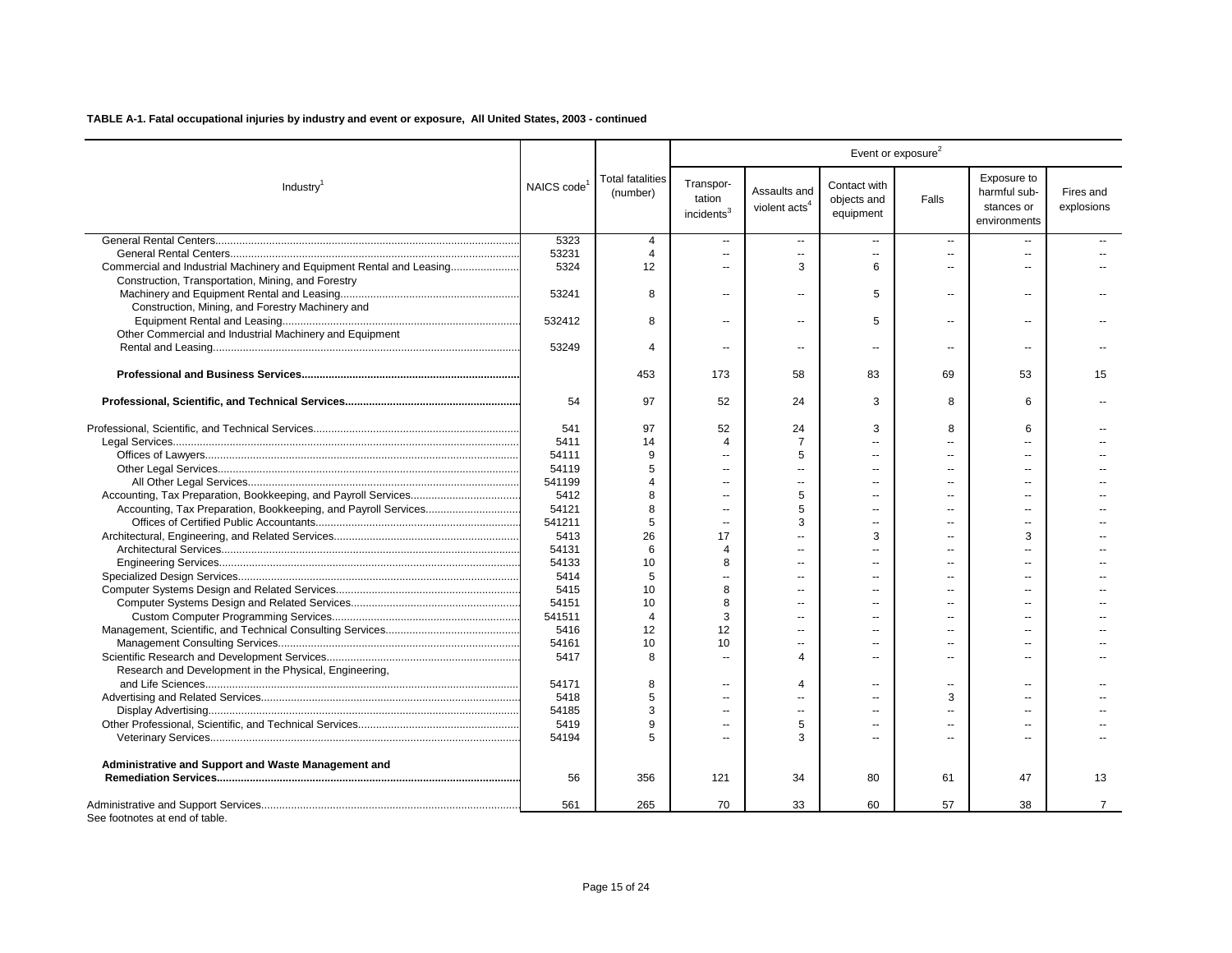|                                                                      |                         |                                     |                                               |                                           |                                          | Event or exposure <sup>2</sup> |                                                           |                         |
|----------------------------------------------------------------------|-------------------------|-------------------------------------|-----------------------------------------------|-------------------------------------------|------------------------------------------|--------------------------------|-----------------------------------------------------------|-------------------------|
| Industry <sup>1</sup>                                                | NAICS code <sup>1</sup> | <b>Total fatalities</b><br>(number) | Transpor-<br>tation<br>incidents <sup>3</sup> | Assaults and<br>violent acts <sup>4</sup> | Contact with<br>objects and<br>equipment | Falls                          | Exposure to<br>harmful sub-<br>stances or<br>environments | Fires and<br>explosions |
|                                                                      | 5323                    | 4                                   | $\sim$                                        | $\overline{a}$                            | $\sim$                                   | $\sim$                         |                                                           |                         |
|                                                                      | 53231                   | 4                                   | $\sim$                                        | $\overline{a}$                            | $\mathbf{u}$                             | $\sim$                         | $\sim$                                                    |                         |
| Commercial and Industrial Machinery and Equipment Rental and Leasing | 5324                    | 12                                  | $\sim$                                        | 3                                         | 6                                        | $\overline{a}$                 |                                                           |                         |
| Construction, Transportation, Mining, and Forestry                   |                         |                                     |                                               |                                           |                                          |                                |                                                           |                         |
|                                                                      | 53241                   | 8                                   | $\sim$                                        | ä.                                        | 5                                        | $\overline{\phantom{a}}$       | $\sim$                                                    |                         |
| Construction, Mining, and Forestry Machinery and                     |                         |                                     |                                               |                                           |                                          |                                |                                                           |                         |
|                                                                      | 532412                  | 8                                   | $\sim$                                        | $\overline{a}$                            | 5                                        | $\overline{a}$                 | $\overline{a}$                                            |                         |
| Other Commercial and Industrial Machinery and Equipment              |                         |                                     |                                               |                                           |                                          |                                |                                                           |                         |
|                                                                      | 53249                   | $\boldsymbol{\Delta}$               | $\overline{a}$                                | $\overline{a}$                            | $\sim$                                   | $\sim$                         | $\sim$ $\sim$                                             |                         |
|                                                                      |                         | 453                                 | 173                                           | 58                                        | 83                                       | 69                             | 53                                                        | 15                      |
|                                                                      | 54                      | 97                                  | 52                                            | 24                                        | 3                                        | 8                              | 6                                                         |                         |
|                                                                      | 541                     | 97                                  | 52                                            | 24                                        | 3                                        | 8                              | 6                                                         |                         |
|                                                                      | 5411                    | 14                                  | 4                                             | $\overline{7}$                            | $\sim$                                   | $\sim$                         |                                                           |                         |
|                                                                      | 54111                   | 9                                   | $\sim$                                        | 5                                         | $\overline{a}$                           |                                |                                                           |                         |
|                                                                      | 54119                   | 5                                   | $\sim$                                        |                                           | $\overline{a}$                           | $\overline{a}$                 | $\sim$                                                    |                         |
|                                                                      | 541199                  | $\overline{4}$                      |                                               |                                           |                                          |                                |                                                           |                         |
|                                                                      | 5412                    | 8                                   |                                               | 5                                         |                                          |                                |                                                           |                         |
|                                                                      | 54121                   | 8                                   | $\sim$                                        | 5                                         | $\sim$                                   | ш.                             | $\sim$                                                    |                         |
|                                                                      | 541211                  | 5                                   | $\overline{a}$                                | 3                                         | $\overline{a}$                           |                                |                                                           |                         |
|                                                                      | 5413                    | 26                                  | 17                                            |                                           | 3                                        | ш.                             | 3                                                         |                         |
|                                                                      | 54131                   | 6                                   | $\overline{4}$                                |                                           | $\overline{a}$                           | $\overline{a}$                 | $\overline{a}$                                            |                         |
|                                                                      | 54133                   | 10                                  | 8                                             | $\overline{a}$                            | $\overline{a}$                           | $\sim$                         | $\overline{a}$                                            |                         |
|                                                                      | 5414                    | 5                                   |                                               |                                           |                                          |                                |                                                           |                         |
|                                                                      | 5415                    | 10                                  | 8                                             | $\overline{a}$                            | $\overline{a}$                           |                                |                                                           |                         |
|                                                                      | 54151                   | 10                                  | 8                                             | $\sim$                                    | $\sim$                                   | $\sim$                         | $\sim$                                                    |                         |
|                                                                      | 541511                  | $\overline{4}$                      | 3                                             | $\overline{a}$                            | $\overline{a}$                           | $\overline{a}$                 | $\sim$                                                    |                         |
|                                                                      | 5416                    | 12                                  | 12                                            |                                           | $\sim$                                   | ш.                             | $\sim$                                                    |                         |
|                                                                      | 54161                   | 10                                  | 10                                            |                                           | $\overline{a}$                           | $\overline{a}$                 |                                                           |                         |
|                                                                      | 5417                    | 8                                   | $\sim$                                        | $\overline{4}$                            | $\overline{a}$                           |                                |                                                           |                         |
| Research and Development in the Physical, Engineering,               |                         |                                     |                                               |                                           |                                          |                                |                                                           |                         |
|                                                                      | 54171                   | 8                                   |                                               | $\overline{4}$                            |                                          | $\overline{a}$                 |                                                           |                         |
|                                                                      | 5418                    | 5                                   | $\sim$                                        |                                           |                                          | 3                              |                                                           |                         |
|                                                                      | 54185                   | 3                                   | $\sim$                                        | $\overline{a}$                            | $\sim$                                   | $\sim$                         | $\sim$                                                    |                         |
|                                                                      | 5419                    | 9                                   | $\overline{a}$                                | 5                                         | $\overline{a}$                           |                                | $-$                                                       |                         |
|                                                                      | 54194                   | 5                                   | $\sim$                                        | 3                                         | $\sim$                                   | ш.                             | $\sim$                                                    |                         |
| Administrative and Support and Waste Management and                  |                         |                                     |                                               |                                           |                                          |                                |                                                           |                         |
|                                                                      | 56                      | 356                                 | 121                                           | 34                                        | 80                                       | 61                             | 47                                                        | 13                      |
|                                                                      |                         |                                     |                                               |                                           |                                          |                                |                                                           |                         |
| See footnotes at end of table.                                       | 561                     | 265                                 | 70                                            | 33                                        | 60                                       | 57                             | 38                                                        | $\overline{7}$          |

Page 15 of 24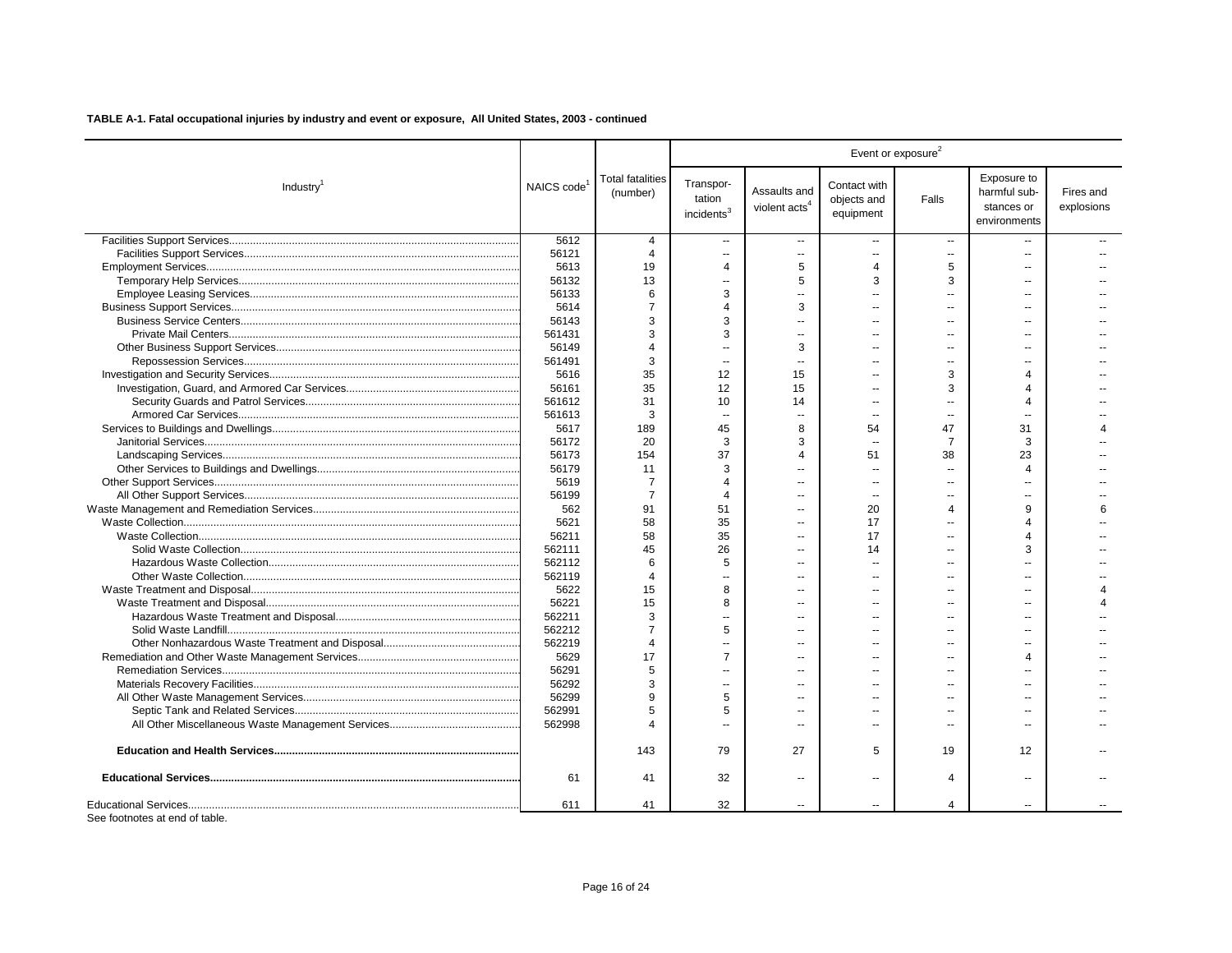|                       |            |                                     |                                               |                                 |                                          | Event or exposure <sup>2</sup> |                                                           |                         |
|-----------------------|------------|-------------------------------------|-----------------------------------------------|---------------------------------|------------------------------------------|--------------------------------|-----------------------------------------------------------|-------------------------|
| Industry <sup>1</sup> | NAICS code | <b>Total fatalities</b><br>(number) | Transpor-<br>tation<br>incidents <sup>3</sup> | Assaults and<br>violent $acts4$ | Contact with<br>objects and<br>equipment | Falls                          | Exposure to<br>harmful sub-<br>stances or<br>environments | Fires and<br>explosions |
|                       | 5612       | $\overline{4}$                      | $\overline{a}$                                | $\overline{\phantom{a}}$        | $\overline{a}$                           | $\sim$                         |                                                           |                         |
|                       | 56121      | $\overline{4}$                      | Ξ.                                            | --                              |                                          | $\overline{\phantom{a}}$       |                                                           |                         |
|                       | 5613       | 19                                  | $\overline{4}$                                | 5                               | $\overline{4}$                           | 5                              | $\sim$                                                    |                         |
|                       | 56132      | 13                                  | $\overline{a}$                                | 5                               | 3                                        | 3                              |                                                           |                         |
|                       | 56133      | 6                                   | 3                                             | ٠.                              |                                          | $\overline{a}$                 |                                                           |                         |
|                       | 5614       | $\overline{7}$                      | $\overline{4}$                                | 3                               |                                          | ш.                             |                                                           |                         |
|                       | 56143      | 3                                   | 3                                             | $\overline{a}$                  |                                          | $\sim$                         |                                                           |                         |
|                       | 561431     | 3                                   | 3                                             |                                 |                                          | $\sim$                         |                                                           |                         |
|                       | 56149      | $\overline{4}$                      | ä.                                            | 3                               | $\sim$                                   | $\sim$                         |                                                           |                         |
|                       | 561491     | 3                                   | ä.                                            | $\sim$                          |                                          | $\sim$                         |                                                           |                         |
|                       | 5616       | 35                                  | 12                                            | 15                              |                                          | 3                              | 4                                                         |                         |
|                       | 56161      | 35                                  | 12                                            | 15                              |                                          | 3                              |                                                           |                         |
|                       | 561612     | 31                                  | 10                                            | 14                              |                                          | $\overline{a}$                 | 4                                                         |                         |
|                       | 561613     | 3                                   | Ξ.                                            |                                 |                                          | ÷.                             |                                                           |                         |
|                       | 5617       | 189                                 | 45                                            | 8                               | 54                                       | 47                             | 31                                                        |                         |
|                       | 56172      | 20                                  | 3                                             | 3                               |                                          | $\overline{7}$                 | 3                                                         |                         |
|                       | 56173      | 154                                 | 37                                            | $\overline{4}$                  | 51                                       | 38                             | 23                                                        |                         |
|                       | 56179      | 11                                  | 3                                             |                                 |                                          | $\sim$                         | $\boldsymbol{\varLambda}$                                 |                         |
|                       | 5619       | $\overline{7}$                      | $\overline{4}$                                |                                 |                                          | $\sim$                         |                                                           |                         |
|                       | 56199      | $\overline{7}$                      | $\Delta$                                      | --                              | $\overline{\phantom{a}}$                 | $\sim$                         |                                                           |                         |
|                       | 562        | 91                                  | 51                                            | $\sim$                          | 20                                       | $\overline{4}$                 | 9                                                         | 6                       |
|                       | 5621       | 58                                  | 35                                            | $\overline{a}$                  | 17                                       | $\sim$                         | Δ                                                         |                         |
|                       | 56211      | 58                                  | 35                                            |                                 | 17                                       | $\overline{a}$                 | $\Delta$                                                  |                         |
|                       | 562111     | 45                                  | 26                                            | $\overline{a}$                  | 14                                       | $\sim$                         | 3                                                         |                         |
|                       | 562112     | 6                                   | 5                                             |                                 |                                          | $\overline{a}$                 |                                                           |                         |
|                       | 562119     | $\boldsymbol{\Delta}$               | Ξ.                                            |                                 |                                          | $\sim$                         |                                                           |                         |
|                       | 5622       | 15                                  | 8                                             |                                 |                                          | $\sim$                         |                                                           |                         |
|                       | 56221      | 15                                  | 8                                             | $\overline{a}$                  |                                          | $\sim$                         |                                                           |                         |
|                       | 562211     | 3                                   | Ξ.                                            | a.                              |                                          | $\sim$                         |                                                           |                         |
|                       | 562212     | $\overline{7}$                      | 5                                             | $\sim$                          | $\sim$                                   | $\sim$                         | ш.                                                        |                         |
|                       | 562219     | $\overline{4}$                      | $\overline{a}$                                |                                 |                                          | $\sim$                         |                                                           |                         |
|                       | 5629       | 17                                  | $\overline{7}$                                | $\sim$                          | $\sim$                                   | $\sim$                         | Δ                                                         |                         |
|                       | 56291      | 5                                   | $\overline{a}$                                | $\sim$                          |                                          | $\sim$                         |                                                           |                         |
|                       | 56292      | 3                                   | Ξ.                                            | $\sim$                          |                                          | $\sim$                         |                                                           |                         |
|                       | 56299      | 9                                   | 5                                             | $\sim$                          |                                          | ш.                             |                                                           |                         |
|                       | 562991     | 5                                   | 5                                             | $\sim$                          |                                          | $\sim$                         |                                                           |                         |
|                       | 562998     | $\Delta$                            | $\overline{a}$                                | $\sim$                          |                                          | $\overline{a}$                 |                                                           |                         |
|                       |            | 143                                 | 79                                            | 27                              | 5                                        | 19                             | 12                                                        |                         |
|                       | 61         | 41                                  | 32                                            | $\overline{\phantom{a}}$        |                                          | 4                              | $\sim$                                                    |                         |
|                       | 611        | 41                                  | 32                                            | $\sim$                          | $\overline{a}$                           | 4                              | $\sim$                                                    |                         |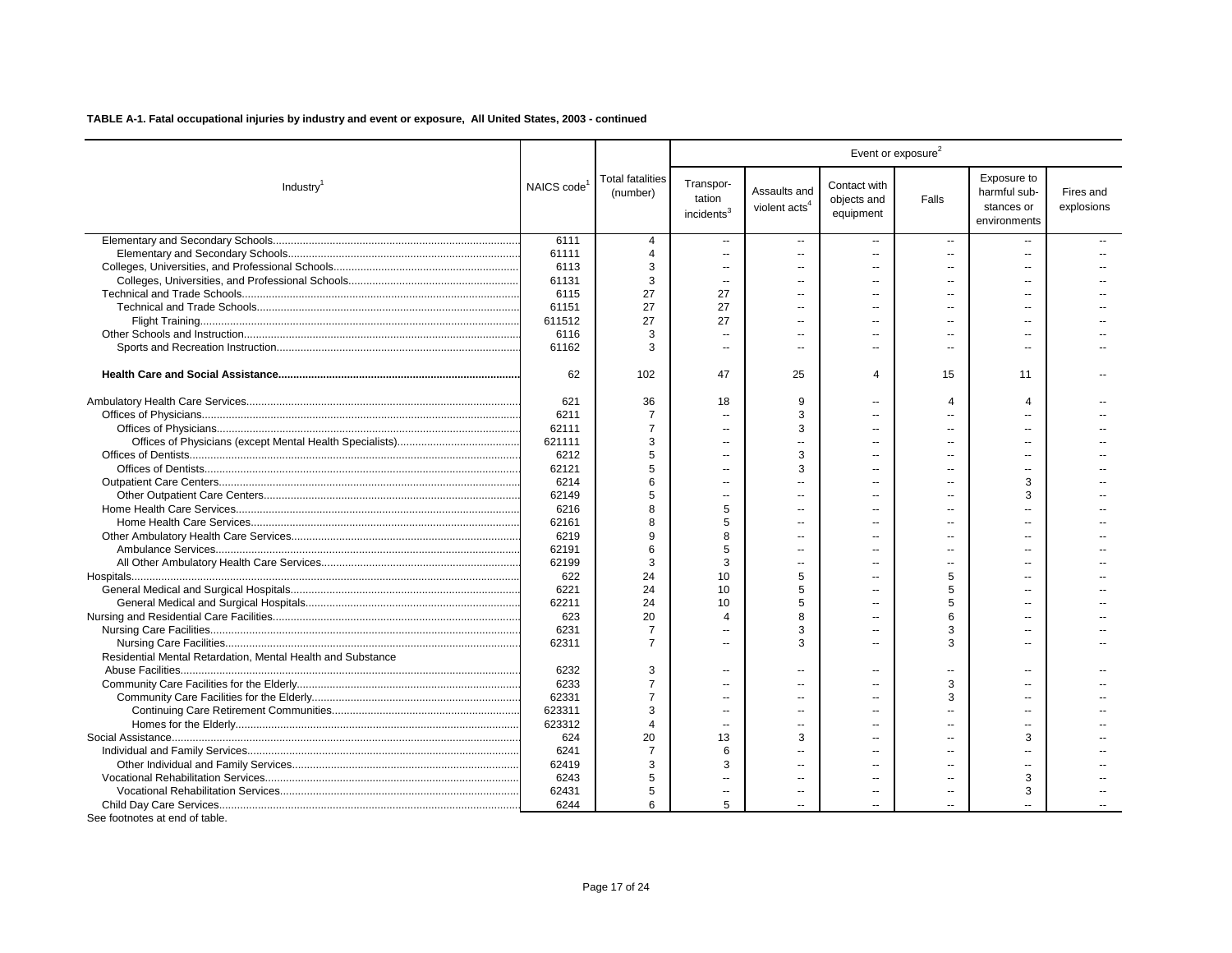|                                                             |            |                              |                                               |                                           |                                          | Event or exposure <sup>2</sup> |                                                           |                         |
|-------------------------------------------------------------|------------|------------------------------|-----------------------------------------------|-------------------------------------------|------------------------------------------|--------------------------------|-----------------------------------------------------------|-------------------------|
| Industry <sup>1</sup>                                       | NAICS code | Total fatalities<br>(number) | Transpor-<br>tation<br>incidents <sup>3</sup> | Assaults and<br>violent acts <sup>4</sup> | Contact with<br>objects and<br>equipment | Falls                          | Exposure to<br>harmful sub-<br>stances or<br>environments | Fires and<br>explosions |
|                                                             | 6111       | 4                            | --                                            | $\overline{\phantom{a}}$                  | $\overline{a}$                           | $\overline{\phantom{a}}$       | $\sim$ $\sim$                                             |                         |
|                                                             | 61111      | $\overline{4}$               | $\overline{\phantom{a}}$                      |                                           | $\overline{a}$                           | $\sim$                         | $\overline{a}$                                            |                         |
|                                                             | 6113       | 3                            | $\sim$                                        | $\mathbf{u}$                              | $\overline{a}$                           | $\sim$                         |                                                           |                         |
|                                                             | 61131      | 3                            | $\overline{\phantom{a}}$                      | $\overline{a}$                            |                                          | $\overline{a}$                 | $\overline{a}$                                            |                         |
|                                                             | 6115       | 27                           | 27                                            | $\mathbf{u}$                              | $\overline{a}$                           | $\sim$                         | $\overline{a}$                                            |                         |
|                                                             | 61151      | 27                           | 27                                            | $\sim$                                    | $\sim$                                   | $\sim$                         | $\sim$                                                    |                         |
|                                                             | 611512     | 27                           | 27                                            | $\sim$                                    | $\sim$                                   | $\sim$                         | ш.                                                        |                         |
|                                                             | 6116       | 3                            | $\overline{\phantom{a}}$                      | $\sim$                                    |                                          | $\overline{a}$                 | $\sim$                                                    |                         |
|                                                             | 61162      | 3                            | $\overline{\phantom{a}}$                      | $\sim$                                    | $\overline{a}$                           | $\sim$                         | $\overline{a}$                                            |                         |
|                                                             | 62         | 102                          | 47                                            | 25                                        | 4                                        | 15                             | 11                                                        |                         |
|                                                             | 621        | 36                           | 18                                            | 9                                         |                                          | $\overline{4}$                 | $\overline{4}$                                            |                         |
|                                                             | 6211       | $\overline{7}$               | $\overline{\phantom{a}}$                      | 3                                         |                                          | $\overline{a}$                 |                                                           |                         |
|                                                             | 62111      | $\overline{7}$               | $\overline{a}$                                | 3                                         |                                          | $\sim$                         |                                                           |                         |
|                                                             | 621111     | 3                            | $\overline{a}$                                |                                           |                                          |                                |                                                           |                         |
|                                                             | 6212       | 5                            | $\overline{\phantom{a}}$                      | 3                                         |                                          | $\sim$                         |                                                           |                         |
|                                                             | 62121      | 5                            |                                               | 3                                         |                                          |                                |                                                           |                         |
|                                                             | 6214       | 6                            | --                                            |                                           |                                          | н.                             | 3                                                         |                         |
|                                                             | 62149      | 5                            | $\overline{a}$                                | $\sim$                                    | ш.                                       | $\sim$                         | 3                                                         |                         |
|                                                             | 6216       | 8                            | 5                                             | ш.                                        |                                          | $\overline{a}$                 |                                                           |                         |
|                                                             | 62161      | 8                            | 5                                             |                                           |                                          | $\overline{a}$                 | $\overline{a}$                                            |                         |
|                                                             | 6219       | 9                            | 8                                             |                                           |                                          | $\sim$                         | ш.                                                        |                         |
|                                                             | 62191      | 6                            | 5                                             | $\sim$                                    |                                          | $\sim$                         | $\sim$                                                    |                         |
|                                                             | 62199      | 3                            | 3                                             |                                           | $\overline{a}$                           | $\sim$                         | $\sim$                                                    |                         |
|                                                             | 622        | 24                           | 10                                            | 5                                         |                                          | 5                              | $\sim$                                                    |                         |
|                                                             | 6221       | 24                           | 10                                            | 5                                         | $\overline{a}$                           | 5                              | $\overline{a}$                                            |                         |
|                                                             | 62211      | 24                           | 10                                            | 5                                         |                                          | 5                              |                                                           |                         |
|                                                             | 623        | 20                           | $\overline{4}$                                | 8                                         |                                          | 6                              |                                                           |                         |
|                                                             | 6231       | $\overline{7}$               | $\overline{\phantom{a}}$                      | 3                                         | $\overline{a}$                           | 3                              | $\overline{a}$                                            |                         |
|                                                             | 62311      | $\overline{7}$               | $\overline{\phantom{a}}$                      | 3                                         | $\sim$                                   | 3                              | $\sim$                                                    |                         |
| Residential Mental Retardation. Mental Health and Substance |            |                              |                                               |                                           |                                          |                                |                                                           |                         |
|                                                             | 6232       | 3                            | $\overline{a}$                                |                                           |                                          | $\overline{\phantom{a}}$       | $\sim$                                                    |                         |
|                                                             | 6233       | $\overline{7}$               | $\overline{\phantom{a}}$                      | $\sim$                                    | $\overline{a}$                           | 3                              | $\overline{a}$                                            |                         |
|                                                             | 62331      | $\overline{7}$               | $\overline{\phantom{a}}$                      | $\overline{a}$                            |                                          | 3                              | $\sim$                                                    |                         |
|                                                             | 623311     | 3                            | $\overline{a}$                                | $\sim$                                    | $\sim$                                   | $\sim$                         | $\sim$                                                    |                         |
|                                                             | 623312     | $\overline{4}$               | $\overline{a}$                                | $\sim$                                    |                                          | $\overline{a}$                 | $\sim$                                                    |                         |
|                                                             | 624        | 20                           | 13                                            | 3                                         | $\sim$                                   | $\sim$                         | 3                                                         |                         |
|                                                             | 6241       | $\overline{7}$               | 6                                             |                                           |                                          | $\overline{a}$                 |                                                           |                         |
|                                                             | 62419      | 3                            | 3                                             | $\sim$                                    |                                          | $\overline{\phantom{a}}$       | $\overline{a}$                                            |                         |
|                                                             | 6243       | 5                            | $\overline{a}$                                | $\overline{a}$                            |                                          | $\sim$                         | 3                                                         |                         |
|                                                             | 62431      | 5                            | --                                            | $\overline{a}$                            |                                          | $\overline{\phantom{a}}$       | 3                                                         |                         |
|                                                             | 6244       | 6                            | 5                                             |                                           | Ξ.                                       | Ξ.                             |                                                           |                         |
|                                                             |            |                              |                                               |                                           |                                          |                                |                                                           |                         |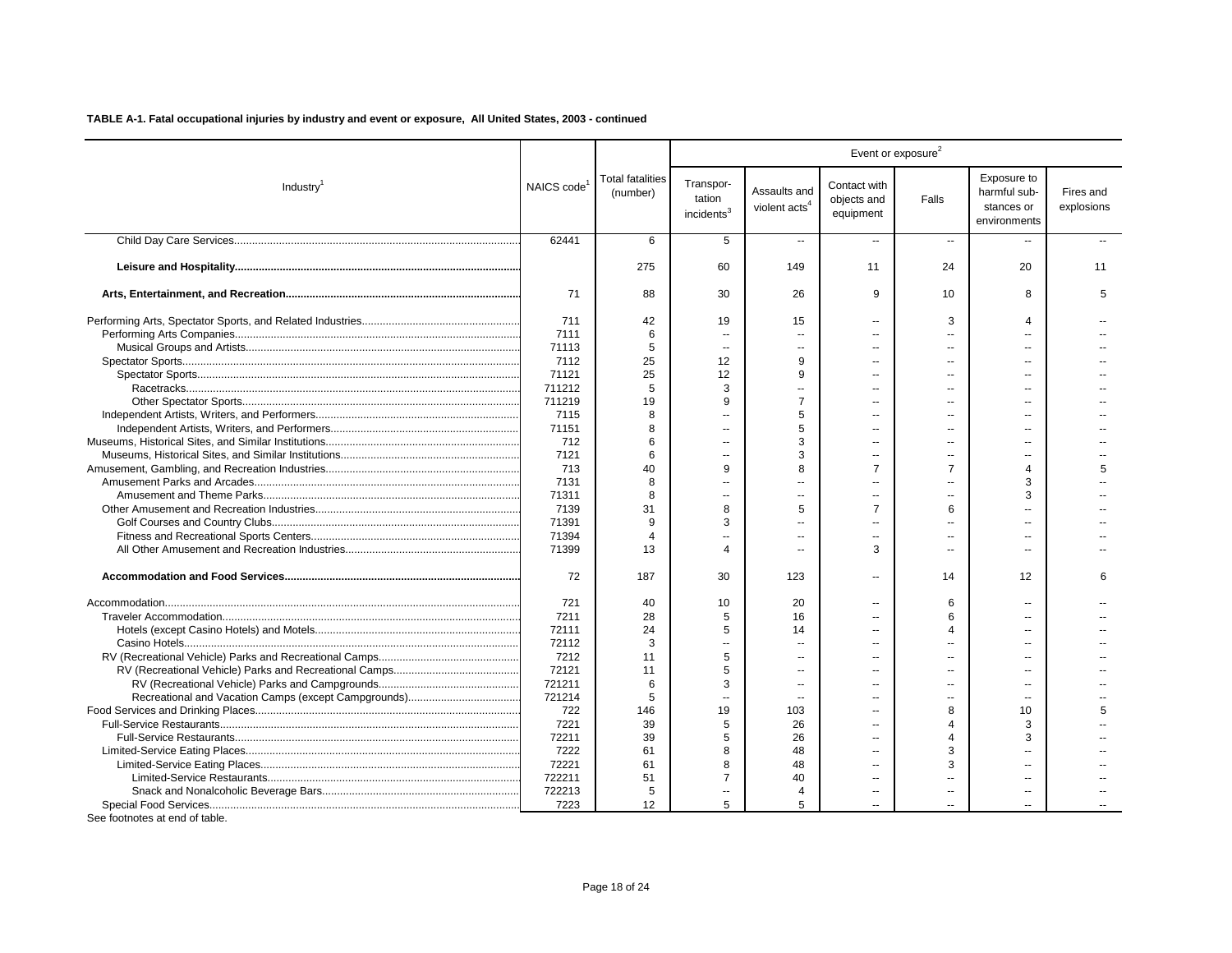|                       |                         |                                     |                                               |                                           |                                          | Event or exposure <sup>2</sup> |                                                           |                         |
|-----------------------|-------------------------|-------------------------------------|-----------------------------------------------|-------------------------------------------|------------------------------------------|--------------------------------|-----------------------------------------------------------|-------------------------|
| Industry <sup>1</sup> | NAICS code <sup>1</sup> | <b>Total fatalities</b><br>(number) | Transpor-<br>tation<br>incidents <sup>3</sup> | Assaults and<br>violent acts <sup>4</sup> | Contact with<br>objects and<br>equipment | Falls                          | Exposure to<br>harmful sub-<br>stances or<br>environments | Fires and<br>explosions |
|                       | 62441                   | 6                                   | 5                                             | $\overline{a}$                            | u.                                       | $\overline{\phantom{a}}$       | $\overline{\phantom{a}}$                                  |                         |
|                       |                         | 275                                 | 60                                            | 149                                       | 11                                       | 24                             | 20                                                        | 11                      |
|                       | 71                      | 88                                  | 30                                            | 26                                        | 9                                        | 10                             | 8                                                         | 5                       |
|                       | 711                     | 42                                  | 19                                            | 15                                        | $\overline{a}$                           | 3                              | $\Delta$                                                  |                         |
|                       | 7111                    | 6                                   | $\sim$                                        | ш.                                        | $\overline{a}$                           |                                | $-$                                                       |                         |
|                       | 71113                   | 5                                   | $\sim$                                        | $\overline{a}$                            | $\overline{a}$                           | $\overline{a}$                 | $\sim$                                                    |                         |
|                       | 7112                    | 25                                  | 12                                            | 9                                         | $\sim$                                   |                                |                                                           |                         |
|                       | 71121                   | 25                                  | 12                                            | 9                                         | $\overline{a}$                           |                                | $\sim$                                                    |                         |
|                       | 711212                  | 5                                   | 3                                             |                                           | $\overline{a}$                           |                                |                                                           |                         |
|                       | 711219                  | 19                                  | 9                                             | $\overline{7}$                            | $\overline{a}$                           |                                |                                                           |                         |
|                       | 7115                    | 8                                   |                                               | 5                                         | $\overline{a}$                           |                                |                                                           |                         |
|                       | 71151                   | 8                                   |                                               | 5                                         |                                          |                                |                                                           |                         |
|                       | 712                     | 6                                   |                                               | 3                                         |                                          |                                |                                                           |                         |
|                       |                         | 6                                   |                                               |                                           |                                          |                                |                                                           |                         |
|                       | 7121                    |                                     | $\overline{a}$<br>9                           | 3                                         | $\overline{a}$<br>$\overline{7}$         |                                |                                                           | 5                       |
|                       | 713                     | 40                                  |                                               | 8                                         |                                          | $\overline{7}$                 | $\overline{4}$                                            |                         |
|                       | 7131                    | 8                                   | <u></u>                                       | $\sim$                                    | $\overline{a}$                           |                                | 3                                                         |                         |
|                       | 71311                   | 8                                   | $\sim$                                        | х.                                        | $\overline{a}$                           |                                | 3                                                         |                         |
|                       | 7139                    | 31                                  | 8                                             | 5                                         | $\overline{7}$                           | 6                              |                                                           |                         |
|                       | 71391                   | 9                                   | 3                                             | $\sim$                                    | $\sim$                                   | $\sim$                         |                                                           |                         |
|                       | 71394                   | $\boldsymbol{\Delta}$               |                                               |                                           | $\sim$                                   | $\sim$                         | $-1$                                                      |                         |
|                       | 71399                   | 13                                  | $\Delta$                                      | $\overline{a}$                            | 3                                        | $\sim$                         | $\overline{\phantom{a}}$                                  |                         |
|                       | 72                      | 187                                 | 30                                            | 123                                       | $\overline{a}$                           | 14                             | 12                                                        | 6                       |
|                       | 721                     | 40                                  | 10                                            | 20                                        |                                          | 6                              |                                                           |                         |
|                       | 7211                    | 28                                  | 5                                             | 16                                        |                                          | 6                              |                                                           |                         |
|                       | 72111                   | 24                                  | 5                                             | 14                                        | $\overline{a}$                           | 4                              | $\overline{a}$                                            |                         |
|                       | 72112                   | 3                                   |                                               |                                           | ۵.                                       |                                |                                                           |                         |
|                       | 7212                    | 11                                  | 5                                             | $\sim$                                    | $\overline{a}$                           |                                | $\overline{a}$                                            |                         |
|                       | 72121                   | 11                                  | 5                                             | ä.                                        | ۵.                                       |                                | $\overline{a}$                                            |                         |
|                       | 721211                  | 6                                   | 3                                             | $\overline{a}$                            | $\overline{a}$                           | $\overline{a}$                 | $\overline{a}$                                            |                         |
|                       | 721214                  | 5                                   | $\overline{a}$                                |                                           | --                                       |                                | $\overline{a}$                                            |                         |
|                       | 722                     | 146                                 | 19                                            | 103                                       | $\overline{a}$                           | 8                              | 10                                                        | 5                       |
|                       | 7221                    | 39                                  | 5                                             | 26                                        |                                          | Δ                              | 3                                                         |                         |
|                       | 72211                   | 39                                  | 5                                             | 26                                        | $\overline{a}$                           | 4                              | 3                                                         |                         |
|                       | 7222                    | 61                                  | 8                                             | 48                                        | $\overline{a}$                           | 3                              |                                                           |                         |
|                       | 72221                   | 61                                  | 8                                             | 48                                        | $\overline{a}$                           | 3                              |                                                           |                         |
|                       | 722211                  | 51                                  | $\overline{7}$                                | 40                                        | $\overline{a}$                           |                                | $\overline{a}$                                            |                         |
|                       | 722213                  | 5                                   |                                               | $\overline{4}$                            |                                          |                                |                                                           |                         |
|                       | 7223                    | 12                                  | 5                                             | 5                                         | Ш.                                       |                                |                                                           |                         |
|                       |                         |                                     |                                               |                                           |                                          |                                |                                                           |                         |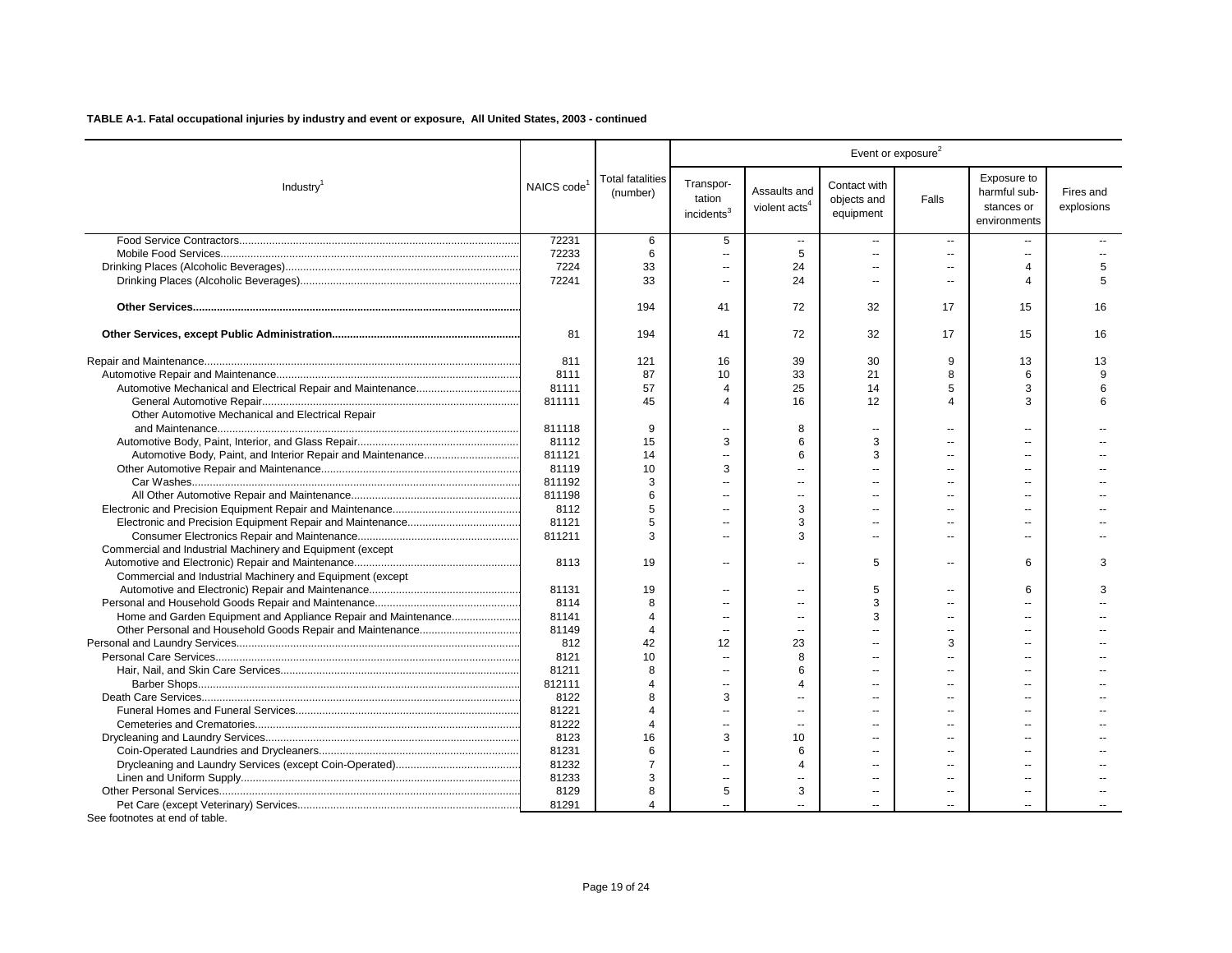|                                                                |                         |                                     |                                               |                                           |                                          | Event or exposure <sup>2</sup> |                                                           |                         |
|----------------------------------------------------------------|-------------------------|-------------------------------------|-----------------------------------------------|-------------------------------------------|------------------------------------------|--------------------------------|-----------------------------------------------------------|-------------------------|
| Industry <sup>1</sup>                                          | NAICS code <sup>1</sup> | <b>Total fatalities</b><br>(number) | Transpor-<br>tation<br>incidents <sup>3</sup> | Assaults and<br>violent acts <sup>4</sup> | Contact with<br>objects and<br>equipment | Falls                          | Exposure to<br>harmful sub-<br>stances or<br>environments | Fires and<br>explosions |
|                                                                | 72231                   | 6                                   | 5                                             | $\overline{a}$                            | $\sim$                                   | $\sim$                         | $\overline{a}$                                            |                         |
|                                                                | 72233                   | 6                                   | $\sim$                                        | 5                                         | $\mathbf{r}$                             | $\overline{a}$                 | $\overline{a}$                                            |                         |
|                                                                | 7224                    | 33                                  | $\overline{\phantom{a}}$                      | 24                                        | $\overline{a}$                           | $\overline{a}$                 | $\overline{\mathcal{A}}$                                  | 5                       |
|                                                                | 72241                   | 33                                  | $\sim$                                        | 24                                        | $\overline{a}$                           |                                | $\Delta$                                                  | 5                       |
|                                                                |                         | 194                                 | 41                                            | 72                                        | 32                                       | 17                             | 15                                                        | 16                      |
|                                                                | 81                      | 194                                 | 41                                            | 72                                        | 32                                       | 17                             | 15                                                        | 16                      |
|                                                                | 811                     | 121                                 | 16                                            | 39                                        | 30                                       | 9                              | 13                                                        | 13                      |
|                                                                | 8111                    | 87                                  | 10                                            | 33                                        | 21                                       | 8                              | 6                                                         | 9                       |
|                                                                | 81111                   | 57                                  | $\overline{4}$                                | 25                                        | 14                                       | 5                              | 3                                                         | 6                       |
|                                                                | 811111                  | 45                                  | $\overline{4}$                                | 16                                        | 12                                       | Δ                              | 3                                                         | 6                       |
| Other Automotive Mechanical and Electrical Repair              |                         |                                     |                                               |                                           |                                          |                                |                                                           |                         |
|                                                                | 811118                  | 9                                   | $\sim$                                        | 8                                         | $\sim$ $\sim$                            | $\overline{a}$                 | $\overline{a}$                                            |                         |
|                                                                | 81112                   | 15                                  | 3                                             | 6                                         | 3                                        |                                |                                                           |                         |
|                                                                | 811121                  | 14                                  | $\sim$                                        | 6                                         | 3                                        | $\overline{a}$                 | --                                                        |                         |
|                                                                | 81119                   | 10                                  | 3                                             | Ξ.                                        |                                          |                                |                                                           |                         |
|                                                                | 811192                  | 3                                   | ä.                                            | Ξ.                                        |                                          |                                |                                                           |                         |
|                                                                | 811198                  | 6                                   | $\sim$                                        | Ξ.                                        |                                          |                                |                                                           |                         |
|                                                                | 8112                    | 5                                   | $\sim$                                        | 3                                         | $\overline{a}$                           | $\overline{a}$                 | $\overline{a}$                                            |                         |
|                                                                | 81121                   | 5                                   | $\sim$                                        | 3                                         | $\overline{\phantom{a}}$                 | $\overline{a}$                 | --                                                        |                         |
|                                                                | 811211                  | 3                                   | $\sim$                                        | 3                                         | $\sim$                                   | $\overline{a}$                 | $\sim$                                                    |                         |
| Commercial and Industrial Machinery and Equipment (except      |                         |                                     |                                               |                                           |                                          |                                |                                                           |                         |
|                                                                | 8113                    | 19                                  | $\sim$                                        | $\overline{a}$                            | 5                                        | $\overline{a}$                 | 6                                                         | 3                       |
| Commercial and Industrial Machinery and Equipment (except      |                         |                                     |                                               |                                           |                                          |                                |                                                           |                         |
|                                                                | 81131                   | 19                                  | $\sim$                                        | --                                        | 5                                        | --                             | 6                                                         | 3                       |
|                                                                | 8114                    | 8                                   | $\sim$                                        | Ξ.                                        | 3                                        | $\overline{a}$                 |                                                           |                         |
| Home and Garden Equipment and Appliance Repair and Maintenance | 81141                   | $\Delta$                            | $\sim$                                        |                                           | 3                                        | $\overline{a}$                 |                                                           |                         |
|                                                                | 81149                   | $\overline{4}$                      | $\overline{\phantom{a}}$                      | $\overline{\phantom{a}}$                  | ÷.                                       | --                             | --                                                        |                         |
|                                                                | 812                     | 42                                  | 12                                            | 23                                        |                                          | 3                              |                                                           |                         |
|                                                                | 8121                    | 10                                  | $\sim$                                        | 8                                         | $\overline{a}$                           |                                |                                                           |                         |
|                                                                |                         | 8                                   |                                               | 6                                         |                                          |                                |                                                           |                         |
|                                                                | 81211                   | Δ                                   | $\overline{\phantom{a}}$                      | $\Delta$                                  | $\overline{a}$                           | --                             |                                                           |                         |
|                                                                | 812111                  | R                                   | $\sim$                                        |                                           |                                          |                                |                                                           |                         |
|                                                                | 8122                    |                                     | 3                                             |                                           |                                          |                                |                                                           |                         |
|                                                                | 81221                   | $\overline{4}$<br>$\Delta$          | --                                            | Ξ.                                        | $\sim$                                   | $\sim$                         | $\sim$                                                    |                         |
|                                                                | 81222                   |                                     | $\sim$                                        | $\overline{a}$                            |                                          |                                |                                                           |                         |
|                                                                | 8123                    | 16                                  | 3                                             | 10                                        | $\sim$                                   | $\overline{a}$                 | $\overline{a}$                                            |                         |
|                                                                | 81231                   | 6                                   | $\overline{a}$                                | 6                                         | $\sim$                                   |                                | $-$                                                       |                         |
|                                                                | 81232                   |                                     | $\sim$                                        | $\overline{4}$                            | $\sim$                                   | $\overline{a}$                 | $\sim$                                                    |                         |
|                                                                | 81233                   | 3                                   | $\sim$                                        | $\overline{a}$                            | $\sim$                                   |                                |                                                           |                         |
|                                                                | 8129                    | 8                                   | 5                                             | 3                                         | $\overline{\phantom{a}}$                 | $\overline{a}$                 | $\overline{a}$                                            |                         |
|                                                                | 81291                   | 4                                   |                                               |                                           |                                          |                                |                                                           |                         |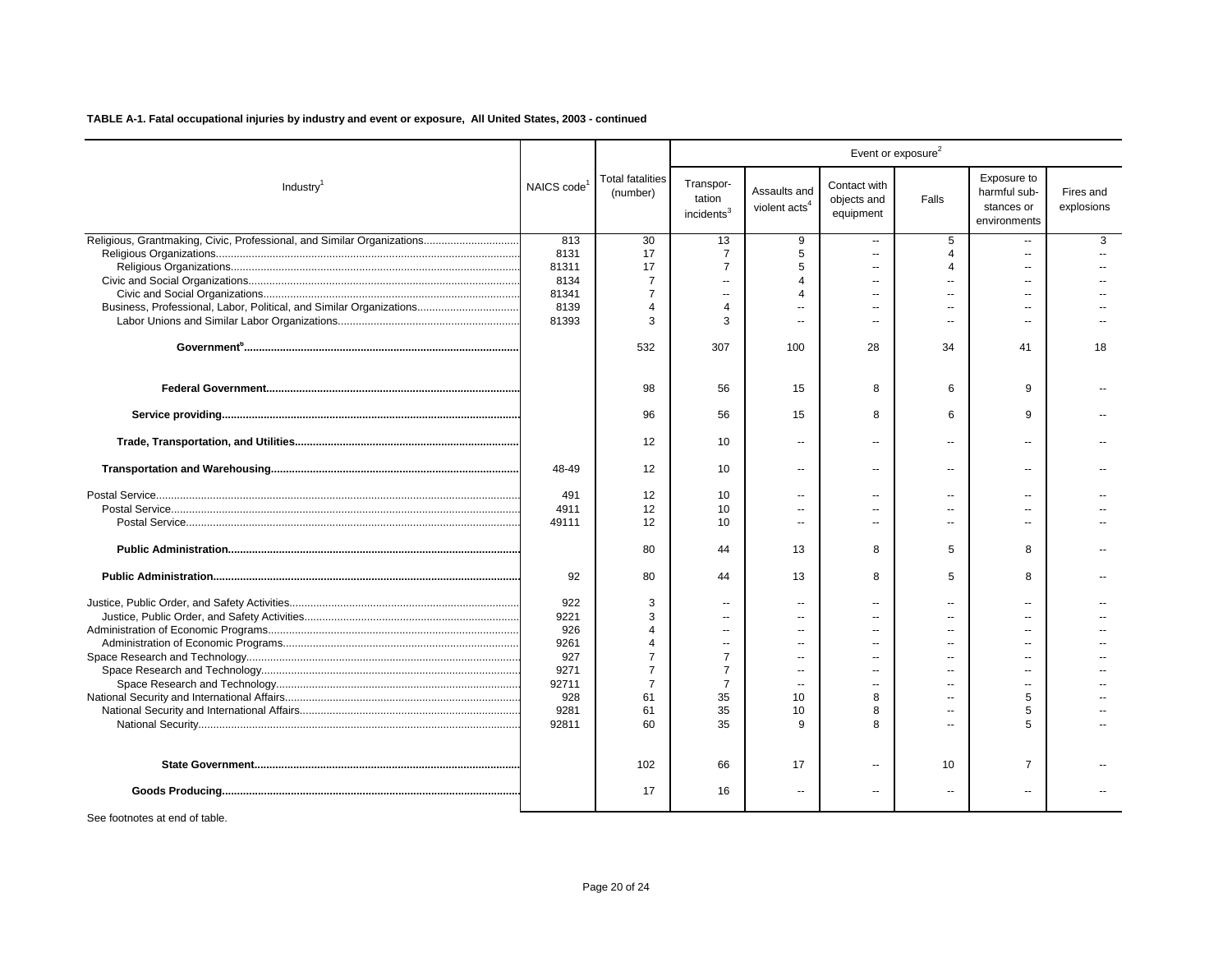|                                                                        |                         |                                     |                                               |                                           |                                          | Event or exposure <sup>2</sup> |                                                           |                         |
|------------------------------------------------------------------------|-------------------------|-------------------------------------|-----------------------------------------------|-------------------------------------------|------------------------------------------|--------------------------------|-----------------------------------------------------------|-------------------------|
| Industry <sup>1</sup>                                                  | NAICS code <sup>1</sup> | <b>Total fatalities</b><br>(number) | Transpor-<br>tation<br>incidents <sup>3</sup> | Assaults and<br>violent acts <sup>4</sup> | Contact with<br>objects and<br>equipment | Falls                          | Exposure to<br>harmful sub-<br>stances or<br>environments | Fires and<br>explosions |
| Religious, Grantmaking, Civic, Professional, and Similar Organizations | 813                     | 30                                  | 13                                            | 9                                         | $\overline{a}$                           | 5                              |                                                           | 3                       |
|                                                                        | 8131                    | 17                                  | $\overline{7}$                                | 5                                         | $\overline{a}$                           | $\overline{4}$                 | $\overline{a}$                                            | $\overline{a}$          |
|                                                                        | 81311                   | 17                                  | $\overline{7}$                                | 5                                         | $\overline{a}$                           | 4                              | $\sim$                                                    |                         |
|                                                                        | 8134                    | $\overline{7}$                      | $\sim$                                        | 4                                         |                                          | $\overline{a}$                 |                                                           |                         |
|                                                                        | 81341                   | $\overline{7}$                      | $\sim$                                        | 4                                         | $\overline{a}$                           | $\overline{\phantom{a}}$       |                                                           |                         |
| Business, Professional, Labor, Political, and Similar Organizations    | 8139                    | $\Delta$                            | $\overline{4}$                                |                                           |                                          | $\sim$                         |                                                           |                         |
|                                                                        | 81393                   | 3                                   | 3                                             | $\overline{a}$                            | $\overline{a}$                           | $\sim$                         | $\overline{a}$                                            |                         |
|                                                                        |                         | 532                                 | 307                                           | 100                                       | 28                                       | 34                             | 41                                                        | 18                      |
|                                                                        |                         | 98                                  | 56                                            | 15                                        | 8                                        | 6                              | 9                                                         |                         |
|                                                                        |                         | 96                                  | 56                                            | 15                                        | 8                                        | 6                              | 9                                                         |                         |
|                                                                        |                         | 12                                  | 10                                            | $\sim$                                    | $\sim$                                   | $\sim$                         | $\sim$                                                    |                         |
|                                                                        | 48-49                   | 12                                  | 10                                            | $\overline{\phantom{a}}$                  | $\overline{\phantom{a}}$                 | $\sim$                         | $\overline{\phantom{a}}$                                  |                         |
|                                                                        | 491                     | 12                                  | 10                                            |                                           |                                          | $\overline{a}$                 |                                                           |                         |
|                                                                        | 4911                    | 12                                  | 10                                            | --                                        |                                          | $\overline{\phantom{a}}$       |                                                           |                         |
|                                                                        | 49111                   | 12                                  | 10                                            |                                           |                                          |                                |                                                           |                         |
|                                                                        |                         | 80                                  | 44                                            | 13                                        | 8                                        | 5                              | 8                                                         |                         |
|                                                                        | 92                      | 80                                  | 44                                            | 13                                        | 8                                        | 5                              | 8                                                         |                         |
|                                                                        | 922                     | 3                                   | $\sim$                                        | $\sim$                                    |                                          | $\sim$                         | $\sim$ $\sim$                                             |                         |
|                                                                        | 9221                    | 3                                   | $\sim$                                        | --                                        |                                          | $\sim$                         |                                                           |                         |
|                                                                        | 926                     | $\boldsymbol{\Lambda}$              | $\sim$                                        | $\sim$ $\sim$                             |                                          | $\sim$                         | $\sim$                                                    |                         |
|                                                                        | 9261                    | $\boldsymbol{\varDelta}$            | $\sim$                                        | $\overline{a}$                            |                                          | $\sim$                         |                                                           |                         |
|                                                                        | 927                     | 7                                   | $\overline{7}$                                | $\overline{a}$                            |                                          | $\sim$                         | $\sim$                                                    |                         |
|                                                                        | 9271                    | $\overline{7}$                      | $\overline{7}$                                |                                           |                                          | $\sim$                         |                                                           |                         |
|                                                                        | 92711                   | $\overline{7}$                      | $\overline{7}$                                | $\sim$                                    | $\overline{a}$                           | $\sim$                         | $\overline{a}$                                            |                         |
|                                                                        | 928                     | 61                                  | 35                                            | 10                                        | 8                                        | $\sim$                         | 5                                                         |                         |
|                                                                        | 9281                    | 61                                  | 35                                            | 10                                        | 8                                        | $\sim$                         | 5                                                         |                         |
|                                                                        | 92811                   | 60                                  | 35                                            | 9                                         |                                          | $\sim$                         | 5                                                         |                         |
|                                                                        |                         | 102                                 | 66                                            | 17                                        | $\overline{a}$                           | 10                             | $\overline{7}$                                            |                         |
|                                                                        |                         | 17                                  | 16                                            | $\overline{\phantom{a}}$                  |                                          | $\overline{\phantom{a}}$       | $\overline{a}$                                            |                         |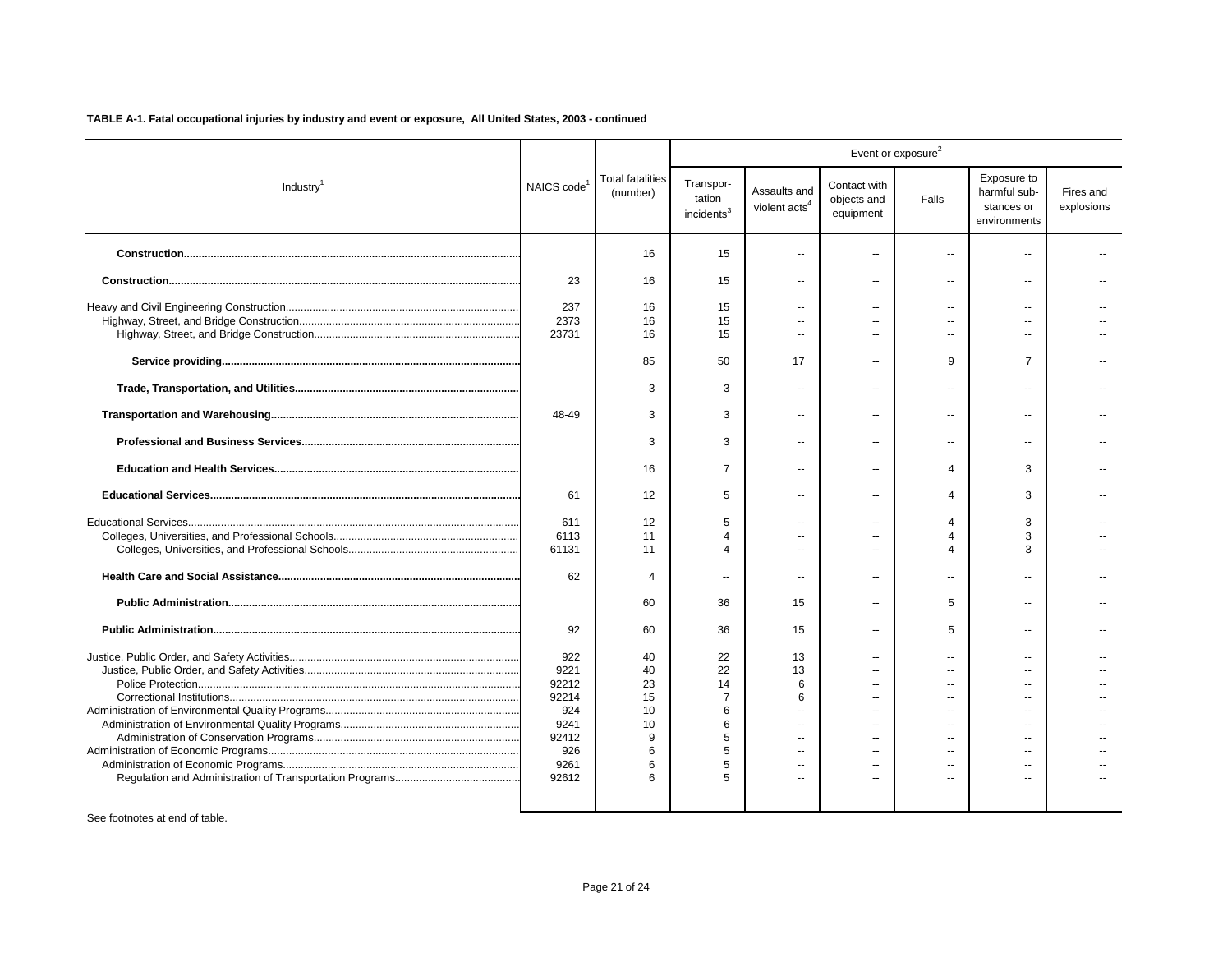|                       |            |                                     |                                               |                                           |                                          | Event or exposure <sup>2</sup> |                                                           |                         |
|-----------------------|------------|-------------------------------------|-----------------------------------------------|-------------------------------------------|------------------------------------------|--------------------------------|-----------------------------------------------------------|-------------------------|
| Industry <sup>1</sup> | NAICS code | <b>Total fatalities</b><br>(number) | Transpor-<br>tation<br>incidents <sup>3</sup> | Assaults and<br>violent acts <sup>4</sup> | Contact with<br>objects and<br>equipment | Falls                          | Exposure to<br>harmful sub-<br>stances or<br>environments | Fires and<br>explosions |
|                       |            | 16                                  | 15                                            |                                           | $=$                                      | $\overline{a}$                 | $\overline{a}$                                            |                         |
|                       | 23         | 16                                  | 15                                            | $\overline{a}$                            | $\mathbf{u}$                             | --                             | $\overline{a}$                                            |                         |
|                       | 237        | 16                                  | 15                                            | --                                        |                                          | $\overline{a}$                 |                                                           |                         |
|                       | 2373       | 16                                  | 15                                            | $\overline{\phantom{a}}$                  | н.                                       | $\overline{a}$                 |                                                           |                         |
|                       | 23731      | 16                                  | 15                                            |                                           | $\overline{a}$                           | $\overline{a}$                 | $\overline{a}$                                            |                         |
|                       |            | 85                                  | 50                                            | 17                                        |                                          | 9                              | $\overline{7}$                                            |                         |
|                       |            | 3                                   | 3                                             | $\overline{\phantom{a}}$                  | н.                                       | $\overline{a}$                 | $\overline{a}$                                            |                         |
|                       | 48-49      | 3                                   | 3                                             | $\overline{\phantom{a}}$                  | ۰.                                       | --                             | --                                                        |                         |
|                       |            | 3                                   | 3                                             | $\overline{a}$                            | $\overline{\phantom{a}}$                 | $\overline{a}$                 | $\sim$                                                    |                         |
|                       |            | 16                                  | $\overline{7}$                                | $\overline{a}$                            | $\overline{\phantom{a}}$                 | 4                              | 3                                                         |                         |
|                       | 61         | 12                                  | 5                                             | $\overline{a}$                            | $\overline{\phantom{a}}$                 | $\overline{4}$                 | 3                                                         |                         |
|                       | 611        | 12                                  | 5                                             | $\overline{a}$                            | $\sim$                                   | 4                              | 3                                                         |                         |
|                       | 6113       | 11                                  | 4                                             | $\overline{a}$                            | $\overline{\phantom{a}}$                 | 4                              | 3                                                         |                         |
|                       | 61131      | 11                                  |                                               |                                           | $\sim$                                   |                                | 3                                                         |                         |
|                       | 62         | 4                                   | $\overline{a}$                                | $\sim$                                    | $\overline{\phantom{a}}$                 | $\overline{a}$                 | $\overline{a}$                                            |                         |
|                       |            | 60                                  | 36                                            | 15                                        | $\mathbf{u}$                             | 5                              |                                                           |                         |
|                       | 92         | 60                                  | 36                                            | 15                                        | Ξ.                                       | 5                              |                                                           |                         |
|                       | 922        | 40                                  | 22                                            | 13                                        | --                                       | $\overline{a}$                 |                                                           |                         |
|                       | 9221       | 40                                  | 22                                            | 13                                        |                                          | $\overline{a}$                 |                                                           |                         |
|                       | 92212      | 23                                  | 14                                            | 6                                         |                                          |                                |                                                           |                         |
|                       | 92214      | 15                                  | 7                                             | 6                                         |                                          |                                |                                                           |                         |
|                       | 924        | 10                                  | 6                                             | $\sim$                                    | $\overline{a}$                           |                                |                                                           |                         |
|                       | 9241       | 10                                  | 6                                             |                                           |                                          |                                |                                                           |                         |
|                       | 92412      | 9                                   | 5                                             | $\sim$                                    | $\sim$                                   | $\sim$                         | $\sim$                                                    |                         |
|                       | 926        | 6                                   | 5                                             | $\overline{a}$                            | $\overline{a}$                           | $\overline{a}$                 | $\sim$                                                    |                         |
|                       | 9261       | 6                                   | 5                                             | $\overline{a}$                            | $\sim$                                   | $\overline{a}$                 | $\overline{a}$                                            |                         |
|                       | 92612      | ี                                   | 5                                             | ш.                                        |                                          |                                | $\sim$                                                    |                         |
|                       |            |                                     |                                               |                                           |                                          |                                |                                                           |                         |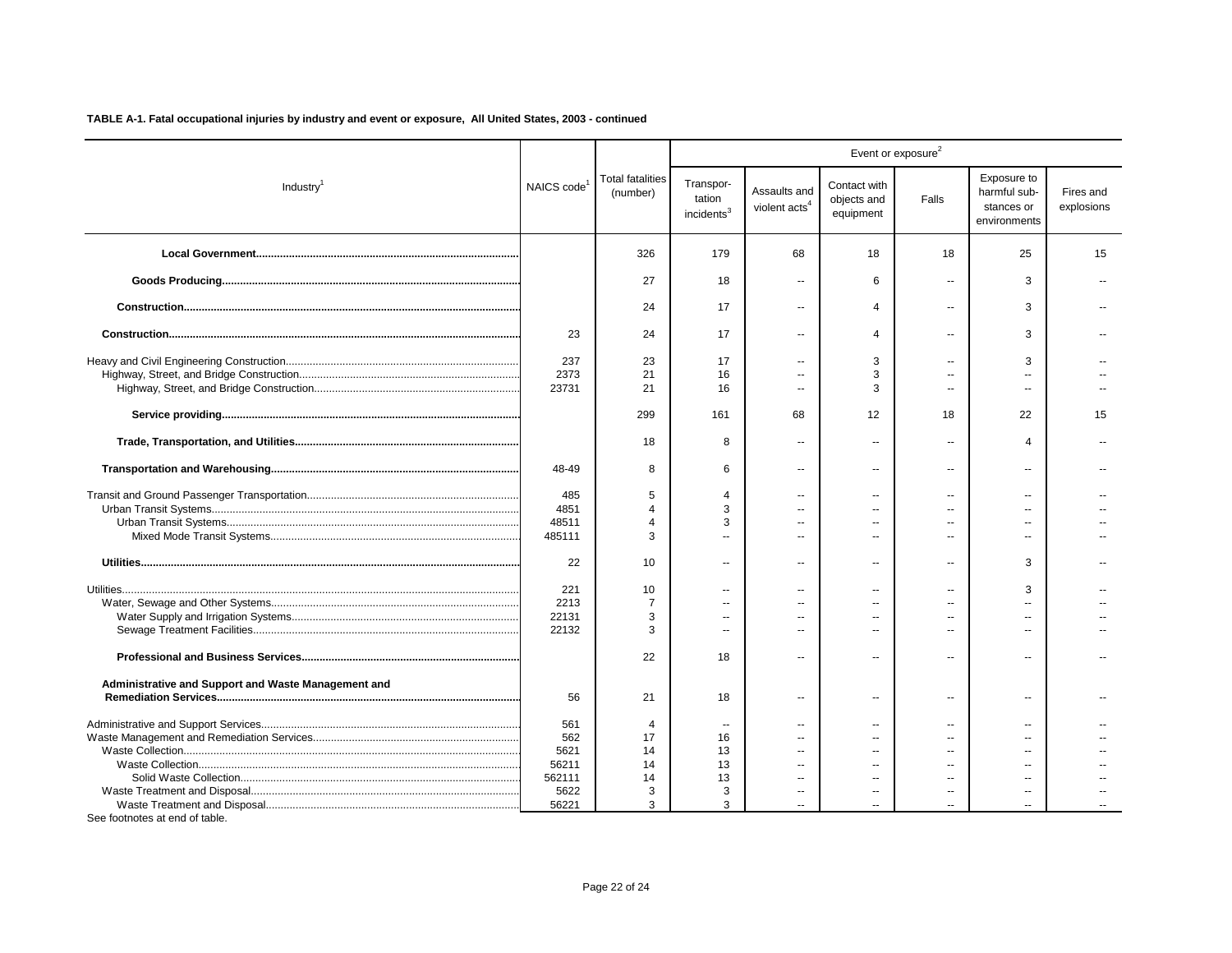|                                                     |                         |                                     |                                               |                                           |                                          | Event or exposure <sup>2</sup> |                                                           |                         |
|-----------------------------------------------------|-------------------------|-------------------------------------|-----------------------------------------------|-------------------------------------------|------------------------------------------|--------------------------------|-----------------------------------------------------------|-------------------------|
| Industry <sup>1</sup>                               | NAICS code <sup>1</sup> | <b>Total fatalities</b><br>(number) | Transpor-<br>tation<br>incidents <sup>3</sup> | Assaults and<br>violent acts <sup>4</sup> | Contact with<br>objects and<br>equipment | Falls                          | Exposure to<br>harmful sub-<br>stances or<br>environments | Fires and<br>explosions |
|                                                     |                         | 326                                 | 179                                           | 68                                        | 18                                       | 18                             | 25                                                        | 15                      |
|                                                     |                         | 27                                  | 18                                            |                                           | 6                                        | $\sim$                         | 3                                                         |                         |
|                                                     |                         | 24                                  | 17                                            | $\overline{a}$                            | 4                                        | $\sim$                         | 3                                                         |                         |
|                                                     | 23                      | 24                                  | 17                                            | $\overline{a}$                            | 4                                        | $\sim$                         | 3                                                         |                         |
|                                                     | 237                     | 23                                  | 17                                            | $\overline{a}$                            | 3                                        | $\sim$                         | 3                                                         |                         |
|                                                     | 2373<br>23731           | 21<br>21                            | 16<br>16                                      | $\overline{a}$                            | 3<br>3                                   | $\sim$                         | $\overline{a}$                                            |                         |
|                                                     |                         |                                     |                                               |                                           |                                          |                                |                                                           |                         |
|                                                     |                         | 299                                 | 161                                           | 68                                        | 12                                       | 18                             | 22                                                        | 15                      |
|                                                     |                         | 18                                  | 8                                             | $\overline{a}$                            | $\overline{a}$                           | $\overline{a}$                 | $\overline{4}$                                            |                         |
|                                                     | 48-49                   | 8                                   | 6                                             | $\overline{a}$                            | $\overline{a}$                           | $\sim$                         | $\sim$                                                    |                         |
|                                                     | 485                     | 5                                   | 4                                             |                                           |                                          |                                |                                                           |                         |
|                                                     | 4851                    | 4                                   | 3                                             | $\overline{a}$                            | $\overline{a}$                           |                                |                                                           |                         |
|                                                     | 48511                   | 4                                   | 3                                             |                                           | --                                       |                                |                                                           |                         |
|                                                     | 485111                  | 3                                   | $\overline{a}$                                | $\overline{a}$                            | $\overline{a}$                           | $\sim$                         | $\sim$                                                    |                         |
|                                                     | 22                      | 10                                  | $\overline{\phantom{a}}$                      | $\overline{a}$                            | $\overline{a}$                           | $\overline{a}$                 | 3                                                         |                         |
|                                                     | 221                     | 10                                  | $\overline{\phantom{a}}$                      | $\overline{\phantom{a}}$                  | --                                       |                                | 3                                                         |                         |
|                                                     | 2213                    | $\overline{7}$                      | $\overline{a}$                                | $\overline{a}$                            | $\overline{a}$                           |                                | $\overline{a}$                                            |                         |
|                                                     | 22131                   | 3                                   | $\sim$                                        | $\sim$                                    | $\overline{a}$                           | $\sim$                         | $\sim$                                                    |                         |
|                                                     | 22132                   | 3                                   |                                               | $\sim$                                    | $\overline{a}$                           | $\sim$                         | $\overline{a}$                                            |                         |
|                                                     |                         |                                     |                                               |                                           |                                          |                                |                                                           |                         |
|                                                     |                         | 22                                  | 18                                            | $\overline{a}$                            | $\overline{a}$                           | $\sim$                         | $\overline{a}$                                            |                         |
| Administrative and Support and Waste Management and | 56                      | 21                                  | 18                                            | $\overline{a}$                            | $\overline{a}$                           | $\sim$                         | $\sim$                                                    |                         |
|                                                     | 561                     | 4                                   | $\overline{\phantom{a}}$                      | --                                        | --                                       |                                | $\overline{a}$                                            |                         |
|                                                     | 562                     | 17                                  | 16                                            | $\sim$                                    | $\overline{a}$                           |                                | $\sim$                                                    |                         |
|                                                     | 5621                    | 14                                  | 13                                            |                                           | $-$                                      |                                |                                                           |                         |
|                                                     | 56211                   | 14                                  | 13                                            | $\sim$                                    | $\overline{a}$                           | $\overline{a}$                 | $\overline{a}$                                            |                         |
|                                                     | 562111                  | 14                                  | 13                                            |                                           |                                          |                                |                                                           |                         |
|                                                     | 5622                    | 3                                   | 3                                             | $\overline{\phantom{a}}$                  | $\overline{a}$                           | $\overline{a}$                 | $\overline{\phantom{a}}$                                  |                         |
|                                                     | 56221                   | 3                                   | 3                                             |                                           |                                          |                                |                                                           |                         |
| See footnotes at end of table.                      |                         |                                     |                                               |                                           |                                          |                                |                                                           |                         |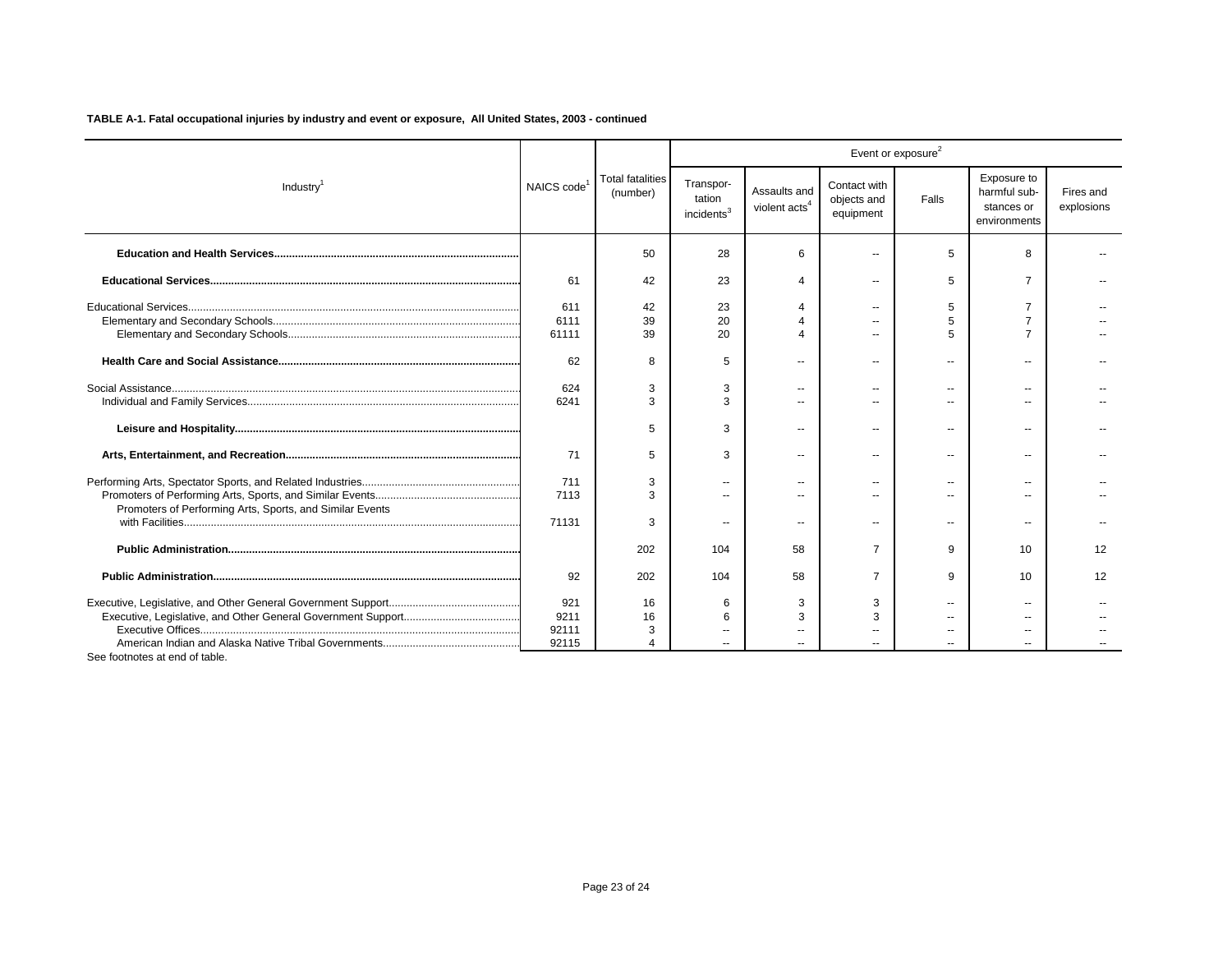|                                                          |                               |                                     |                                               |                                           |                                          | Event or exposure <sup>2</sup> |                                                           |                         |
|----------------------------------------------------------|-------------------------------|-------------------------------------|-----------------------------------------------|-------------------------------------------|------------------------------------------|--------------------------------|-----------------------------------------------------------|-------------------------|
| Industry <sup>1</sup>                                    | NAICS code <sup>1</sup>       | <b>Total fatalities</b><br>(number) | Transpor-<br>tation<br>incidents <sup>3</sup> | Assaults and<br>violent acts <sup>4</sup> | Contact with<br>objects and<br>equipment | Falls                          | Exposure to<br>harmful sub-<br>stances or<br>environments | Fires and<br>explosions |
|                                                          |                               | 50                                  | 28                                            | 6                                         |                                          | 5                              | 8                                                         |                         |
|                                                          | 61                            | 42                                  | 23                                            | $\overline{4}$                            | $\overline{a}$                           | 5                              |                                                           |                         |
|                                                          | 611<br>6111<br>61111          | 42<br>39<br>39                      | 23<br>20<br>20                                |                                           | $\overline{a}$                           | 5                              |                                                           |                         |
|                                                          | 62                            | 8                                   | 5                                             | ٠.                                        | $\overline{a}$                           | --                             |                                                           |                         |
|                                                          | 624<br>6241                   | 3<br>3                              | 3                                             | --                                        | $\overline{a}$                           | $\overline{a}$                 | --                                                        |                         |
|                                                          |                               | 5                                   | 3                                             | ٠.                                        | $\overline{a}$                           | $\overline{\phantom{a}}$       | $\overline{a}$                                            |                         |
|                                                          | 71                            | 5                                   | 3                                             | $\overline{a}$                            | $\overline{a}$                           | $\overline{a}$                 | --                                                        |                         |
| Promoters of Performing Arts, Sports, and Similar Events | 711<br>7113                   | 3                                   | $\overline{\phantom{a}}$<br>$\overline{a}$    | --                                        |                                          |                                | $\overline{\phantom{a}}$                                  |                         |
|                                                          | 71131                         | 3                                   | --                                            | --                                        | --                                       | --                             | --                                                        |                         |
|                                                          |                               | 202                                 | 104                                           | 58                                        | $\overline{7}$                           | 9                              | 10                                                        | 12                      |
|                                                          | 92                            | 202                                 | 104                                           | 58                                        | 7                                        | 9                              | 10                                                        | 12                      |
|                                                          | 921<br>9211<br>92111<br>92115 | 16<br>16                            | 6<br>6                                        | 3<br>3                                    | 3<br>3                                   |                                | $\sim$ $\sim$                                             |                         |